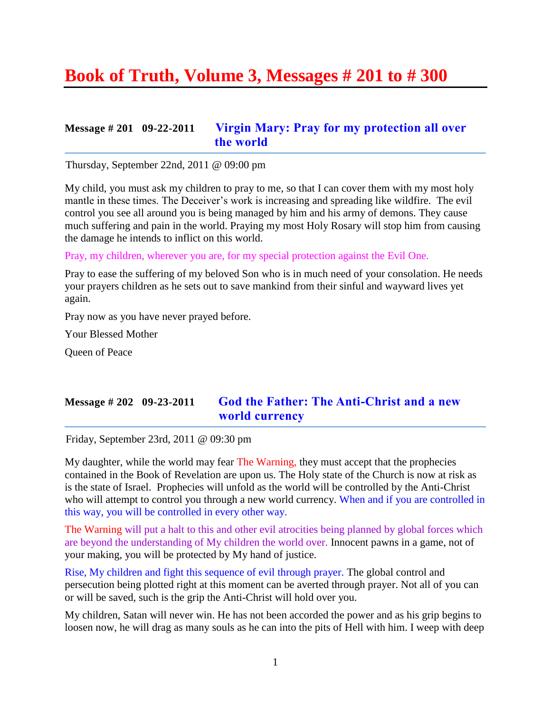# **Book of Truth, Volume 3, Messages # 201 to # 300**

### **Message # 201 09-22-2011 [Virgin Mary: Pray for my protection all over](http://www.thewarningsecondcoming.com/virgin-mary-pray-for-my-protection-all-over-the-world/)  [the world](http://www.thewarningsecondcoming.com/virgin-mary-pray-for-my-protection-all-over-the-world/)**

Thursday, September 22nd, 2011 @ 09:00 pm

My child, you must ask my children to pray to me, so that I can cover them with my most holy mantle in these times. The Deceiver's work is increasing and spreading like wildfire. The evil control you see all around you is being managed by him and his army of demons. They cause much suffering and pain in the world. Praying my most Holy Rosary will stop him from causing the damage he intends to inflict on this world.

Pray, my children, wherever you are, for my special protection against the Evil One.

Pray to ease the suffering of my beloved Son who is in much need of your consolation. He needs your prayers children as he sets out to save mankind from their sinful and wayward lives yet again.

Pray now as you have never prayed before.

Your Blessed Mother

Queen of Peace

### **Message # 202 09-23-2011 [God the Father: The Anti-Christ and a new](http://www.thewarningsecondcoming.com/god-the-father-the-anti-christ-and-a-new-world-currency/)  [world currency](http://www.thewarningsecondcoming.com/god-the-father-the-anti-christ-and-a-new-world-currency/)**

Friday, September 23rd, 2011 @ 09:30 pm

My daughter, while the world may fear The Warning, they must accept that the prophecies contained in the Book of Revelation are upon us. The Holy state of the Church is now at risk as is the state of Israel. Prophecies will unfold as the world will be controlled by the Anti-Christ who will attempt to control you through a new world currency. When and if you are controlled in this way, you will be controlled in every other way.

The Warning will put a halt to this and other evil atrocities being planned by global forces which are beyond the understanding of My children the world over. Innocent pawns in a game, not of your making, you will be protected by My hand of justice.

Rise, My children and fight this sequence of evil through prayer. The global control and persecution being plotted right at this moment can be averted through prayer. Not all of you can or will be saved, such is the grip the Anti-Christ will hold over you.

My children, Satan will never win. He has not been accorded the power and as his grip begins to loosen now, he will drag as many souls as he can into the pits of Hell with him. I weep with deep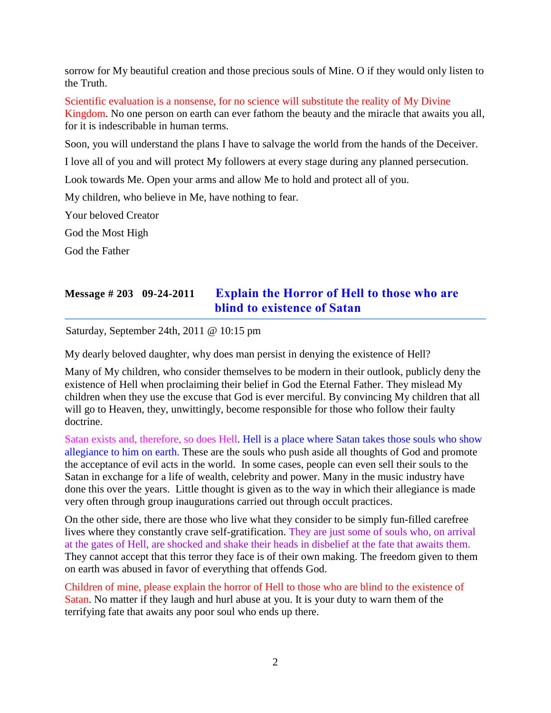sorrow for My beautiful creation and those precious souls of Mine. O if they would only listen to the Truth.

Scientific evaluation is a nonsense, for no science will substitute the reality of My Divine Kingdom. No one person on earth can ever fathom the beauty and the miracle that awaits you all, for it is indescribable in human terms.

Soon, you will understand the plans I have to salvage the world from the hands of the Deceiver.

I love all of you and will protect My followers at every stage during any planned persecution.

Look towards Me. Open your arms and allow Me to hold and protect all of you.

My children, who believe in Me, have nothing to fear.

Your beloved Creator

God the Most High

God the Father

# **Message # 203 09-24-2011 [Explain the Horror of Hell to those who are](http://www.thewarningsecondcoming.com/explain-the-horror-of-hell-to-those-who-are-blind-to-existence-of-satan/)  blind to [existence of Satan](http://www.thewarningsecondcoming.com/explain-the-horror-of-hell-to-those-who-are-blind-to-existence-of-satan/)**

Saturday, September 24th, 2011 @ 10:15 pm

My dearly beloved daughter, why does man persist in denying the existence of Hell?

Many of My children, who consider themselves to be modern in their outlook, publicly deny the existence of Hell when proclaiming their belief in God the Eternal Father. They mislead My children when they use the excuse that God is ever merciful. By convincing My children that all will go to Heaven, they, unwittingly, become responsible for those who follow their faulty doctrine.

Satan exists and, therefore, so does Hell. Hell is a place where Satan takes those souls who show allegiance to him on earth. These are the souls who push aside all thoughts of God and promote the acceptance of evil acts in the world. In some cases, people can even sell their souls to the Satan in exchange for a life of wealth, celebrity and power. Many in the music industry have done this over the years. Little thought is given as to the way in which their allegiance is made very often through group inaugurations carried out through occult practices.

On the other side, there are those who live what they consider to be simply fun-filled carefree lives where they constantly crave self-gratification. They are just some of souls who, on arrival at the gates of Hell, are shocked and shake their heads in disbelief at the fate that awaits them. They cannot accept that this terror they face is of their own making. The freedom given to them on earth was abused in favor of everything that offends God.

Children of mine, please explain the horror of Hell to those who are blind to the existence of Satan. No matter if they laugh and hurl abuse at you. It is your duty to warn them of the terrifying fate that awaits any poor soul who ends up there.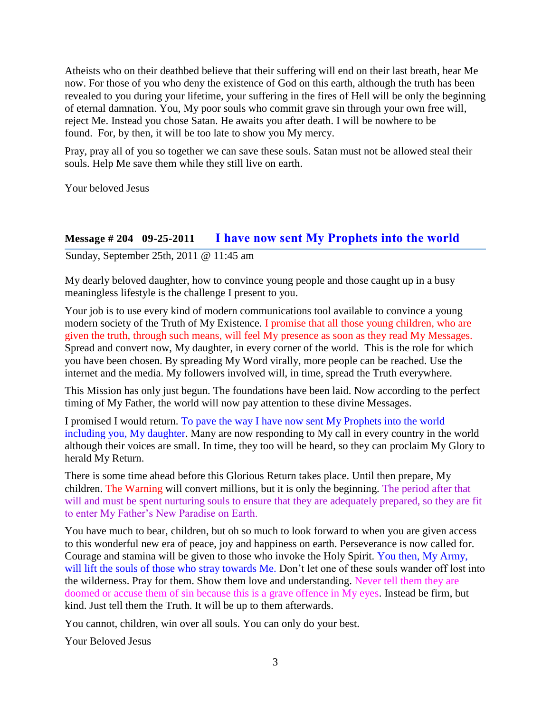Atheists who on their deathbed believe that their suffering will end on their last breath, hear Me now. For those of you who deny the existence of God on this earth, although the truth has been revealed to you during your lifetime, your suffering in the fires of Hell will be only the beginning of eternal damnation. You, My poor souls who commit grave sin through your own free will, reject Me. Instead you chose Satan. He awaits you after death. I will be nowhere to be found. For, by then, it will be too late to show you My mercy.

Pray, pray all of you so together we can save these souls. Satan must not be allowed steal their souls. Help Me save them while they still live on earth.

Your beloved Jesus

#### **Message # 204 09-25-2011 [I have now sent My Prophets into the world](http://www.thewarningsecondcoming.com/i-have-now-sent-my-prophets-into-the-world/)**

Sunday, September 25th, 2011 @ 11:45 am

My dearly beloved daughter, how to convince young people and those caught up in a busy meaningless lifestyle is the challenge I present to you.

Your job is to use every kind of modern communications tool available to convince a young modern society of the Truth of My Existence. I promise that all those young children, who are given the truth, through such means, will feel My presence as soon as they read My Messages. Spread and convert now, My daughter, in every corner of the world. This is the role for which you have been chosen. By spreading My Word virally, more people can be reached. Use the internet and the media. My followers involved will, in time, spread the Truth everywhere.

This Mission has only just begun. The foundations have been laid. Now according to the perfect timing of My Father, the world will now pay attention to these divine Messages.

I promised I would return. To pave the way I have now sent My Prophets into the world including you, My daughter. Many are now responding to My call in every country in the world although their voices are small. In time, they too will be heard, so they can proclaim My Glory to herald My Return.

There is some time ahead before this Glorious Return takes place. Until then prepare, My children. The Warning will convert millions, but it is only the beginning. The period after that will and must be spent nurturing souls to ensure that they are adequately prepared, so they are fit to enter My Father's New Paradise on Earth.

You have much to bear, children, but oh so much to look forward to when you are given access to this wonderful new era of peace, joy and happiness on earth. Perseverance is now called for. Courage and stamina will be given to those who invoke the Holy Spirit. You then, My Army, will lift the souls of those who stray towards Me. Don't let one of these souls wander off lost into the wilderness. Pray for them. Show them love and understanding. Never tell them they are doomed or accuse them of sin because this is a grave offence in My eyes. Instead be firm, but kind. Just tell them the Truth. It will be up to them afterwards.

You cannot, children, win over all souls. You can only do your best.

Your Beloved Jesus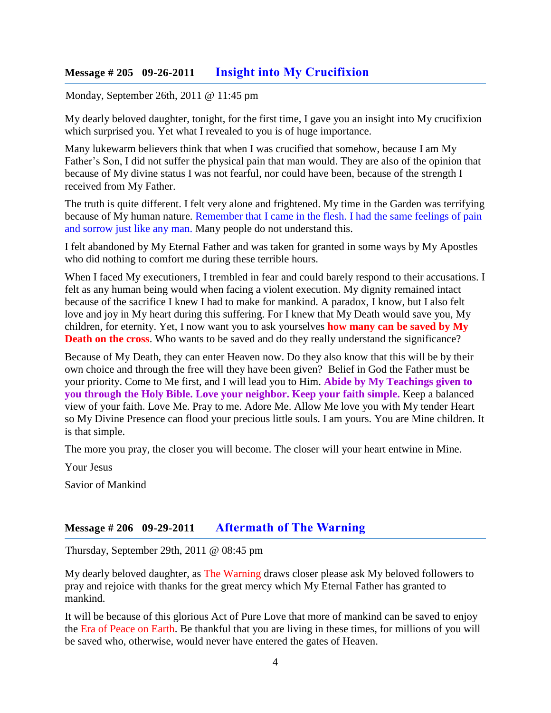#### **Message # 205 09-26-2011 [Insight into My Crucifixion](http://www.thewarningsecondcoming.com/insight-into-my-crucifixion/)**

Monday, September 26th, 2011 @ 11:45 pm

My dearly beloved daughter, tonight, for the first time, I gave you an insight into My crucifixion which surprised you. Yet what I revealed to you is of huge importance.

Many lukewarm believers think that when I was crucified that somehow, because I am My Father's Son, I did not suffer the physical pain that man would. They are also of the opinion that because of My divine status I was not fearful, nor could have been, because of the strength I received from My Father.

The truth is quite different. I felt very alone and frightened. My time in the Garden was terrifying because of My human nature. Remember that I came in the flesh. I had the same feelings of pain and sorrow just like any man. Many people do not understand this.

I felt abandoned by My Eternal Father and was taken for granted in some ways by My Apostles who did nothing to comfort me during these terrible hours.

When I faced My executioners, I trembled in fear and could barely respond to their accusations. I felt as any human being would when facing a violent execution. My dignity remained intact because of the sacrifice I knew I had to make for mankind. A paradox, I know, but I also felt love and joy in My heart during this suffering. For I knew that My Death would save you, My children, for eternity. Yet, I now want you to ask yourselves **how many can be saved by My Death on the cross**. Who wants to be saved and do they really understand the significance?

Because of My Death, they can enter Heaven now. Do they also know that this will be by their own choice and through the free will they have been given? Belief in God the Father must be your priority. Come to Me first, and I will lead you to Him. **Abide by My Teachings given to you through the Holy Bible. Love your neighbor. Keep your faith simple.** Keep a balanced view of your faith. Love Me. Pray to me. Adore Me. Allow Me love you with My tender Heart so My Divine Presence can flood your precious little souls. I am yours. You are Mine children. It is that simple.

The more you pray, the closer you will become. The closer will your heart entwine in Mine.

Your Jesus

Savior of Mankind

#### **Message # 206 09-29-2011 [Aftermath of The Warning](http://www.thewarningsecondcoming.com/aftermath-of-the-warning/)**

Thursday, September 29th, 2011 @ 08:45 pm

My dearly beloved daughter, as The Warning draws closer please ask My beloved followers to pray and rejoice with thanks for the great mercy which My Eternal Father has granted to mankind.

It will be because of this glorious Act of Pure Love that more of mankind can be saved to enjoy the Era of Peace on Earth. Be thankful that you are living in these times, for millions of you will be saved who, otherwise, would never have entered the gates of Heaven.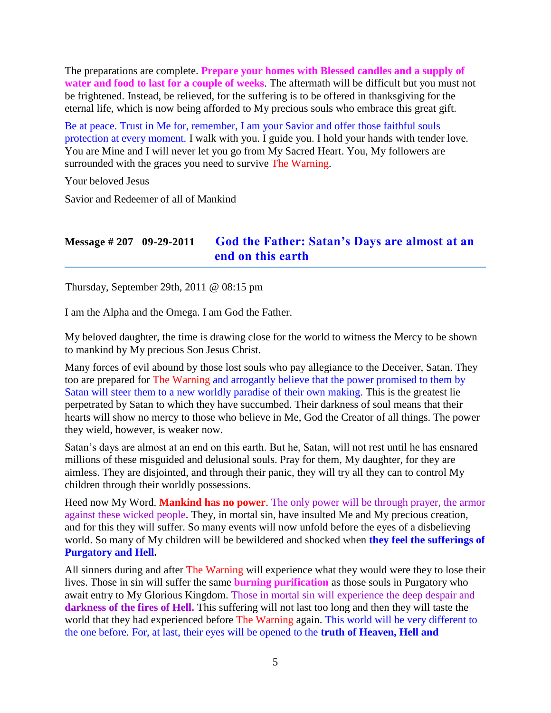The preparations are complete. **Prepare your homes with Blessed candles and a supply of water and food to last for a couple of weeks**. The aftermath will be difficult but you must not be frightened. Instead, be relieved, for the suffering is to be offered in thanksgiving for the eternal life, which is now being afforded to My precious souls who embrace this great gift.

Be at peace. Trust in Me for, remember, I am your Savior and offer those faithful souls protection at every moment. I walk with you. I guide you. I hold your hands with tender love. You are Mine and I will never let you go from My Sacred Heart. You, My followers are surrounded with the graces you need to survive The Warning.

Your beloved Jesus

Savior and Redeemer of all of Mankind

### **Message # 207 09-29-2011 [God the Father: Satan's Days are almost at an](http://www.thewarningsecondcoming.com/god-the-father-satans-days-are-almost-at-an-end-on-this-earth/)  [end on this earth](http://www.thewarningsecondcoming.com/god-the-father-satans-days-are-almost-at-an-end-on-this-earth/)**

Thursday, September 29th, 2011 @ 08:15 pm

I am the Alpha and the Omega. I am God the Father.

My beloved daughter, the time is drawing close for the world to witness the Mercy to be shown to mankind by My precious Son Jesus Christ.

Many forces of evil abound by those lost souls who pay allegiance to the Deceiver, Satan. They too are prepared for The Warning and arrogantly believe that the power promised to them by Satan will steer them to a new worldly paradise of their own making. This is the greatest lie perpetrated by Satan to which they have succumbed. Their darkness of soul means that their hearts will show no mercy to those who believe in Me, God the Creator of all things. The power they wield, however, is weaker now.

Satan's days are almost at an end on this earth. But he, Satan, will not rest until he has ensnared millions of these misguided and delusional souls. Pray for them, My daughter, for they are aimless. They are disjointed, and through their panic, they will try all they can to control My children through their worldly possessions.

Heed now My Word. **Mankind has no power**. The only power will be through prayer, the armor against these wicked people. They, in mortal sin, have insulted Me and My precious creation, and for this they will suffer. So many events will now unfold before the eyes of a disbelieving world. So many of My children will be bewildered and shocked when **they feel the sufferings of Purgatory and Hell.** 

All sinners during and after The Warning will experience what they would were they to lose their lives. Those in sin will suffer the same **burning purification** as those souls in Purgatory who await entry to My Glorious Kingdom. Those in mortal sin will experience the deep despair and **darkness of the fires of Hell.** This suffering will not last too long and then they will taste the world that they had experienced before The Warning again. This world will be very different to the one before. For, at last, their eyes will be opened to the **truth of Heaven, Hell and**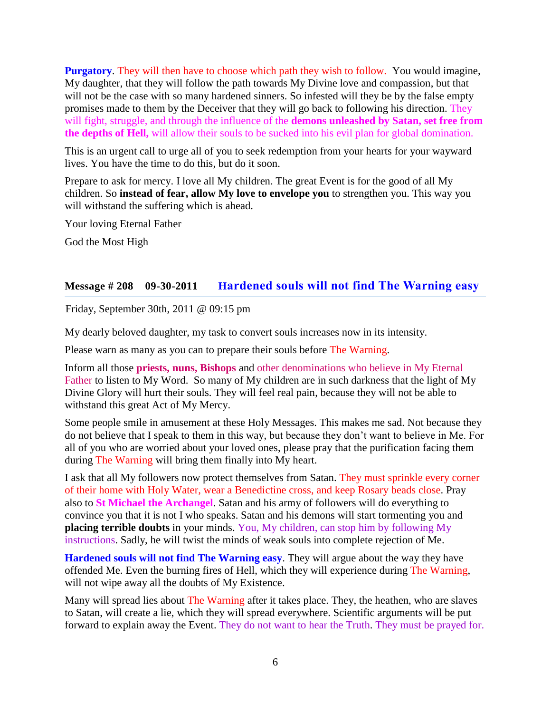**Purgatory**. They will then have to choose which path they wish to follow. You would imagine, My daughter, that they will follow the path towards My Divine love and compassion, but that will not be the case with so many hardened sinners. So infested will they be by the false empty promises made to them by the Deceiver that they will go back to following his direction. They will fight, struggle, and through the influence of the **demons unleashed by Satan, set free from the depths of Hell,** will allow their souls to be sucked into his evil plan for global domination.

This is an urgent call to urge all of you to seek redemption from your hearts for your wayward lives. You have the time to do this, but do it soon.

Prepare to ask for mercy. I love all My children. The great Event is for the good of all My children. So **instead of fear, allow My love to envelope you** to strengthen you. This way you will withstand the suffering which is ahead.

Your loving Eternal Father

God the Most High

#### **Message # 208 09-30-2011 H[ardened souls will not find The Warning easy](http://www.thewarningsecondcoming.com/hardened-souls-will-not-find-the-warning-easy/)**

Friday, September 30th, 2011 @ 09:15 pm

My dearly beloved daughter, my task to convert souls increases now in its intensity.

Please warn as many as you can to prepare their souls before The Warning.

Inform all those **priests, nuns, Bishops** and other denominations who believe in My Eternal Father to listen to My Word. So many of My children are in such darkness that the light of My Divine Glory will hurt their souls. They will feel real pain, because they will not be able to withstand this great Act of My Mercy.

Some people smile in amusement at these Holy Messages. This makes me sad. Not because they do not believe that I speak to them in this way, but because they don't want to believe in Me. For all of you who are worried about your loved ones, please pray that the purification facing them during The Warning will bring them finally into My heart.

I ask that all My followers now protect themselves from Satan. They must sprinkle every corner of their home with Holy Water, wear a Benedictine cross, and keep Rosary beads close. Pray also to **St Michael the Archangel**. Satan and his army of followers will do everything to convince you that it is not I who speaks. Satan and his demons will start tormenting you and **placing terrible doubts** in your minds. You, My children, can stop him by following My instructions. Sadly, he will twist the minds of weak souls into complete rejection of Me.

**Hardened souls will not find The Warning easy**. They will argue about the way they have offended Me. Even the burning fires of Hell, which they will experience during The Warning, will not wipe away all the doubts of My Existence.

Many will spread lies about The Warning after it takes place. They, the heathen, who are slaves to Satan, will create a lie, which they will spread everywhere. Scientific arguments will be put forward to explain away the Event. They do not want to hear the Truth. They must be prayed for.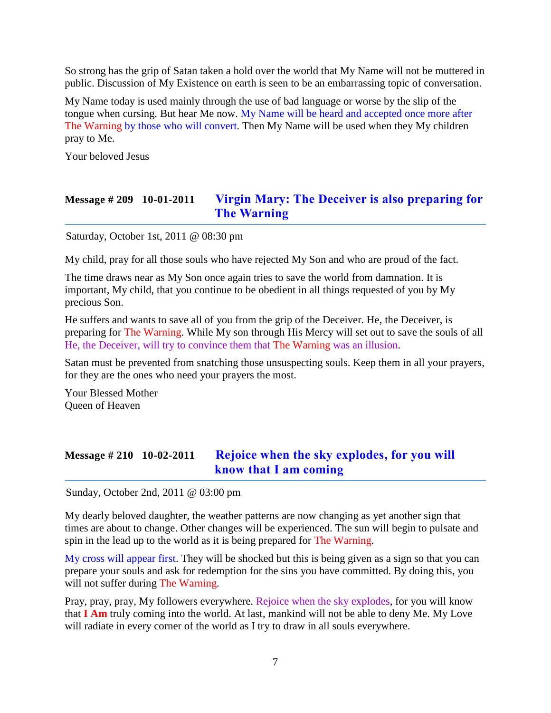So strong has the grip of Satan taken a hold over the world that My Name will not be muttered in public. Discussion of My Existence on earth is seen to be an embarrassing topic of conversation.

My Name today is used mainly through the use of bad language or worse by the slip of the tongue when cursing. But hear Me now. My Name will be heard and accepted once more after The Warning by those who will convert. Then My Name will be used when they My children pray to Me.

Your beloved Jesus

### **Message # 209 10-01-2011 [Virgin Mary: The Deceiver is also preparing for](http://www.thewarningsecondcoming.com/virgin-mary-the-deceiver-is-also-preparing-for-the-warning/)  [The Warning](http://www.thewarningsecondcoming.com/virgin-mary-the-deceiver-is-also-preparing-for-the-warning/)**

Saturday, October 1st, 2011 @ 08:30 pm

My child, pray for all those souls who have rejected My Son and who are proud of the fact.

The time draws near as My Son once again tries to save the world from damnation. It is important, My child, that you continue to be obedient in all things requested of you by My precious Son.

He suffers and wants to save all of you from the grip of the Deceiver. He, the Deceiver, is preparing for The Warning. While My son through His Mercy will set out to save the souls of all He, the Deceiver, will try to convince them that The Warning was an illusion.

Satan must be prevented from snatching those unsuspecting souls. Keep them in all your prayers, for they are the ones who need your prayers the most.

Your Blessed Mother Queen of Heaven

### **Message # 210 10-02-2011 [Rejoice when the sky explodes,](http://www.thewarningsecondcoming.com/rejoice-when-the-sky-explodes-for-you-will-know-that-i-am-coming/) for you will [know that I am coming](http://www.thewarningsecondcoming.com/rejoice-when-the-sky-explodes-for-you-will-know-that-i-am-coming/)**

Sunday, October 2nd, 2011 @ 03:00 pm

My dearly beloved daughter, the weather patterns are now changing as yet another sign that times are about to change. Other changes will be experienced. The sun will begin to pulsate and spin in the lead up to the world as it is being prepared for The Warning.

My cross will appear first. They will be shocked but this is being given as a sign so that you can prepare your souls and ask for redemption for the sins you have committed. By doing this, you will not suffer during The Warning.

Pray, pray, pray, My followers everywhere. Rejoice when the sky explodes, for you will know that **I Am** truly coming into the world. At last, mankind will not be able to deny Me. My Love will radiate in every corner of the world as I try to draw in all souls everywhere.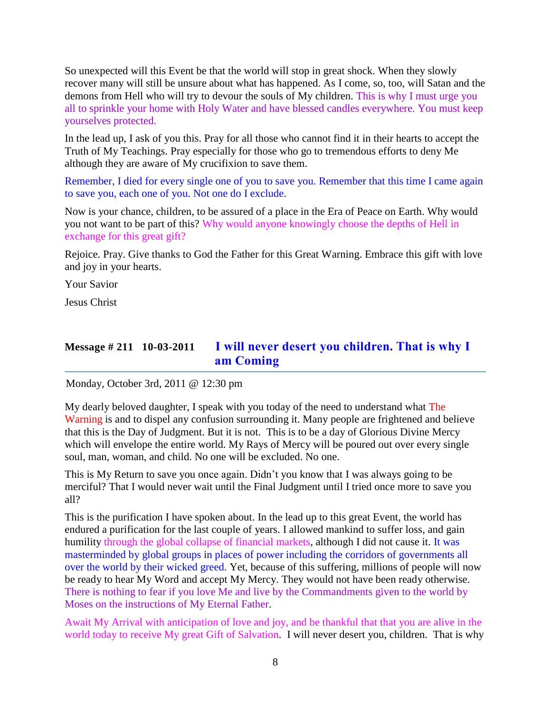So unexpected will this Event be that the world will stop in great shock. When they slowly recover many will still be unsure about what has happened. As I come, so, too, will Satan and the demons from Hell who will try to devour the souls of My children. This is why I must urge you all to sprinkle your home with Holy Water and have blessed candles everywhere. You must keep yourselves protected.

In the lead up, I ask of you this. Pray for all those who cannot find it in their hearts to accept the Truth of My Teachings. Pray especially for those who go to tremendous efforts to deny Me although they are aware of My crucifixion to save them.

Remember, I died for every single one of you to save you. Remember that this time I came again to save you, each one of you. Not one do I exclude.

Now is your chance, children, to be assured of a place in the Era of Peace on Earth. Why would you not want to be part of this? Why would anyone knowingly choose the depths of Hell in exchange for this great gift?

Rejoice. Pray. Give thanks to God the Father for this Great Warning. Embrace this gift with love and joy in your hearts.

Your Savior

Jesus Christ

# **Message # 211 10-03-2011 [I will never desert you children. That is why I](http://www.thewarningsecondcoming.com/i-will-never-desert-you-children-that-is-why-i-am-coming/)  am [Coming](http://www.thewarningsecondcoming.com/i-will-never-desert-you-children-that-is-why-i-am-coming/)**

Monday, October 3rd, 2011 @ 12:30 pm

My dearly beloved daughter, I speak with you today of the need to understand what The Warning is and to dispel any confusion surrounding it. Many people are frightened and believe that this is the Day of Judgment. But it is not. This is to be a day of Glorious Divine Mercy which will envelope the entire world. My Rays of Mercy will be poured out over every single soul, man, woman, and child. No one will be excluded. No one.

This is My Return to save you once again. Didn't you know that I was always going to be merciful? That I would never wait until the Final Judgment until I tried once more to save you all?

This is the purification I have spoken about. In the lead up to this great Event, the world has endured a purification for the last couple of years. I allowed mankind to suffer loss, and gain humility through the global collapse of financial markets, although I did not cause it. It was masterminded by global groups in places of power including the corridors of governments all over the world by their wicked greed. Yet, because of this suffering, millions of people will now be ready to hear My Word and accept My Mercy. They would not have been ready otherwise. There is nothing to fear if you love Me and live by the Commandments given to the world by Moses on the instructions of My Eternal Father.

Await My Arrival with anticipation of love and joy, and be thankful that that you are alive in the world today to receive My great Gift of Salvation. I will never desert you, children. That is why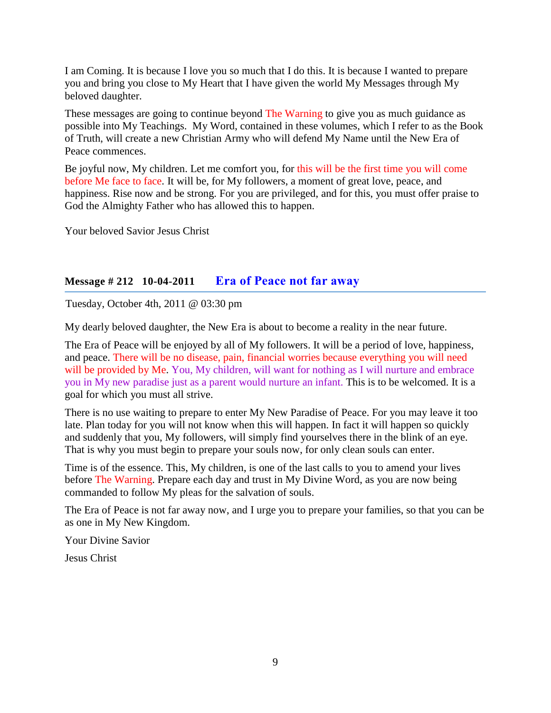I am Coming. It is because I love you so much that I do this. It is because I wanted to prepare you and bring you close to My Heart that I have given the world My Messages through My beloved daughter.

These messages are going to continue beyond The Warning to give you as much guidance as possible into My Teachings. My Word, contained in these volumes, which I refer to as the Book of Truth, will create a new Christian Army who will defend My Name until the New Era of Peace commences.

Be joyful now, My children. Let me comfort you, for this will be the first time you will come before Me face to face. It will be, for My followers, a moment of great love, peace, and happiness. Rise now and be strong. For you are privileged, and for this, you must offer praise to God the Almighty Father who has allowed this to happen.

Your beloved Savior Jesus Christ

#### **Message # 212 10-04-2011 [Era of Peace not far away](http://www.thewarningsecondcoming.com/era-of-peace-not-far-away/)**

Tuesday, October 4th, 2011 @ 03:30 pm

My dearly beloved daughter, the New Era is about to become a reality in the near future.

The Era of Peace will be enjoyed by all of My followers. It will be a period of love, happiness, and peace. There will be no disease, pain, financial worries because everything you will need will be provided by Me. You, My children, will want for nothing as I will nurture and embrace you in My new paradise just as a parent would nurture an infant. This is to be welcomed. It is a goal for which you must all strive.

There is no use waiting to prepare to enter My New Paradise of Peace. For you may leave it too late. Plan today for you will not know when this will happen. In fact it will happen so quickly and suddenly that you, My followers, will simply find yourselves there in the blink of an eye. That is why you must begin to prepare your souls now, for only clean souls can enter.

Time is of the essence. This, My children, is one of the last calls to you to amend your lives before The Warning. Prepare each day and trust in My Divine Word, as you are now being commanded to follow My pleas for the salvation of souls.

The Era of Peace is not far away now, and I urge you to prepare your families, so that you can be as one in My New Kingdom.

Your Divine Savior

Jesus Christ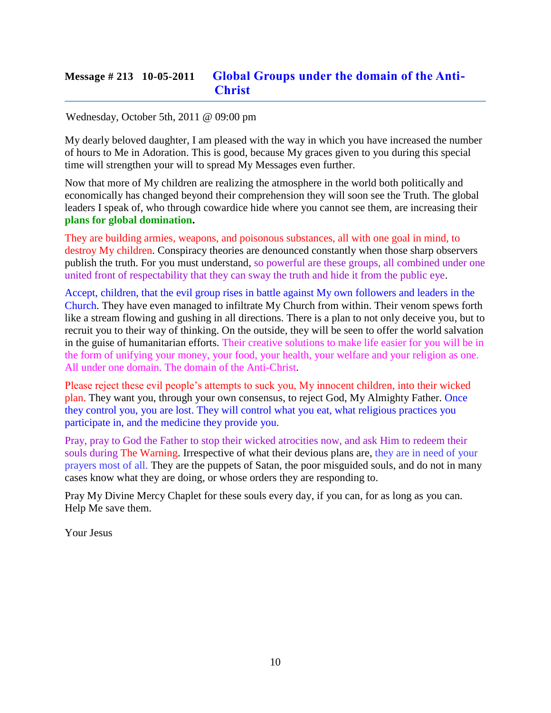# **Message # 213 10-05-2011 [Global Groups under the domain of the Anti-](http://www.thewarningsecondcoming.com/global-groups-under-the-domain-of-the-anti-christ/)[Christ](http://www.thewarningsecondcoming.com/global-groups-under-the-domain-of-the-anti-christ/)**

#### Wednesday, October 5th, 2011 @ 09:00 pm

My dearly beloved daughter, I am pleased with the way in which you have increased the number of hours to Me in Adoration. This is good, because My graces given to you during this special time will strengthen your will to spread My Messages even further.

Now that more of My children are realizing the atmosphere in the world both politically and economically has changed beyond their comprehension they will soon see the Truth. The global leaders I speak of, who through cowardice hide where you cannot see them, are increasing their **plans for global domination.**

They are building armies, weapons, and poisonous substances, all with one goal in mind, to destroy My children. Conspiracy theories are denounced constantly when those sharp observers publish the truth. For you must understand, so powerful are these groups, all combined under one united front of respectability that they can sway the truth and hide it from the public eye.

Accept, children, that the evil group rises in battle against My own followers and leaders in the Church. They have even managed to infiltrate My Church from within. Their venom spews forth like a stream flowing and gushing in all directions. There is a plan to not only deceive you, but to recruit you to their way of thinking. On the outside, they will be seen to offer the world salvation in the guise of humanitarian efforts. Their creative solutions to make life easier for you will be in the form of unifying your money, your food, your health, your welfare and your religion as one. All under one domain. The domain of the Anti-Christ.

Please reject these evil people's attempts to suck you, My innocent children, into their wicked plan. They want you, through your own consensus, to reject God, My Almighty Father. Once they control you, you are lost. They will control what you eat, what religious practices you participate in, and the medicine they provide you.

Pray, pray to God the Father to stop their wicked atrocities now, and ask Him to redeem their souls during The Warning. Irrespective of what their devious plans are, they are in need of your prayers most of all. They are the puppets of Satan, the poor misguided souls, and do not in many cases know what they are doing, or whose orders they are responding to.

Pray My Divine Mercy Chaplet for these souls every day, if you can, for as long as you can. Help Me save them.

Your Jesus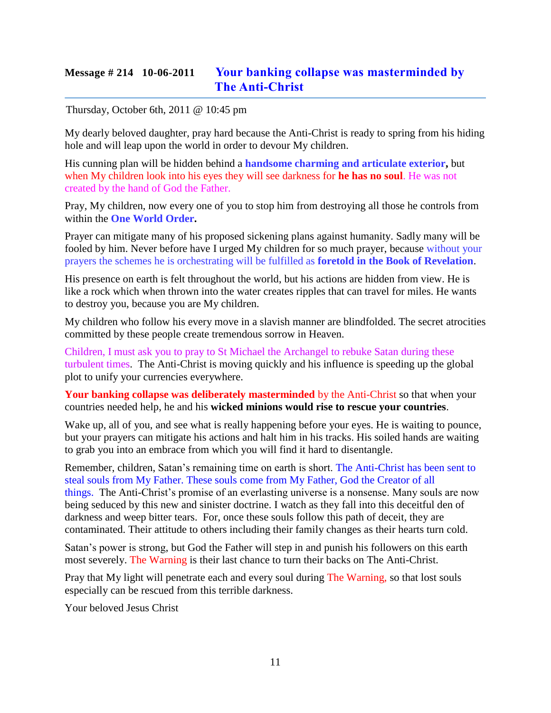# **Message # 214 10-06-2011 [Your banking collapse was masterminded by](http://www.thewarningsecondcoming.com/your-banking-collapse-was-masterminded-by-the-anti-christ/)  [The Anti-Christ](http://www.thewarningsecondcoming.com/your-banking-collapse-was-masterminded-by-the-anti-christ/)**

#### Thursday, October 6th, 2011 @ 10:45 pm

My dearly beloved daughter, pray hard because the Anti-Christ is ready to spring from his hiding hole and will leap upon the world in order to devour My children.

His cunning plan will be hidden behind a **handsome charming and articulate exterior,** but when My children look into his eyes they will see darkness for **he has no soul**. He was not created by the hand of God the Father.

Pray, My children, now every one of you to stop him from destroying all those he controls from within the **One World Order.**

Prayer can mitigate many of his proposed sickening plans against humanity. Sadly many will be fooled by him. Never before have I urged My children for so much prayer, because without your prayers the schemes he is orchestrating will be fulfilled as **foretold in the Book of Revelation**.

His presence on earth is felt throughout the world, but his actions are hidden from view. He is like a rock which when thrown into the water creates ripples that can travel for miles. He wants to destroy you, because you are My children.

My children who follow his every move in a slavish manner are blindfolded. The secret atrocities committed by these people create tremendous sorrow in Heaven.

Children, I must ask you to pray to St Michael the Archangel to rebuke Satan during these turbulent times. The Anti-Christ is moving quickly and his influence is speeding up the global plot to unify your currencies everywhere.

**Your banking collapse was deliberately masterminded** by the Anti-Christ so that when your countries needed help, he and his **wicked minions would rise to rescue your countries**.

Wake up, all of you, and see what is really happening before your eyes. He is waiting to pounce, but your prayers can mitigate his actions and halt him in his tracks. His soiled hands are waiting to grab you into an embrace from which you will find it hard to disentangle.

Remember, children, Satan's remaining time on earth is short. The Anti-Christ has been sent to steal souls from My Father. These souls come from My Father, God the Creator of all things. The Anti-Christ's promise of an everlasting universe is a nonsense. Many souls are now being seduced by this new and sinister doctrine. I watch as they fall into this deceitful den of darkness and weep bitter tears. For, once these souls follow this path of deceit, they are contaminated. Their attitude to others including their family changes as their hearts turn cold.

Satan's power is strong, but God the Father will step in and punish his followers on this earth most severely. The Warning is their last chance to turn their backs on The Anti-Christ.

Pray that My light will penetrate each and every soul during The Warning, so that lost souls especially can be rescued from this terrible darkness.

Your beloved Jesus Christ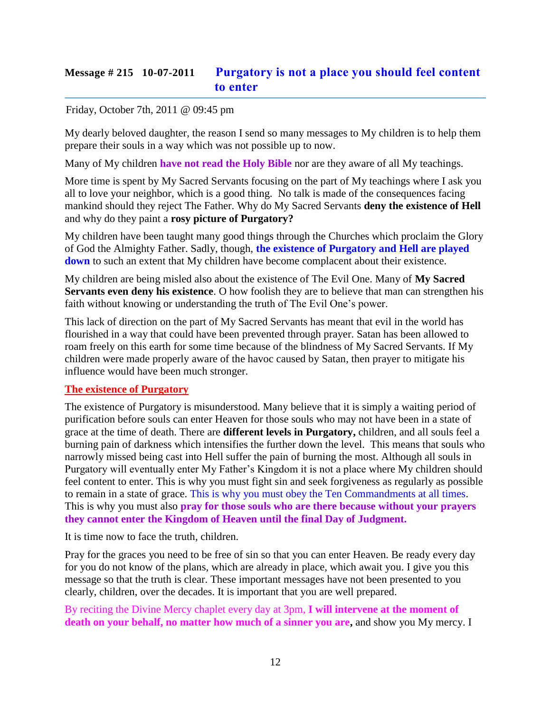# **Message # 215 10-07-2011 [Purgatory is not a place you should feel content](http://www.thewarningsecondcoming.com/purgatory-is-not-a-place-you-should-feel-content-to-enter/)  [to enter](http://www.thewarningsecondcoming.com/purgatory-is-not-a-place-you-should-feel-content-to-enter/)**

#### Friday, October 7th, 2011 @ 09:45 pm

My dearly beloved daughter, the reason I send so many messages to My children is to help them prepare their souls in a way which was not possible up to now.

Many of My children **have not read the Holy Bible** nor are they aware of all My teachings.

More time is spent by My Sacred Servants focusing on the part of My teachings where I ask you all to love your neighbor, which is a good thing. No talk is made of the consequences facing mankind should they reject The Father. Why do My Sacred Servants **deny the existence of Hell** and why do they paint a **rosy picture of Purgatory?**

My children have been taught many good things through the Churches which proclaim the Glory of God the Almighty Father. Sadly, though, **the existence of Purgatory and Hell are played down** to such an extent that My children have become complacent about their existence.

My children are being misled also about the existence of The Evil One. Many of **My Sacred Servants even deny his existence**. O how foolish they are to believe that man can strengthen his faith without knowing or understanding the truth of The Evil One's power.

This lack of direction on the part of My Sacred Servants has meant that evil in the world has flourished in a way that could have been prevented through prayer. Satan has been allowed to roam freely on this earth for some time because of the blindness of My Sacred Servants. If My children were made properly aware of the havoc caused by Satan, then prayer to mitigate his influence would have been much stronger.

#### **The existence of Purgatory**

The existence of Purgatory is misunderstood. Many believe that it is simply a waiting period of purification before souls can enter Heaven for those souls who may not have been in a state of grace at the time of death. There are **different levels in Purgatory,** children, and all souls feel a burning pain of darkness which intensifies the further down the level. This means that souls who narrowly missed being cast into Hell suffer the pain of burning the most. Although all souls in Purgatory will eventually enter My Father's Kingdom it is not a place where My children should feel content to enter. This is why you must fight sin and seek forgiveness as regularly as possible to remain in a state of grace. This is why you must obey the Ten Commandments at all times. This is why you must also **pray for those souls who are there because without your prayers they cannot enter the Kingdom of Heaven until the final Day of Judgment.**

It is time now to face the truth, children.

Pray for the graces you need to be free of sin so that you can enter Heaven. Be ready every day for you do not know of the plans, which are already in place, which await you. I give you this message so that the truth is clear. These important messages have not been presented to you clearly, children, over the decades. It is important that you are well prepared.

By reciting the Divine Mercy chaplet every day at 3pm, **I will intervene at the moment of death on your behalf, no matter how much of a sinner you are,** and show you My mercy. I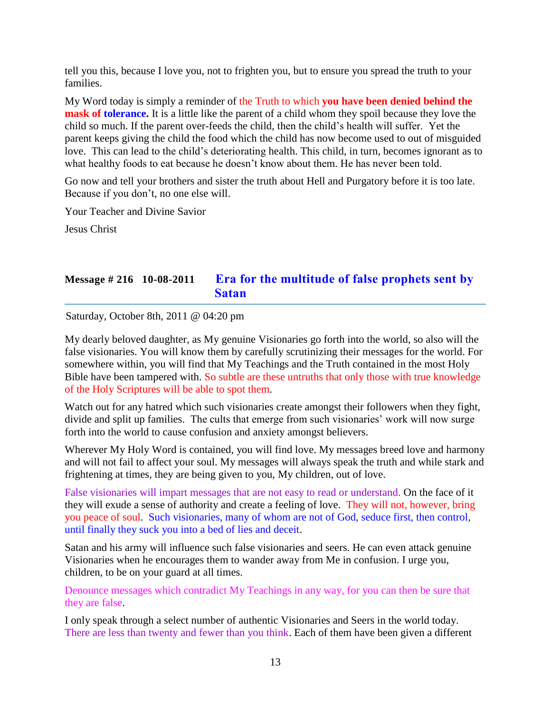tell you this, because I love you, not to frighten you, but to ensure you spread the truth to your families.

My Word today is simply a reminder of the Truth to which **you have been denied behind the mask of tolerance.** It is a little like the parent of a child whom they spoil because they love the child so much. If the parent over-feeds the child, then the child's health will suffer. Yet the parent keeps giving the child the food which the child has now become used to out of misguided love. This can lead to the child's deteriorating health. This child, in turn, becomes ignorant as to what healthy foods to eat because he doesn't know about them. He has never been told.

Go now and tell your brothers and sister the truth about Hell and Purgatory before it is too late. Because if you don't, no one else will.

Your Teacher and Divine Savior

Jesus Christ

# **Message # 216 10-08-2011 Era [for the multitude of false prophets sent by](http://www.thewarningsecondcoming.com/era-for-the-multitude-of-false-prophets-sent-by-satan/)  [Satan](http://www.thewarningsecondcoming.com/era-for-the-multitude-of-false-prophets-sent-by-satan/)**

Saturday, October 8th, 2011 @ 04:20 pm

My dearly beloved daughter, as My genuine Visionaries go forth into the world, so also will the false visionaries. You will know them by carefully scrutinizing their messages for the world. For somewhere within, you will find that My Teachings and the Truth contained in the most Holy Bible have been tampered with. So subtle are these untruths that only those with true knowledge of the Holy Scriptures will be able to spot them.

Watch out for any hatred which such visionaries create amongst their followers when they fight, divide and split up families. The cults that emerge from such visionaries' work will now surge forth into the world to cause confusion and anxiety amongst believers.

Wherever My Holy Word is contained, you will find love. My messages breed love and harmony and will not fail to affect your soul. My messages will always speak the truth and while stark and frightening at times, they are being given to you, My children, out of love.

False visionaries will impart messages that are not easy to read or understand. On the face of it they will exude a sense of authority and create a feeling of love. They will not, however, bring you peace of soul. Such visionaries, many of whom are not of God, seduce first, then control, until finally they suck you into a bed of lies and deceit.

Satan and his army will influence such false visionaries and seers. He can even attack genuine Visionaries when he encourages them to wander away from Me in confusion. I urge you, children, to be on your guard at all times.

Denounce messages which contradict My Teachings in any way, for you can then be sure that they are false.

I only speak through a select number of authentic Visionaries and Seers in the world today. There are less than twenty and fewer than you think. Each of them have been given a different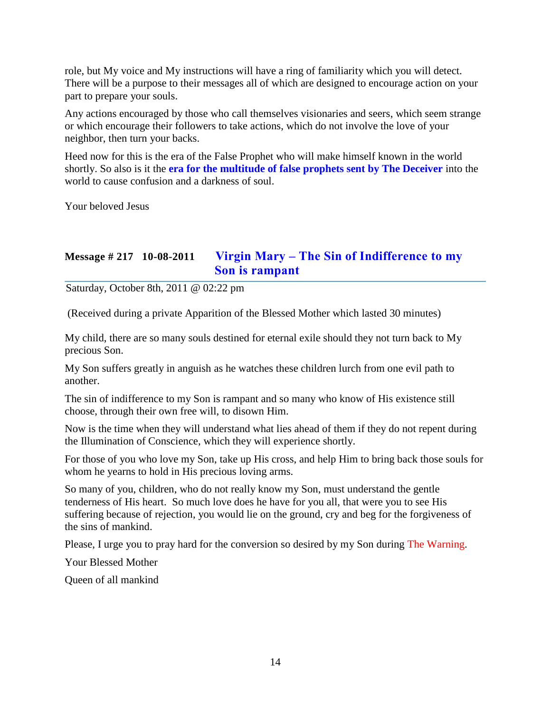role, but My voice and My instructions will have a ring of familiarity which you will detect. There will be a purpose to their messages all of which are designed to encourage action on your part to prepare your souls.

Any actions encouraged by those who call themselves visionaries and seers, which seem strange or which encourage their followers to take actions, which do not involve the love of your neighbor, then turn your backs.

Heed now for this is the era of the False Prophet who will make himself known in the world shortly. So also is it the **era for the multitude of false prophets sent by The Deceiver** into the world to cause confusion and a darkness of soul.

Your beloved Jesus

# **Message # 217 10-08-2011 Virgin Mary – [The Sin of Indifference to my](http://www.thewarningsecondcoming.com/virgin-mary-the-sin-of-indifference-to-my-son-is-rampant/)  [Son is rampant](http://www.thewarningsecondcoming.com/virgin-mary-the-sin-of-indifference-to-my-son-is-rampant/)**

Saturday, October 8th, 2011 @ 02:22 pm

(Received during a private Apparition of the Blessed Mother which lasted 30 minutes)

My child, there are so many souls destined for eternal exile should they not turn back to My precious Son.

My Son suffers greatly in anguish as he watches these children lurch from one evil path to another.

The sin of indifference to my Son is rampant and so many who know of His existence still choose, through their own free will, to disown Him.

Now is the time when they will understand what lies ahead of them if they do not repent during the Illumination of Conscience, which they will experience shortly.

For those of you who love my Son, take up His cross, and help Him to bring back those souls for whom he yearns to hold in His precious loving arms.

So many of you, children, who do not really know my Son, must understand the gentle tenderness of His heart. So much love does he have for you all, that were you to see His suffering because of rejection, you would lie on the ground, cry and beg for the forgiveness of the sins of mankind.

Please, I urge you to pray hard for the conversion so desired by my Son during The Warning.

Your Blessed Mother

Queen of all mankind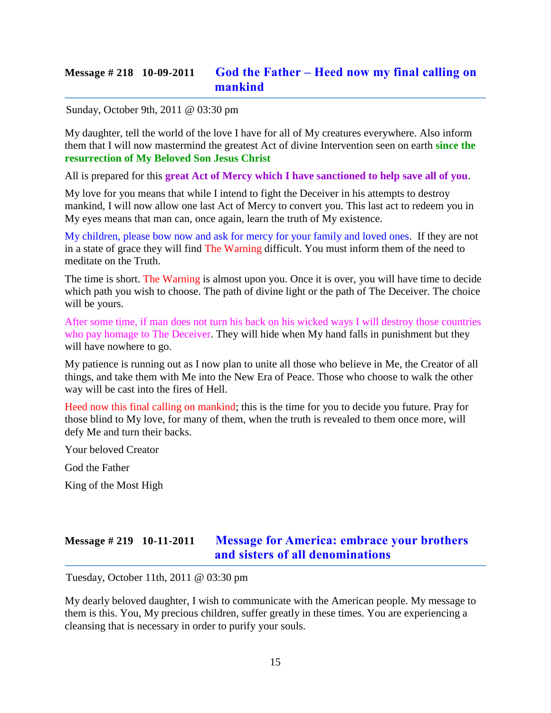## **Message # 218 10-09-2011 God the Father – Heed [now my final calling on](http://www.thewarningsecondcoming.com/god-the-father-heed-now-my-final-calling-on-mankind/)  [mankind](http://www.thewarningsecondcoming.com/god-the-father-heed-now-my-final-calling-on-mankind/)**

Sunday, October 9th, 2011 @ 03:30 pm

My daughter, tell the world of the love I have for all of My creatures everywhere. Also inform them that I will now mastermind the greatest Act of divine Intervention seen on earth **since the resurrection of My Beloved Son Jesus Christ**

All is prepared for this **great Act of Mercy which I have sanctioned to help save all of you**.

My love for you means that while I intend to fight the Deceiver in his attempts to destroy mankind, I will now allow one last Act of Mercy to convert you. This last act to redeem you in My eyes means that man can, once again, learn the truth of My existence.

My children, please bow now and ask for mercy for your family and loved ones. If they are not in a state of grace they will find The Warning difficult. You must inform them of the need to meditate on the Truth.

The time is short. The Warning is almost upon you. Once it is over, you will have time to decide which path you wish to choose. The path of divine light or the path of The Deceiver. The choice will be yours.

After some time, if man does not turn his back on his wicked ways I will destroy those countries who pay homage to The Deceiver. They will hide when My hand falls in punishment but they will have nowhere to go.

My patience is running out as I now plan to unite all those who believe in Me, the Creator of all things, and take them with Me into the New Era of Peace. Those who choose to walk the other way will be cast into the fires of Hell.

Heed now this final calling on mankind; this is the time for you to decide you future. Pray for those blind to My love, for many of them, when the truth is revealed to them once more, will defy Me and turn their backs.

Your beloved Creator

God the Father

King of the Most High

# **Message # 219 10-11-2011 [Message for America: embrace your brothers](http://www.thewarningsecondcoming.com/message-for-america-embrace-your-brothers-and-sisters-of-all-denominations/)  [and sisters of all denominations](http://www.thewarningsecondcoming.com/message-for-america-embrace-your-brothers-and-sisters-of-all-denominations/)**

Tuesday, October 11th, 2011 @ 03:30 pm

My dearly beloved daughter, I wish to communicate with the American people. My message to them is this. You, My precious children, suffer greatly in these times. You are experiencing a cleansing that is necessary in order to purify your souls.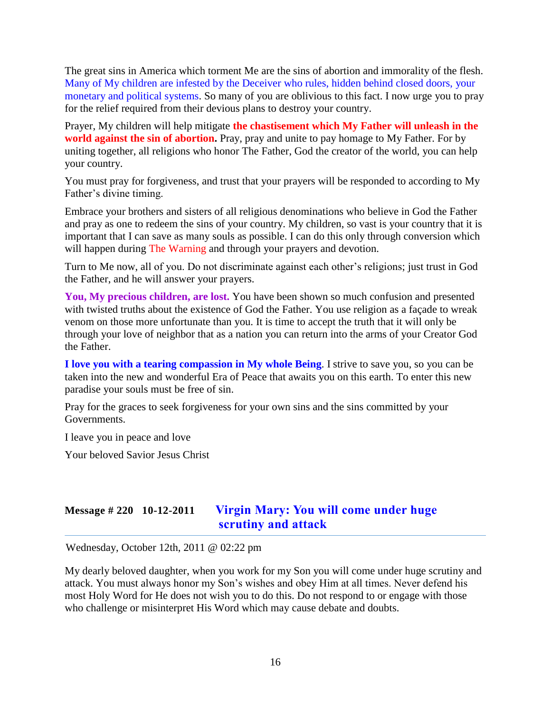The great sins in America which torment Me are the sins of abortion and immorality of the flesh. Many of My children are infested by the Deceiver who rules, hidden behind closed doors, your monetary and political systems. So many of you are oblivious to this fact. I now urge you to pray for the relief required from their devious plans to destroy your country.

Prayer, My children will help mitigate **the chastisement which My Father will unleash in the world against the sin of abortion.** Pray, pray and unite to pay homage to My Father. For by uniting together, all religions who honor The Father, God the creator of the world, you can help your country.

You must pray for forgiveness, and trust that your prayers will be responded to according to My Father's divine timing.

Embrace your brothers and sisters of all religious denominations who believe in God the Father and pray as one to redeem the sins of your country. My children, so vast is your country that it is important that I can save as many souls as possible. I can do this only through conversion which will happen during The Warning and through your prayers and devotion.

Turn to Me now, all of you. Do not discriminate against each other's religions; just trust in God the Father, and he will answer your prayers.

**You, My precious children, are lost.** You have been shown so much confusion and presented with twisted truths about the existence of God the Father. You use religion as a façade to wreak venom on those more unfortunate than you. It is time to accept the truth that it will only be through your love of neighbor that as a nation you can return into the arms of your Creator God the Father.

**I love you with a tearing compassion in My whole Being**. I strive to save you, so you can be taken into the new and wonderful Era of Peace that awaits you on this earth. To enter this new paradise your souls must be free of sin.

Pray for the graces to seek forgiveness for your own sins and the sins committed by your Governments.

I leave you in peace and love

Your beloved Savior Jesus Christ

### **Message # 220 10-12-2011 [Virgin Mary: You will come under huge](http://www.thewarningsecondcoming.com/virgin-mary-you-will-come-under-huge-scrutiny-and-attack/)  [scrutiny and attack](http://www.thewarningsecondcoming.com/virgin-mary-you-will-come-under-huge-scrutiny-and-attack/)**

Wednesday, October 12th, 2011 @ 02:22 pm

My dearly beloved daughter, when you work for my Son you will come under huge scrutiny and attack. You must always honor my Son's wishes and obey Him at all times. Never defend his most Holy Word for He does not wish you to do this. Do not respond to or engage with those who challenge or misinterpret His Word which may cause debate and doubts.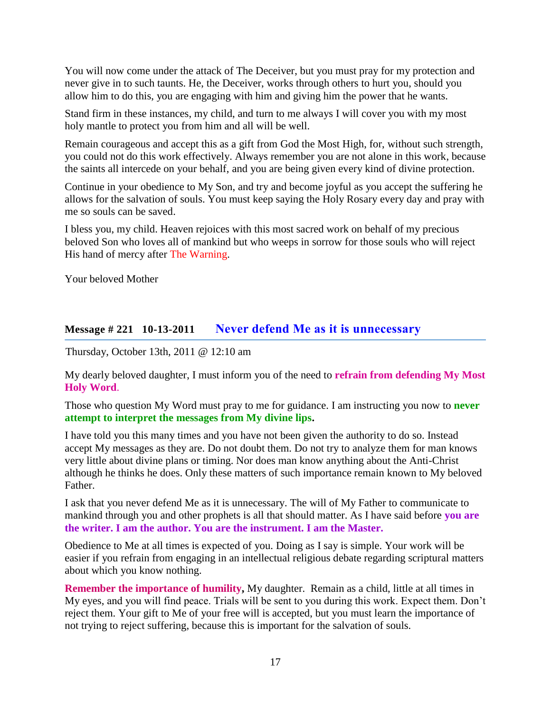You will now come under the attack of The Deceiver, but you must pray for my protection and never give in to such taunts. He, the Deceiver, works through others to hurt you, should you allow him to do this, you are engaging with him and giving him the power that he wants.

Stand firm in these instances, my child, and turn to me always I will cover you with my most holy mantle to protect you from him and all will be well.

Remain courageous and accept this as a gift from God the Most High, for, without such strength, you could not do this work effectively. Always remember you are not alone in this work, because the saints all intercede on your behalf, and you are being given every kind of divine protection.

Continue in your obedience to My Son, and try and become joyful as you accept the suffering he allows for the salvation of souls. You must keep saying the Holy Rosary every day and pray with me so souls can be saved.

I bless you, my child. Heaven rejoices with this most sacred work on behalf of my precious beloved Son who loves all of mankind but who weeps in sorrow for those souls who will reject His hand of mercy after The Warning.

Your beloved Mother

# **Message # 221 10-13-2011 [Never defend Me as it is unnecessary](http://www.thewarningsecondcoming.com/never-defend-me-as-it-is-unnecessary/)**

Thursday, October 13th, 2011 @ 12:10 am

My dearly beloved daughter, I must inform you of the need to **refrain from defending My Most Holy Word**.

Those who question My Word must pray to me for guidance. I am instructing you now to **never attempt to interpret the messages from My divine lips.**

I have told you this many times and you have not been given the authority to do so. Instead accept My messages as they are. Do not doubt them. Do not try to analyze them for man knows very little about divine plans or timing. Nor does man know anything about the Anti-Christ although he thinks he does. Only these matters of such importance remain known to My beloved Father.

I ask that you never defend Me as it is unnecessary. The will of My Father to communicate to mankind through you and other prophets is all that should matter. As I have said before **you are the writer. I am the author. You are the instrument. I am the Master.** 

Obedience to Me at all times is expected of you. Doing as I say is simple. Your work will be easier if you refrain from engaging in an intellectual religious debate regarding scriptural matters about which you know nothing.

**Remember the importance of humility,** My daughter. Remain as a child, little at all times in My eyes, and you will find peace. Trials will be sent to you during this work. Expect them. Don't reject them. Your gift to Me of your free will is accepted, but you must learn the importance of not trying to reject suffering, because this is important for the salvation of souls.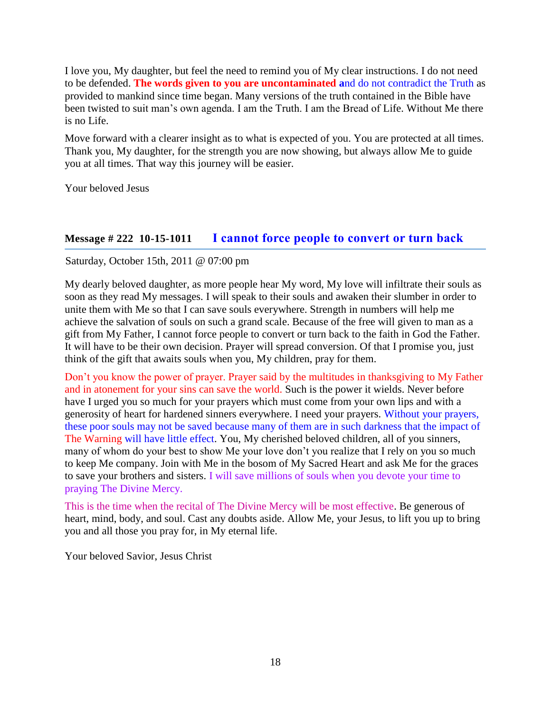I love you, My daughter, but feel the need to remind you of My clear instructions. I do not need to be defended. **The words given to you are uncontaminated a**nd do not contradict the Truth as provided to mankind since time began. Many versions of the truth contained in the Bible have been twisted to suit man's own agenda. I am the Truth. I am the Bread of Life. Without Me there is no Life.

Move forward with a clearer insight as to what is expected of you. You are protected at all times. Thank you, My daughter, for the strength you are now showing, but always allow Me to guide you at all times. That way this journey will be easier.

Your beloved Jesus

### **Message # 222 10-15-1011 [I cannot force people to convert or turn back](http://www.thewarningsecondcoming.com/i-cannot-force-people-to-convert-or-turn-back/)**

Saturday, October 15th, 2011 @ 07:00 pm

My dearly beloved daughter, as more people hear My word, My love will infiltrate their souls as soon as they read My messages. I will speak to their souls and awaken their slumber in order to unite them with Me so that I can save souls everywhere. Strength in numbers will help me achieve the salvation of souls on such a grand scale. Because of the free will given to man as a gift from My Father, I cannot force people to convert or turn back to the faith in God the Father. It will have to be their own decision. Prayer will spread conversion. Of that I promise you, just think of the gift that awaits souls when you, My children, pray for them.

Don't you know the power of prayer. Prayer said by the multitudes in thanksgiving to My Father and in atonement for your sins can save the world. Such is the power it wields. Never before have I urged you so much for your prayers which must come from your own lips and with a generosity of heart for hardened sinners everywhere. I need your prayers. Without your prayers, these poor souls may not be saved because many of them are in such darkness that the impact of The Warning will have little effect. You, My cherished beloved children, all of you sinners, many of whom do your best to show Me your love don't you realize that I rely on you so much to keep Me company. Join with Me in the bosom of My Sacred Heart and ask Me for the graces to save your brothers and sisters. I will save millions of souls when you devote your time to praying The Divine Mercy.

This is the time when the recital of The Divine Mercy will be most effective. Be generous of heart, mind, body, and soul. Cast any doubts aside. Allow Me, your Jesus, to lift you up to bring you and all those you pray for, in My eternal life.

Your beloved Savior, Jesus Christ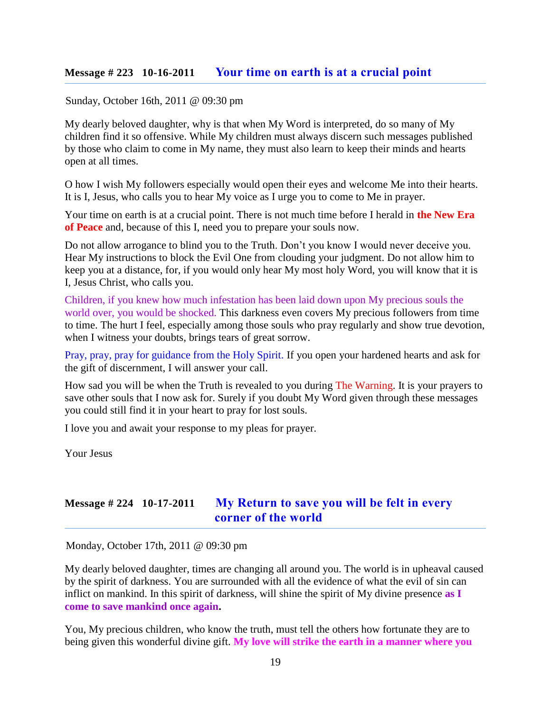#### **Message # 223 10-16-2011 [Your time on earth is at a crucial point](http://www.thewarningsecondcoming.com/your-time-on-earth-is-at-a-crucial-point/)**

#### Sunday, October 16th, 2011 @ 09:30 pm

My dearly beloved daughter, why is that when My Word is interpreted, do so many of My children find it so offensive. While My children must always discern such messages published by those who claim to come in My name, they must also learn to keep their minds and hearts open at all times.

O how I wish My followers especially would open their eyes and welcome Me into their hearts. It is I, Jesus, who calls you to hear My voice as I urge you to come to Me in prayer.

Your time on earth is at a crucial point. There is not much time before I herald in **the New Era of Peace** and, because of this I, need you to prepare your souls now.

Do not allow arrogance to blind you to the Truth. Don't you know I would never deceive you. Hear My instructions to block the Evil One from clouding your judgment. Do not allow him to keep you at a distance, for, if you would only hear My most holy Word, you will know that it is I, Jesus Christ, who calls you.

Children, if you knew how much infestation has been laid down upon My precious souls the world over, you would be shocked. This darkness even covers My precious followers from time to time. The hurt I feel, especially among those souls who pray regularly and show true devotion, when I witness your doubts, brings tears of great sorrow.

Pray, pray, pray for guidance from the Holy Spirit. If you open your hardened hearts and ask for the gift of discernment, I will answer your call.

How sad you will be when the Truth is revealed to you during The Warning. It is your prayers to save other souls that I now ask for. Surely if you doubt My Word given through these messages you could still find it in your heart to pray for lost souls.

I love you and await your response to my pleas for prayer.

Your Jesus

### **Message # 224 10-17-2011 [My Return to save you will be felt in every](http://www.thewarningsecondcoming.com/my-return-to-save-you-will-be-felt-in-every-corner-of-the-world/)  [corner of the world](http://www.thewarningsecondcoming.com/my-return-to-save-you-will-be-felt-in-every-corner-of-the-world/)**

Monday, October 17th, 2011 @ 09:30 pm

My dearly beloved daughter, times are changing all around you. The world is in upheaval caused by the spirit of darkness. You are surrounded with all the evidence of what the evil of sin can inflict on mankind. In this spirit of darkness, will shine the spirit of My divine presence **as I come to save mankind once again.**

You, My precious children, who know the truth, must tell the others how fortunate they are to being given this wonderful divine gift. **My love will strike the earth in a manner where you**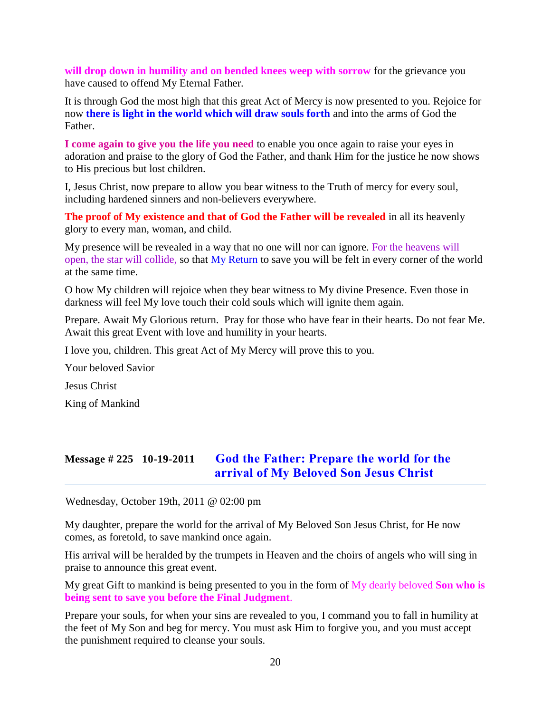**will drop down in humility and on bended knees weep with sorrow** for the grievance you have caused to offend My Eternal Father.

It is through God the most high that this great Act of Mercy is now presented to you. Rejoice for now **there is light in the world which will draw souls forth** and into the arms of God the Father.

**I come again to give you the life you need** to enable you once again to raise your eyes in adoration and praise to the glory of God the Father, and thank Him for the justice he now shows to His precious but lost children.

I, Jesus Christ, now prepare to allow you bear witness to the Truth of mercy for every soul, including hardened sinners and non-believers everywhere.

**The proof of My existence and that of God the Father will be revealed** in all its heavenly glory to every man, woman, and child.

My presence will be revealed in a way that no one will nor can ignore. For the heavens will open, the star will collide, so that My Return to save you will be felt in every corner of the world at the same time.

O how My children will rejoice when they bear witness to My divine Presence. Even those in darkness will feel My love touch their cold souls which will ignite them again.

Prepare. Await My Glorious return. Pray for those who have fear in their hearts. Do not fear Me. Await this great Event with love and humility in your hearts.

I love you, children. This great Act of My Mercy will prove this to you.

Your beloved Savior

Jesus Christ

King of Mankind

# **Message # 225 10-19-2011 [God the Father: Prepare the world for the](http://www.thewarningsecondcoming.com/god-the-father-prepare-the-world-for-the-arrival-of-my-beloved-son-jesus-christ/)  [arrival of My Beloved Son Jesus Christ](http://www.thewarningsecondcoming.com/god-the-father-prepare-the-world-for-the-arrival-of-my-beloved-son-jesus-christ/)**

Wednesday, October 19th, 2011 @ 02:00 pm

My daughter, prepare the world for the arrival of My Beloved Son Jesus Christ, for He now comes, as foretold, to save mankind once again.

His arrival will be heralded by the trumpets in Heaven and the choirs of angels who will sing in praise to announce this great event.

My great Gift to mankind is being presented to you in the form of My dearly beloved **Son who is being sent to save you before the Final Judgment**.

Prepare your souls, for when your sins are revealed to you, I command you to fall in humility at the feet of My Son and beg for mercy. You must ask Him to forgive you, and you must accept the punishment required to cleanse your souls.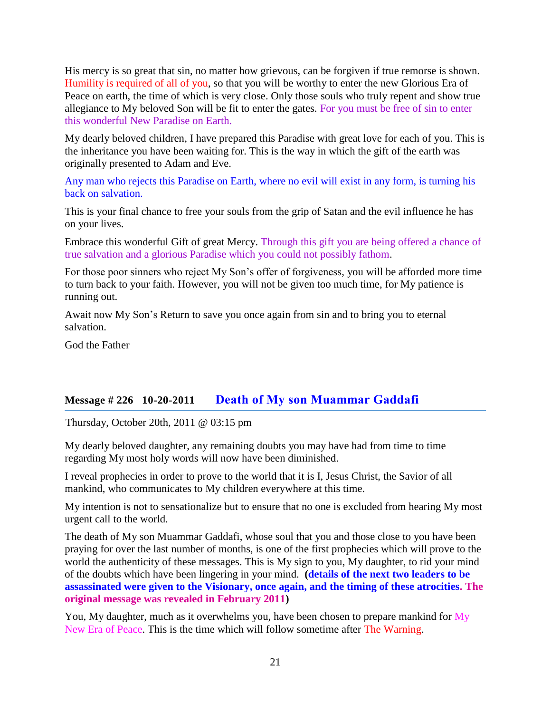His mercy is so great that sin, no matter how grievous, can be forgiven if true remorse is shown. Humility is required of all of you, so that you will be worthy to enter the new Glorious Era of Peace on earth, the time of which is very close. Only those souls who truly repent and show true allegiance to My beloved Son will be fit to enter the gates. For you must be free of sin to enter this wonderful New Paradise on Earth.

My dearly beloved children, I have prepared this Paradise with great love for each of you. This is the inheritance you have been waiting for. This is the way in which the gift of the earth was originally presented to Adam and Eve.

Any man who rejects this Paradise on Earth, where no evil will exist in any form, is turning his back on salvation.

This is your final chance to free your souls from the grip of Satan and the evil influence he has on your lives.

Embrace this wonderful Gift of great Mercy. Through this gift you are being offered a chance of true salvation and a glorious Paradise which you could not possibly fathom.

For those poor sinners who reject My Son's offer of forgiveness, you will be afforded more time to turn back to your faith. However, you will not be given too much time, for My patience is running out.

Await now My Son's Return to save you once again from sin and to bring you to eternal salvation.

God the Father

#### **Message # 226 10-20-2011 [Death of My son Muammar Gaddafi](http://www.thewarningsecondcoming.com/death-of-my-son-muammar-gaddafi/)**

Thursday, October 20th, 2011 @ 03:15 pm

My dearly beloved daughter, any remaining doubts you may have had from time to time regarding My most holy words will now have been diminished.

I reveal prophecies in order to prove to the world that it is I, Jesus Christ, the Savior of all mankind, who communicates to My children everywhere at this time.

My intention is not to sensationalize but to ensure that no one is excluded from hearing My most urgent call to the world.

The death of My son Muammar Gaddafi, whose soul that you and those close to you have been praying for over the last number of months, is one of the first prophecies which will prove to the world the authenticity of these messages. This is My sign to you, My daughter, to rid your mind of the doubts which have been lingering in your mind. **(details of the next two leaders to be assassinated were given to the Visionary, once again, and the timing of these atrocities. The original message was revealed in February 2011)**

You, My daughter, much as it overwhelms you, have been chosen to prepare mankind for My New Era of Peace. This is the time which will follow sometime after The Warning.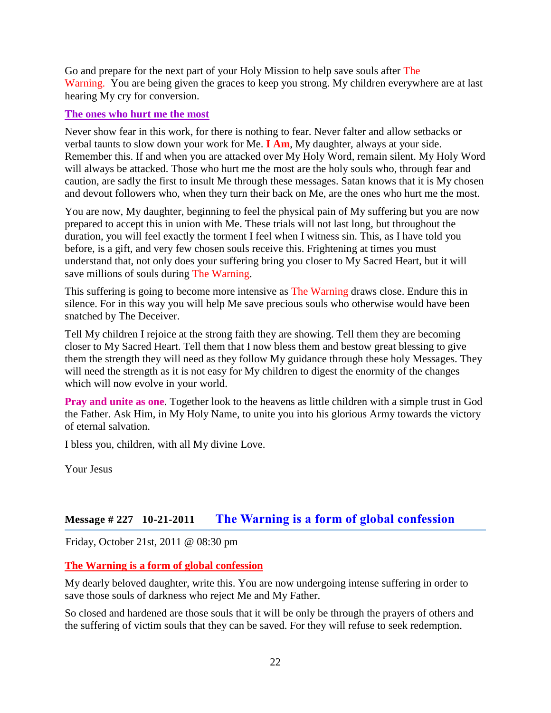Go and prepare for the next part of your Holy Mission to help save souls after The Warning. You are being given the graces to keep you strong. My children everywhere are at last hearing My cry for conversion.

#### **The ones who hurt me the most**

Never show fear in this work, for there is nothing to fear. Never falter and allow setbacks or verbal taunts to slow down your work for Me. **I Am**, My daughter, always at your side. Remember this. If and when you are attacked over My Holy Word, remain silent. My Holy Word will always be attacked. Those who hurt me the most are the holy souls who, through fear and caution, are sadly the first to insult Me through these messages. Satan knows that it is My chosen and devout followers who, when they turn their back on Me, are the ones who hurt me the most.

You are now, My daughter, beginning to feel the physical pain of My suffering but you are now prepared to accept this in union with Me. These trials will not last long, but throughout the duration, you will feel exactly the torment I feel when I witness sin. This, as I have told you before, is a gift, and very few chosen souls receive this. Frightening at times you must understand that, not only does your suffering bring you closer to My Sacred Heart, but it will save millions of souls during The Warning.

This suffering is going to become more intensive as The Warning draws close. Endure this in silence. For in this way you will help Me save precious souls who otherwise would have been snatched by The Deceiver.

Tell My children I rejoice at the strong faith they are showing. Tell them they are becoming closer to My Sacred Heart. Tell them that I now bless them and bestow great blessing to give them the strength they will need as they follow My guidance through these holy Messages. They will need the strength as it is not easy for My children to digest the enormity of the changes which will now evolve in your world.

**Pray and unite as one**. Together look to the heavens as little children with a simple trust in God the Father. Ask Him, in My Holy Name, to unite you into his glorious Army towards the victory of eternal salvation.

I bless you, children, with all My divine Love.

Your Jesus

# **Message # 227 10-21-2011 [The Warning is a form of global confession](http://www.thewarningsecondcoming.com/the-warning-is-a-form-of-global-confession/)**

Friday, October 21st, 2011 @ 08:30 pm

#### **The Warning is a form of global confession**

My dearly beloved daughter, write this. You are now undergoing intense suffering in order to save those souls of darkness who reject Me and My Father.

So closed and hardened are those souls that it will be only be through the prayers of others and the suffering of victim souls that they can be saved. For they will refuse to seek redemption.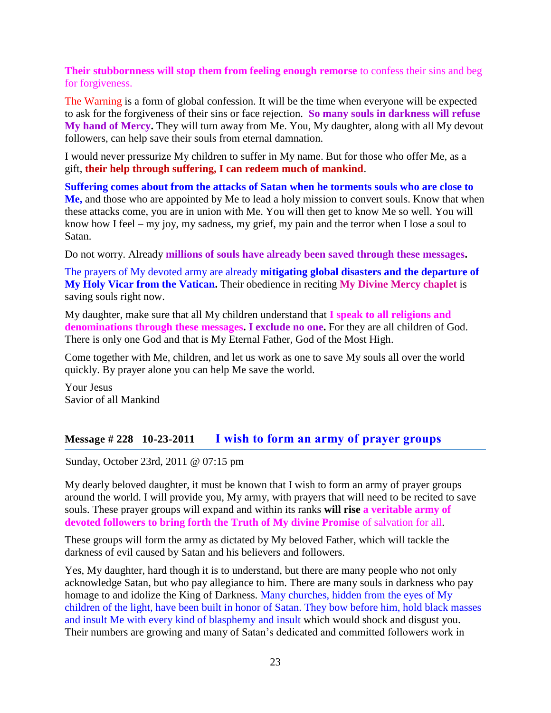#### **Their stubbornness will stop them from feeling enough remorse** to confess their sins and beg for forgiveness.

The Warning is a form of global confession. It will be the time when everyone will be expected to ask for the forgiveness of their sins or face rejection. **So many souls in darkness will refuse My hand of Mercy.** They will turn away from Me. You, My daughter, along with all My devout followers, can help save their souls from eternal damnation.

I would never pressurize My children to suffer in My name. But for those who offer Me, as a gift, **their help through suffering, I can redeem much of mankind**.

**Suffering comes about from the attacks of Satan when he torments souls who are close to Me,** and those who are appointed by Me to lead a holy mission to convert souls. Know that when these attacks come, you are in union with Me. You will then get to know Me so well. You will know how I feel – my joy, my sadness, my grief, my pain and the terror when I lose a soul to Satan.

Do not worry. Already **millions of souls have already been saved through these messages.** 

The prayers of My devoted army are already **mitigating global disasters and the departure of My Holy Vicar from the Vatican.** Their obedience in reciting **My Divine Mercy chaplet** is saving souls right now.

My daughter, make sure that all My children understand that **I speak to all religions and**  denominations through these messages. I exclude no one. For they are all children of God. There is only one God and that is My Eternal Father, God of the Most High.

Come together with Me, children, and let us work as one to save My souls all over the world quickly. By prayer alone you can help Me save the world.

Your Jesus Savior of all Mankind

#### **Message # 228 10-23-2011 [I wish to form an army of prayer groups](http://www.thewarningsecondcoming.com/i-wish-to-form-an-army-of-prayer-groups/)**

Sunday, October 23rd, 2011 @ 07:15 pm

My dearly beloved daughter, it must be known that I wish to form an army of prayer groups around the world. I will provide you, My army, with prayers that will need to be recited to save souls. These prayer groups will expand and within its ranks **will rise a veritable army of devoted followers to bring forth the Truth of My divine Promise** of salvation for all.

These groups will form the army as dictated by My beloved Father, which will tackle the darkness of evil caused by Satan and his believers and followers.

Yes, My daughter, hard though it is to understand, but there are many people who not only acknowledge Satan, but who pay allegiance to him. There are many souls in darkness who pay homage to and idolize the King of Darkness. Many churches, hidden from the eyes of My children of the light, have been built in honor of Satan. They bow before him, hold black masses and insult Me with every kind of blasphemy and insult which would shock and disgust you. Their numbers are growing and many of Satan's dedicated and committed followers work in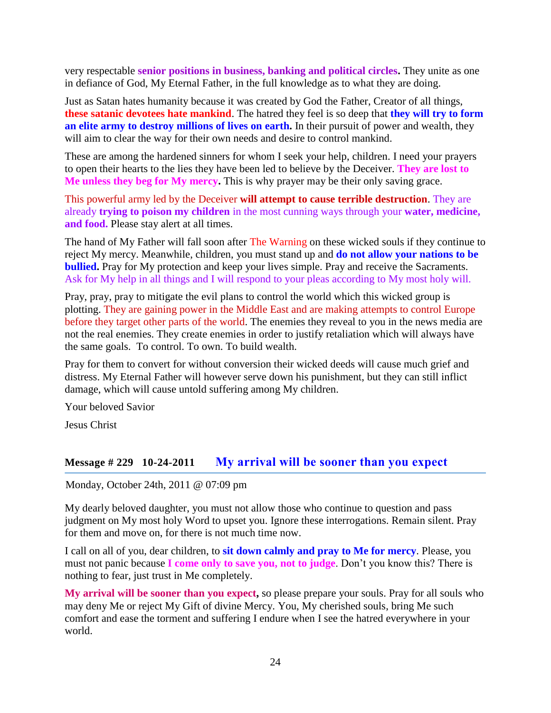very respectable **senior positions in business, banking and political circles.** They unite as one in defiance of God, My Eternal Father, in the full knowledge as to what they are doing.

Just as Satan hates humanity because it was created by God the Father, Creator of all things, **these satanic devotees hate mankind**. The hatred they feel is so deep that **they will try to form an elite army to destroy millions of lives on earth.** In their pursuit of power and wealth, they will aim to clear the way for their own needs and desire to control mankind.

These are among the hardened sinners for whom I seek your help, children. I need your prayers to open their hearts to the lies they have been led to believe by the Deceiver. **They are lost to Me unless they beg for My mercy.** This is why prayer may be their only saving grace.

This powerful army led by the Deceiver **will attempt to cause terrible destruction**. They are already **trying to poison my children** in the most cunning ways through your **water, medicine, and food.** Please stay alert at all times.

The hand of My Father will fall soon after The Warning on these wicked souls if they continue to reject My mercy. Meanwhile, children, you must stand up and **do not allow your nations to be bullied.** Pray for My protection and keep your lives simple. Pray and receive the Sacraments. Ask for My help in all things and I will respond to your pleas according to My most holy will.

Pray, pray, pray to mitigate the evil plans to control the world which this wicked group is plotting. They are gaining power in the Middle East and are making attempts to control Europe before they target other parts of the world. The enemies they reveal to you in the news media are not the real enemies. They create enemies in order to justify retaliation which will always have the same goals. To control. To own. To build wealth.

Pray for them to convert for without conversion their wicked deeds will cause much grief and distress. My Eternal Father will however serve down his punishment, but they can still inflict damage, which will cause untold suffering among My children.

Your beloved Savior

Jesus Christ

#### **Message # 229 10-24-2011 [My arrival will be sooner than you expect](http://www.thewarningsecondcoming.com/my-arrival-will-be-sooner-than-you-expect/)**

Monday, October 24th, 2011 @ 07:09 pm

My dearly beloved daughter, you must not allow those who continue to question and pass judgment on My most holy Word to upset you. Ignore these interrogations. Remain silent. Pray for them and move on, for there is not much time now.

I call on all of you, dear children, to **sit down calmly and pray to Me for mercy**. Please, you must not panic because **I come only to save you, not to judge**. Don't you know this? There is nothing to fear, just trust in Me completely.

**My arrival will be sooner than you expect,** so please prepare your souls. Pray for all souls who may deny Me or reject My Gift of divine Mercy. You, My cherished souls, bring Me such comfort and ease the torment and suffering I endure when I see the hatred everywhere in your world.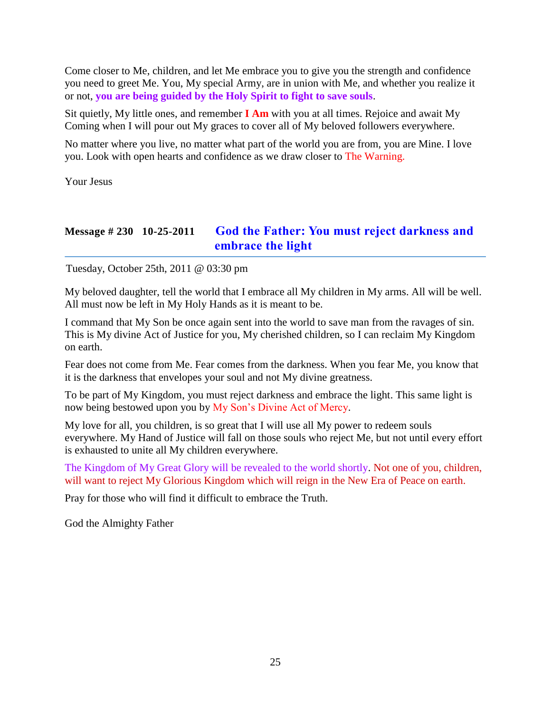Come closer to Me, children, and let Me embrace you to give you the strength and confidence you need to greet Me. You, My special Army, are in union with Me, and whether you realize it or not, **you are being guided by the Holy Spirit to fight to save souls**.

Sit quietly, My little ones, and remember **I Am** with you at all times. Rejoice and await My Coming when I will pour out My graces to cover all of My beloved followers everywhere.

No matter where you live, no matter what part of the world you are from, you are Mine. I love you. Look with open hearts and confidence as we draw closer to The Warning.

Your Jesus

# **Message # 230 10-25-2011 [God the Father: You must reject darkness and](http://www.thewarningsecondcoming.com/god-the-father-you-must-reject-darkness-and-embrace-the-light/)  [embrace the light](http://www.thewarningsecondcoming.com/god-the-father-you-must-reject-darkness-and-embrace-the-light/)**

Tuesday, October 25th, 2011 @ 03:30 pm

My beloved daughter, tell the world that I embrace all My children in My arms. All will be well. All must now be left in My Holy Hands as it is meant to be.

I command that My Son be once again sent into the world to save man from the ravages of sin. This is My divine Act of Justice for you, My cherished children, so I can reclaim My Kingdom on earth.

Fear does not come from Me. Fear comes from the darkness. When you fear Me, you know that it is the darkness that envelopes your soul and not My divine greatness.

To be part of My Kingdom, you must reject darkness and embrace the light. This same light is now being bestowed upon you by My Son's Divine Act of Mercy.

My love for all, you children, is so great that I will use all My power to redeem souls everywhere. My Hand of Justice will fall on those souls who reject Me, but not until every effort is exhausted to unite all My children everywhere.

The Kingdom of My Great Glory will be revealed to the world shortly. Not one of you, children, will want to reject My Glorious Kingdom which will reign in the New Era of Peace on earth.

Pray for those who will find it difficult to embrace the Truth.

God the Almighty Father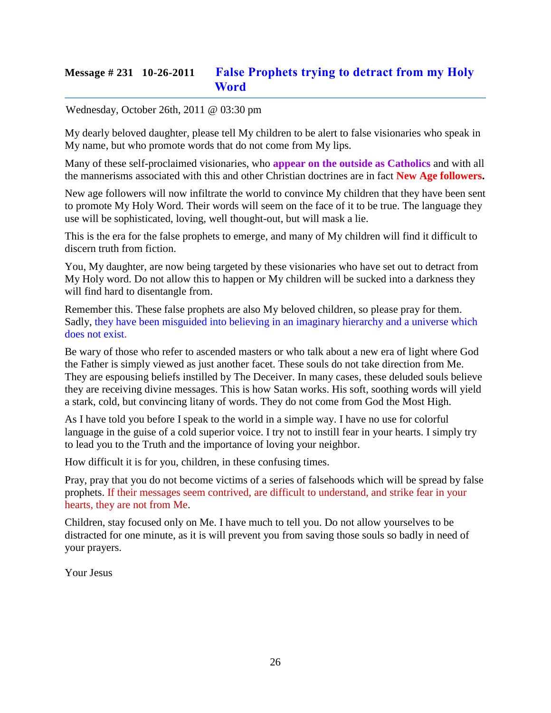# **Message # 231 10-26-2011 [False Prophets trying to detract from my Holy](http://www.thewarningsecondcoming.com/false-prophets-trying-to-detract-from-my-holy-word/)  [Word](http://www.thewarningsecondcoming.com/false-prophets-trying-to-detract-from-my-holy-word/)**

#### Wednesday, October 26th, 2011 @ 03:30 pm

My dearly beloved daughter, please tell My children to be alert to false visionaries who speak in My name, but who promote words that do not come from My lips.

Many of these self-proclaimed visionaries, who **appear on the outside as Catholics** and with all the mannerisms associated with this and other Christian doctrines are in fact **New Age followers.**

New age followers will now infiltrate the world to convince My children that they have been sent to promote My Holy Word. Their words will seem on the face of it to be true. The language they use will be sophisticated, loving, well thought-out, but will mask a lie.

This is the era for the false prophets to emerge, and many of My children will find it difficult to discern truth from fiction.

You, My daughter, are now being targeted by these visionaries who have set out to detract from My Holy word. Do not allow this to happen or My children will be sucked into a darkness they will find hard to disentangle from.

Remember this. These false prophets are also My beloved children, so please pray for them. Sadly, they have been misguided into believing in an imaginary hierarchy and a universe which does not exist.

Be wary of those who refer to ascended masters or who talk about a new era of light where God the Father is simply viewed as just another facet. These souls do not take direction from Me. They are espousing beliefs instilled by The Deceiver. In many cases, these deluded souls believe they are receiving divine messages. This is how Satan works. His soft, soothing words will yield a stark, cold, but convincing litany of words. They do not come from God the Most High.

As I have told you before I speak to the world in a simple way. I have no use for colorful language in the guise of a cold superior voice. I try not to instill fear in your hearts. I simply try to lead you to the Truth and the importance of loving your neighbor.

How difficult it is for you, children, in these confusing times.

Pray, pray that you do not become victims of a series of falsehoods which will be spread by false prophets. If their messages seem contrived, are difficult to understand, and strike fear in your hearts, they are not from Me.

Children, stay focused only on Me. I have much to tell you. Do not allow yourselves to be distracted for one minute, as it is will prevent you from saving those souls so badly in need of your prayers.

Your Jesus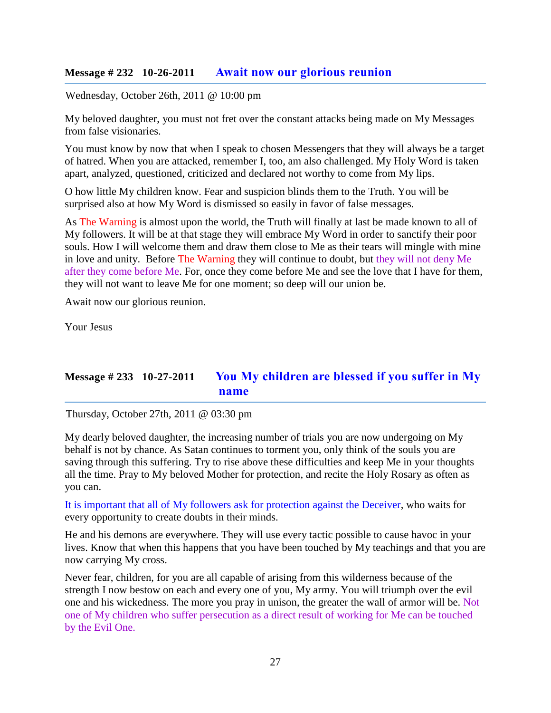#### **Message # 232 10-26-2011 [Await now our glorious reunion](http://www.thewarningsecondcoming.com/await-now-our-glorious-reunion/)**

Wednesday, October 26th, 2011 @ 10:00 pm

My beloved daughter, you must not fret over the constant attacks being made on My Messages from false visionaries.

You must know by now that when I speak to chosen Messengers that they will always be a target of hatred. When you are attacked, remember I, too, am also challenged. My Holy Word is taken apart, analyzed, questioned, criticized and declared not worthy to come from My lips.

O how little My children know. Fear and suspicion blinds them to the Truth. You will be surprised also at how My Word is dismissed so easily in favor of false messages.

As The Warning is almost upon the world, the Truth will finally at last be made known to all of My followers. It will be at that stage they will embrace My Word in order to sanctify their poor souls. How I will welcome them and draw them close to Me as their tears will mingle with mine in love and unity. Before The Warning they will continue to doubt, but they will not deny Me after they come before Me. For, once they come before Me and see the love that I have for them, they will not want to leave Me for one moment; so deep will our union be.

Await now our glorious reunion.

Your Jesus

# **Message # 233 10-27-2011 [You My children are blessed if you suffer in My](http://www.thewarningsecondcoming.com/you-my-children-are-blessed-if-you-suffer-in-my-name/)  [name](http://www.thewarningsecondcoming.com/you-my-children-are-blessed-if-you-suffer-in-my-name/)**

Thursday, October 27th, 2011 @ 03:30 pm

My dearly beloved daughter, the increasing number of trials you are now undergoing on My behalf is not by chance. As Satan continues to torment you, only think of the souls you are saving through this suffering. Try to rise above these difficulties and keep Me in your thoughts all the time. Pray to My beloved Mother for protection, and recite the Holy Rosary as often as you can.

It is important that all of My followers ask for protection against the Deceiver, who waits for every opportunity to create doubts in their minds.

He and his demons are everywhere. They will use every tactic possible to cause havoc in your lives. Know that when this happens that you have been touched by My teachings and that you are now carrying My cross.

Never fear, children, for you are all capable of arising from this wilderness because of the strength I now bestow on each and every one of you, My army. You will triumph over the evil one and his wickedness. The more you pray in unison, the greater the wall of armor will be. Not one of My children who suffer persecution as a direct result of working for Me can be touched by the Evil One.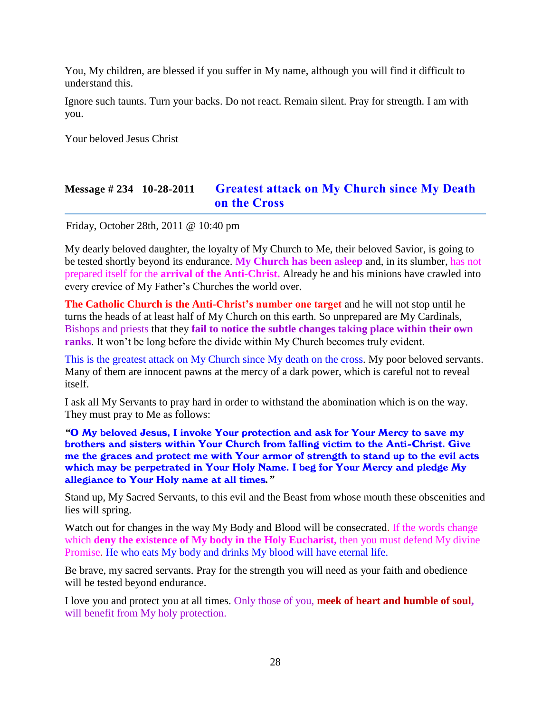You, My children, are blessed if you suffer in My name, although you will find it difficult to understand this.

Ignore such taunts. Turn your backs. Do not react. Remain silent. Pray for strength. I am with you.

Your beloved Jesus Christ

# **Message # 234 10-28-2011 [Greatest attack on My Church since My Death](http://www.thewarningsecondcoming.com/greatest-attack-on-my-church-since-my-death-on-the-cross/)  [on the Cross](http://www.thewarningsecondcoming.com/greatest-attack-on-my-church-since-my-death-on-the-cross/)**

Friday, October 28th, 2011 @ 10:40 pm

My dearly beloved daughter, the loyalty of My Church to Me, their beloved Savior, is going to be tested shortly beyond its endurance. **My Church has been asleep** and, in its slumber, has not prepared itself for the **arrival of the Anti-Christ.** Already he and his minions have crawled into every crevice of My Father's Churches the world over.

**The Catholic Church is the Anti-Christ's number one target** and he will not stop until he turns the heads of at least half of My Church on this earth. So unprepared are My Cardinals, Bishops and priests that they **fail to notice the subtle changes taking place within their own ranks**. It won't be long before the divide within My Church becomes truly evident.

This is the greatest attack on My Church since My death on the cross. My poor beloved servants. Many of them are innocent pawns at the mercy of a dark power, which is careful not to reveal itself.

I ask all My Servants to pray hard in order to withstand the abomination which is on the way. They must pray to Me as follows:

*"*O My beloved Jesus, I invoke Your protection and ask for Your Mercy to save my brothers and sisters within Your Church from falling victim to the Anti-Christ. Give me the graces and protect me with Your armor of strength to stand up to the evil acts which may be perpetrated in Your Holy Name. I beg for Your Mercy and pledge My allegiance to Your Holy name at all times*."*

Stand up, My Sacred Servants, to this evil and the Beast from whose mouth these obscenities and lies will spring.

Watch out for changes in the way My Body and Blood will be consecrated. If the words change which **deny the existence of My body in the Holy Eucharist,** then you must defend My divine Promise. He who eats My body and drinks My blood will have eternal life.

Be brave, my sacred servants. Pray for the strength you will need as your faith and obedience will be tested beyond endurance.

I love you and protect you at all times. Only those of you, **meek of heart and humble of soul,**  will benefit from My holy protection.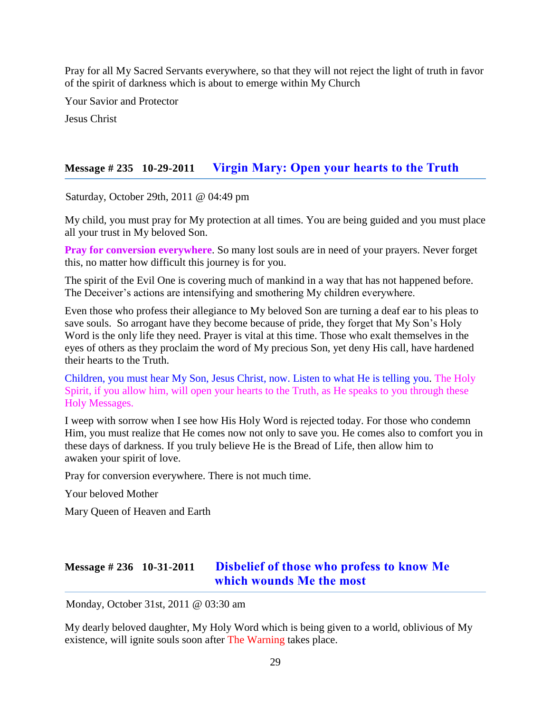Pray for all My Sacred Servants everywhere, so that they will not reject the light of truth in favor of the spirit of darkness which is about to emerge within My Church

Your Savior and Protector

Jesus Christ

### **Message # 235 10-29-2011 Virgin [Mary: Open your hearts to the Truth](http://www.thewarningsecondcoming.com/virgin-mary-open-your-hearts-to-the-truth/)**

Saturday, October 29th, 2011 @ 04:49 pm

My child, you must pray for My protection at all times. You are being guided and you must place all your trust in My beloved Son.

**Pray for conversion everywhere**. So many lost souls are in need of your prayers. Never forget this, no matter how difficult this journey is for you.

The spirit of the Evil One is covering much of mankind in a way that has not happened before. The Deceiver's actions are intensifying and smothering My children everywhere.

Even those who profess their allegiance to My beloved Son are turning a deaf ear to his pleas to save souls. So arrogant have they become because of pride, they forget that My Son's Holy Word is the only life they need. Prayer is vital at this time. Those who exalt themselves in the eyes of others as they proclaim the word of My precious Son, yet deny His call, have hardened their hearts to the Truth.

Children, you must hear My Son, Jesus Christ, now. Listen to what He is telling you. The Holy Spirit, if you allow him, will open your hearts to the Truth, as He speaks to you through these Holy Messages.

I weep with sorrow when I see how His Holy Word is rejected today. For those who condemn Him, you must realize that He comes now not only to save you. He comes also to comfort you in these days of darkness. If you truly believe He is the Bread of Life, then allow him to awaken your spirit of love.

Pray for conversion everywhere. There is not much time.

Your beloved Mother

Mary Queen of Heaven and Earth

# **Message # 236 10-31-2011 [Disbelief of those who profess to know Me](http://www.thewarningsecondcoming.com/disbelief-of-those-who-profess-to-know-me-which-wounds-me-the-most/)  [which wounds Me the most](http://www.thewarningsecondcoming.com/disbelief-of-those-who-profess-to-know-me-which-wounds-me-the-most/)**

Monday, October 31st, 2011 @ 03:30 am

My dearly beloved daughter, My Holy Word which is being given to a world, oblivious of My existence, will ignite souls soon after The Warning takes place.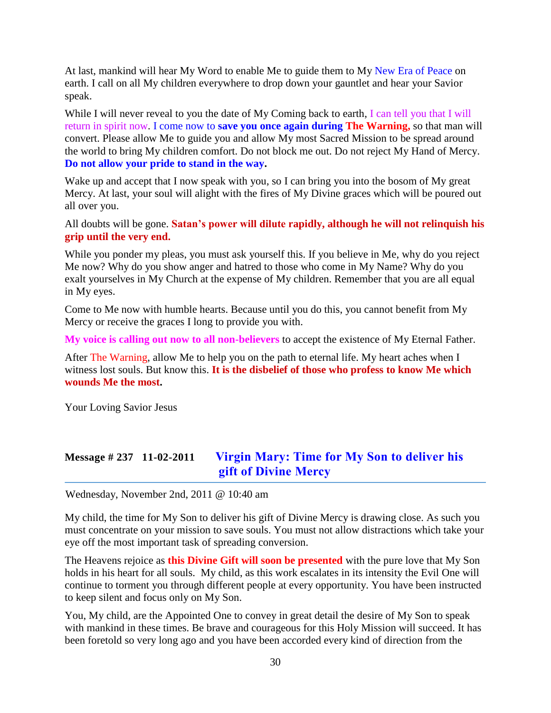At last, mankind will hear My Word to enable Me to guide them to My New Era of Peace on earth. I call on all My children everywhere to drop down your gauntlet and hear your Savior speak.

While I will never reveal to you the date of My Coming back to earth, I can tell you that I will return in spirit now. I come now to **save you once again during The Warning,** so that man will convert. Please allow Me to guide you and allow My most Sacred Mission to be spread around the world to bring My children comfort. Do not block me out. Do not reject My Hand of Mercy. **Do not allow your pride to stand in the way.**

Wake up and accept that I now speak with you, so I can bring you into the bosom of My great Mercy. At last, your soul will alight with the fires of My Divine graces which will be poured out all over you.

All doubts will be gone. **Satan's power will dilute rapidly, although he will not relinquish his grip until the very end.**

While you ponder my pleas, you must ask yourself this. If you believe in Me, why do you reject Me now? Why do you show anger and hatred to those who come in My Name? Why do you exalt yourselves in My Church at the expense of My children. Remember that you are all equal in My eyes.

Come to Me now with humble hearts. Because until you do this, you cannot benefit from My Mercy or receive the graces I long to provide you with.

**My voice is calling out now to all non-believers** to accept the existence of My Eternal Father.

After The Warning, allow Me to help you on the path to eternal life. My heart aches when I witness lost souls. But know this. **It is the disbelief of those who profess to know Me which wounds Me the most.**

Your Loving Savior Jesus

# **Message # 237 11-02-2011 [Virgin Mary: Time for My Son to deliver his](http://www.thewarningsecondcoming.com/virgin-mary-time-for-my-son-to-deliver-his-gift-of-divine-mercy/)  [gift of Divine Mercy](http://www.thewarningsecondcoming.com/virgin-mary-time-for-my-son-to-deliver-his-gift-of-divine-mercy/)**

Wednesday, November 2nd, 2011 @ 10:40 am

My child, the time for My Son to deliver his gift of Divine Mercy is drawing close. As such you must concentrate on your mission to save souls. You must not allow distractions which take your eye off the most important task of spreading conversion.

The Heavens rejoice as **this Divine Gift will soon be presented** with the pure love that My Son holds in his heart for all souls. My child, as this work escalates in its intensity the Evil One will continue to torment you through different people at every opportunity. You have been instructed to keep silent and focus only on My Son.

You, My child, are the Appointed One to convey in great detail the desire of My Son to speak with mankind in these times. Be brave and courageous for this Holy Mission will succeed. It has been foretold so very long ago and you have been accorded every kind of direction from the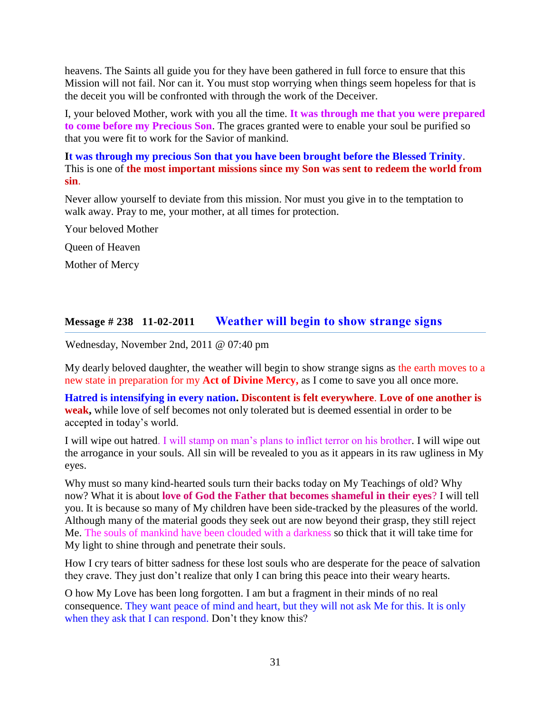heavens. The Saints all guide you for they have been gathered in full force to ensure that this Mission will not fail. Nor can it. You must stop worrying when things seem hopeless for that is the deceit you will be confronted with through the work of the Deceiver.

I, your beloved Mother, work with you all the time. **It was through me that you were prepared to come before my Precious Son**. The graces granted were to enable your soul be purified so that you were fit to work for the Savior of mankind.

**It was through my precious Son that you have been brought before the Blessed Trinity**. This is one of **the most important missions since my Son was sent to redeem the world from sin**.

Never allow yourself to deviate from this mission. Nor must you give in to the temptation to walk away. Pray to me, your mother, at all times for protection.

Your beloved Mother Queen of Heaven Mother of Mercy

#### **Message # 238 11-02-2011 [Weather will begin to show strange signs](http://www.thewarningsecondcoming.com/weather-will-begin-to-show-strange-signs/)**

Wednesday, November 2nd, 2011 @ 07:40 pm

My dearly beloved daughter, the weather will begin to show strange signs as the earth moves to a new state in preparation for my **Act of Divine Mercy,** as I come to save you all once more.

**Hatred is intensifying in every nation. Discontent is felt everywhere**. **Love of one another is weak,** while love of self becomes not only tolerated but is deemed essential in order to be accepted in today's world.

I will wipe out hatred. I will stamp on man's plans to inflict terror on his brother. I will wipe out the arrogance in your souls. All sin will be revealed to you as it appears in its raw ugliness in My eyes.

Why must so many kind-hearted souls turn their backs today on My Teachings of old? Why now? What it is about **love of God the Father that becomes shameful in their eyes**? I will tell you. It is because so many of My children have been side-tracked by the pleasures of the world. Although many of the material goods they seek out are now beyond their grasp, they still reject Me. The souls of mankind have been clouded with a darkness so thick that it will take time for My light to shine through and penetrate their souls.

How I cry tears of bitter sadness for these lost souls who are desperate for the peace of salvation they crave. They just don't realize that only I can bring this peace into their weary hearts.

O how My Love has been long forgotten. I am but a fragment in their minds of no real consequence. They want peace of mind and heart, but they will not ask Me for this. It is only when they ask that I can respond. Don't they know this?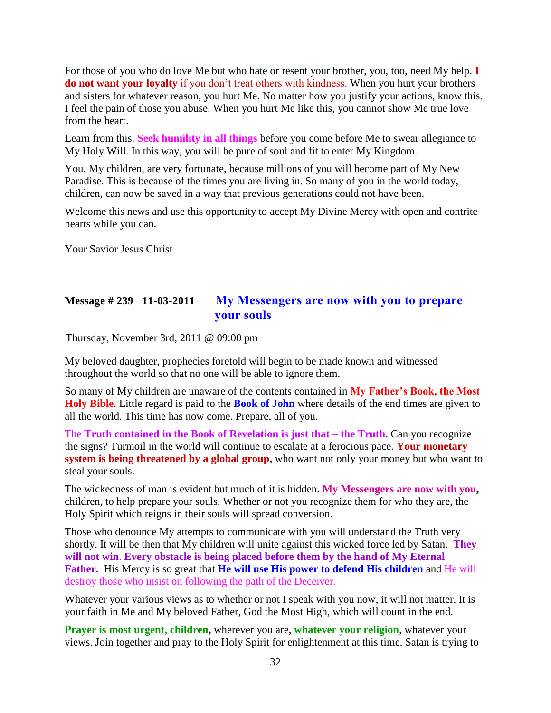For those of you who do love Me but who hate or resent your brother, you, too, need My help. **I do not want your loyalty** if you don't treat others with kindness. When you hurt your brothers and sisters for whatever reason, you hurt Me. No matter how you justify your actions, know this. I feel the pain of those you abuse. When you hurt Me like this, you cannot show Me true love from the heart.

Learn from this. **Seek humility in all things** before you come before Me to swear allegiance to My Holy Will. In this way, you will be pure of soul and fit to enter My Kingdom.

You, My children, are very fortunate, because millions of you will become part of My New Paradise. This is because of the times you are living in. So many of you in the world today, children, can now be saved in a way that previous generations could not have been.

Welcome this news and use this opportunity to accept My Divine Mercy with open and contrite hearts while you can.

Your Savior Jesus Christ

### **Message # 239 11-03-2011 [My Messengers are now with you to prepare](http://www.thewarningsecondcoming.com/my-messengers-are-now-with-you-to-prepare-your-souls/)  [your souls](http://www.thewarningsecondcoming.com/my-messengers-are-now-with-you-to-prepare-your-souls/)**

Thursday, November 3rd, 2011 @ 09:00 pm

My beloved daughter, prophecies foretold will begin to be made known and witnessed throughout the world so that no one will be able to ignore them.

So many of My children are unaware of the contents contained in **My Father's Book, the Most Holy Bible**. Little regard is paid to the **Book of John** where details of the end times are given to all the world. This time has now come. Prepare, all of you.

The **Truth contained in the Book of Revelation is just that – the Truth**. Can you recognize the signs? Turmoil in the world will continue to escalate at a ferocious pace. **Your monetary system is being threatened by a global group,** who want not only your money but who want to steal your souls.

The wickedness of man is evident but much of it is hidden. **My Messengers are now with you,** children, to help prepare your souls. Whether or not you recognize them for who they are, the Holy Spirit which reigns in their souls will spread conversion.

Those who denounce My attempts to communicate with you will understand the Truth very shortly. It will be then that My children will unite against this wicked force led by Satan. **They will not win**. **Every obstacle is being placed before them by the hand of My Eternal Father.** His Mercy is so great that **He will use His power to defend His children** and He will destroy those who insist on following the path of the Deceiver.

Whatever your various views as to whether or not I speak with you now, it will not matter. It is your faith in Me and My beloved Father, God the Most High, which will count in the end.

**Prayer is most urgent, children,** wherever you are, **whatever your religion**, whatever your views. Join together and pray to the Holy Spirit for enlightenment at this time. Satan is trying to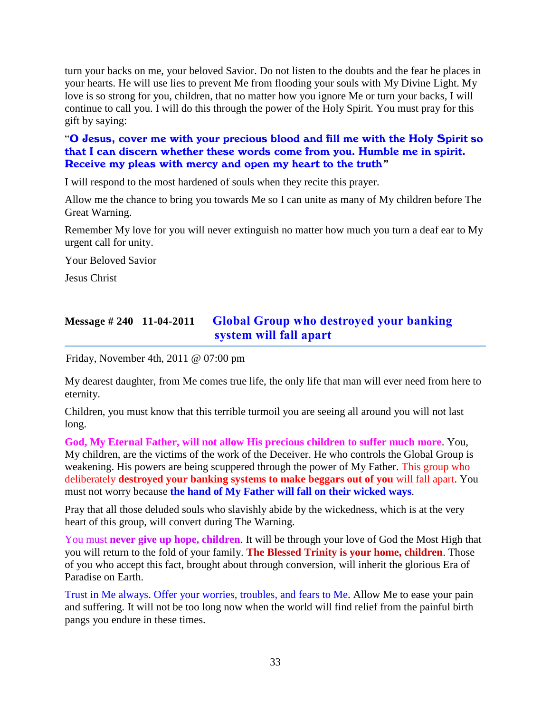turn your backs on me, your beloved Savior. Do not listen to the doubts and the fear he places in your hearts. He will use lies to prevent Me from flooding your souls with My Divine Light. My love is so strong for you, children, that no matter how you ignore Me or turn your backs, I will continue to call you. I will do this through the power of the Holy Spirit. You must pray for this gift by saying:

#### "O Jesus, cover me with your precious blood and fill me with the Holy Spirit so that I can discern whether these words come from you. Humble me in spirit. Receive my pleas with mercy and open my heart to the truth*"*

I will respond to the most hardened of souls when they recite this prayer.

Allow me the chance to bring you towards Me so I can unite as many of My children before The Great Warning.

Remember My love for you will never extinguish no matter how much you turn a deaf ear to My urgent call for unity.

Your Beloved Savior

Jesus Christ

# **Message # 240 11-04-2011 [Global Group who destroyed your banking](http://www.thewarningsecondcoming.com/global-group-who-destroyed-your-banking-system-will-fall-apart/)  [system will fall apart](http://www.thewarningsecondcoming.com/global-group-who-destroyed-your-banking-system-will-fall-apart/)**

Friday, November 4th, 2011 @ 07:00 pm

My dearest daughter, from Me comes true life, the only life that man will ever need from here to eternity.

Children, you must know that this terrible turmoil you are seeing all around you will not last long.

**God, My Eternal Father, will not allow His precious children to suffer much more**. You, My children, are the victims of the work of the Deceiver. He who controls the Global Group is weakening. His powers are being scuppered through the power of My Father. This group who deliberately **destroyed your banking systems to make beggars out of you** will fall apart. You must not worry because **the hand of My Father will fall on their wicked ways**.

Pray that all those deluded souls who slavishly abide by the wickedness, which is at the very heart of this group, will convert during The Warning.

You must **never give up hope, children**. It will be through your love of God the Most High that you will return to the fold of your family. **The Blessed Trinity is your home, children**. Those of you who accept this fact, brought about through conversion, will inherit the glorious Era of Paradise on Earth.

Trust in Me always. Offer your worries, troubles, and fears to Me. Allow Me to ease your pain and suffering. It will not be too long now when the world will find relief from the painful birth pangs you endure in these times.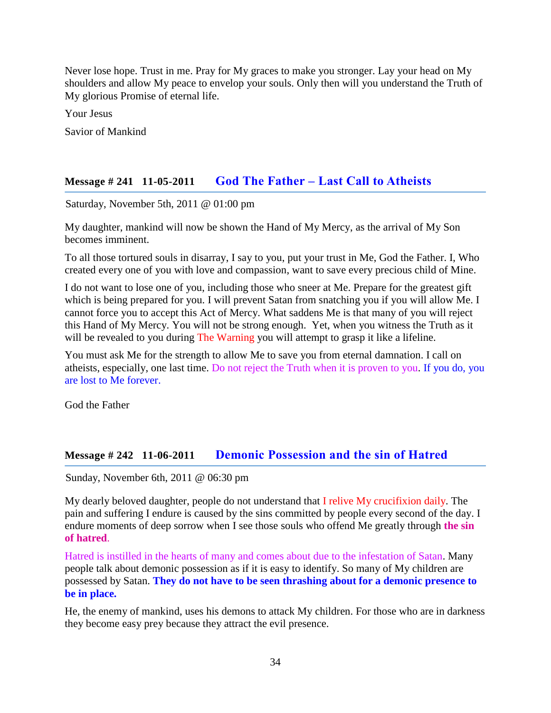Never lose hope. Trust in me. Pray for My graces to make you stronger. Lay your head on My shoulders and allow My peace to envelop your souls. Only then will you understand the Truth of My glorious Promise of eternal life.

Your Jesus

Savior of Mankind

### **Message # 241 11-05-2011 God The Father – [Last Call to Atheists](http://www.thewarningsecondcoming.com/god-the-father-last-call-to-atheists/)**

Saturday, November 5th, 2011 @ 01:00 pm

My daughter, mankind will now be shown the Hand of My Mercy, as the arrival of My Son becomes imminent.

To all those tortured souls in disarray, I say to you, put your trust in Me, God the Father. I, Who created every one of you with love and compassion, want to save every precious child of Mine.

I do not want to lose one of you, including those who sneer at Me. Prepare for the greatest gift which is being prepared for you. I will prevent Satan from snatching you if you will allow Me. I cannot force you to accept this Act of Mercy. What saddens Me is that many of you will reject this Hand of My Mercy. You will not be strong enough. Yet, when you witness the Truth as it will be revealed to you during The Warning you will attempt to grasp it like a lifeline.

You must ask Me for the strength to allow Me to save you from eternal damnation. I call on atheists, especially, one last time. Do not reject the Truth when it is proven to you. If you do, you are lost to Me forever.

God the Father

#### **Message # 242 11-06-2011 [Demonic Possession and the sin of Hatred](http://www.thewarningsecondcoming.com/demonic-possession-and-the-sin-of-hatred/)**

Sunday, November 6th, 2011 @ 06:30 pm

My dearly beloved daughter, people do not understand that I relive My crucifixion daily. The pain and suffering I endure is caused by the sins committed by people every second of the day. I endure moments of deep sorrow when I see those souls who offend Me greatly through **the sin of hatred**.

Hatred is instilled in the hearts of many and comes about due to the infestation of Satan. Many people talk about demonic possession as if it is easy to identify. So many of My children are possessed by Satan. **They do not have to be seen thrashing about for a demonic presence to be in place.**

He, the enemy of mankind, uses his demons to attack My children. For those who are in darkness they become easy prey because they attract the evil presence.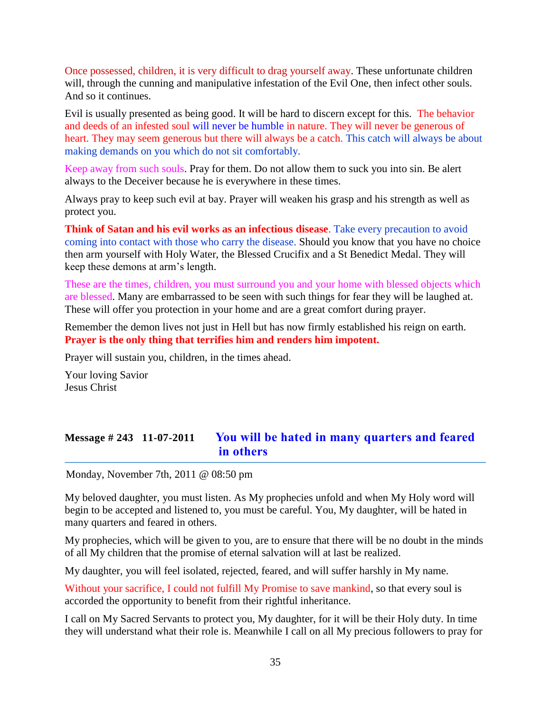Once possessed, children, it is very difficult to drag yourself away. These unfortunate children will, through the cunning and manipulative infestation of the Evil One, then infect other souls. And so it continues.

Evil is usually presented as being good. It will be hard to discern except for this. The behavior and deeds of an infested soul will never be humble in nature. They will never be generous of heart. They may seem generous but there will always be a catch. This catch will always be about making demands on you which do not sit comfortably.

Keep away from such souls. Pray for them. Do not allow them to suck you into sin. Be alert always to the Deceiver because he is everywhere in these times.

Always pray to keep such evil at bay. Prayer will weaken his grasp and his strength as well as protect you.

**Think of Satan and his evil works as an infectious disease**. Take every precaution to avoid coming into contact with those who carry the disease. Should you know that you have no choice then arm yourself with Holy Water, the Blessed Crucifix and a St Benedict Medal. They will keep these demons at arm's length.

These are the times, children, you must surround you and your home with blessed objects which are blessed. Many are embarrassed to be seen with such things for fear they will be laughed at. These will offer you protection in your home and are a great comfort during prayer.

Remember the demon lives not just in Hell but has now firmly established his reign on earth. **Prayer is the only thing that terrifies him and renders him impotent.**

Prayer will sustain you, children, in the times ahead.

Your loving Savior Jesus Christ

# **Message # 243 11-07-2011 [You will be hated in many quarters and feared](http://www.thewarningsecondcoming.com/you-will-be-hated-in-many-quarters-and-feared-in-others/)  [in others](http://www.thewarningsecondcoming.com/you-will-be-hated-in-many-quarters-and-feared-in-others/)**

Monday, November 7th, 2011 @ 08:50 pm

My beloved daughter, you must listen. As My prophecies unfold and when My Holy word will begin to be accepted and listened to, you must be careful. You, My daughter, will be hated in many quarters and feared in others.

My prophecies, which will be given to you, are to ensure that there will be no doubt in the minds of all My children that the promise of eternal salvation will at last be realized.

My daughter, you will feel isolated, rejected, feared, and will suffer harshly in My name.

Without your sacrifice, I could not fulfill My Promise to save mankind, so that every soul is accorded the opportunity to benefit from their rightful inheritance.

I call on My Sacred Servants to protect you, My daughter, for it will be their Holy duty. In time they will understand what their role is. Meanwhile I call on all My precious followers to pray for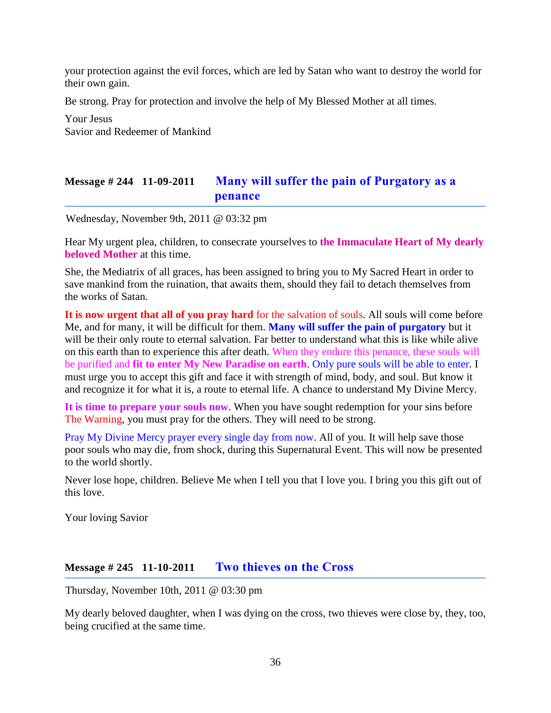your protection against the evil forces, which are led by Satan who want to destroy the world for their own gain.

Be strong. Pray for protection and involve the help of My Blessed Mother at all times.

Your Jesus Savior and Redeemer of Mankind

### **Message # 244 11-09-2011 [Many will suffer the pain of Purgatory as a](http://www.thewarningsecondcoming.com/many-will-suffer-the-pain-of-purgatory-as-a-penance/)  [penance](http://www.thewarningsecondcoming.com/many-will-suffer-the-pain-of-purgatory-as-a-penance/)**

Wednesday, November 9th, 2011 @ 03:32 pm

Hear My urgent plea, children, to consecrate yourselves to **the Immaculate Heart of My dearly beloved Mother** at this time.

She, the Mediatrix of all graces, has been assigned to bring you to My Sacred Heart in order to save mankind from the ruination, that awaits them, should they fail to detach themselves from the works of Satan.

**It is now urgent that all of you pray hard** for the salvation of souls. All souls will come before Me, and for many, it will be difficult for them. **Many will suffer the pain of purgatory** but it will be their only route to eternal salvation. Far better to understand what this is like while alive on this earth than to experience this after death. When they endure this penance, these souls will be purified and **fit to enter My New Paradise on earth**. Only pure souls will be able to enter. I must urge you to accept this gift and face it with strength of mind, body, and soul. But know it and recognize it for what it is, a route to eternal life. A chance to understand My Divine Mercy.

**It is time to prepare your souls now**. When you have sought redemption for your sins before The Warning, you must pray for the others. They will need to be strong.

Pray My Divine Mercy prayer every single day from now. All of you. It will help save those poor souls who may die, from shock, during this Supernatural Event. This will now be presented to the world shortly.

Never lose hope, children. Believe Me when I tell you that I love you. I bring you this gift out of this love.

Your loving Savior

#### **Message # 245 11-10-2011 [Two thieves on the Cross](http://www.thewarningsecondcoming.com/two-thieves-on-the-cross/)**

Thursday, November 10th, 2011 @ 03:30 pm

My dearly beloved daughter, when I was dying on the cross, two thieves were close by, they, too, being crucified at the same time.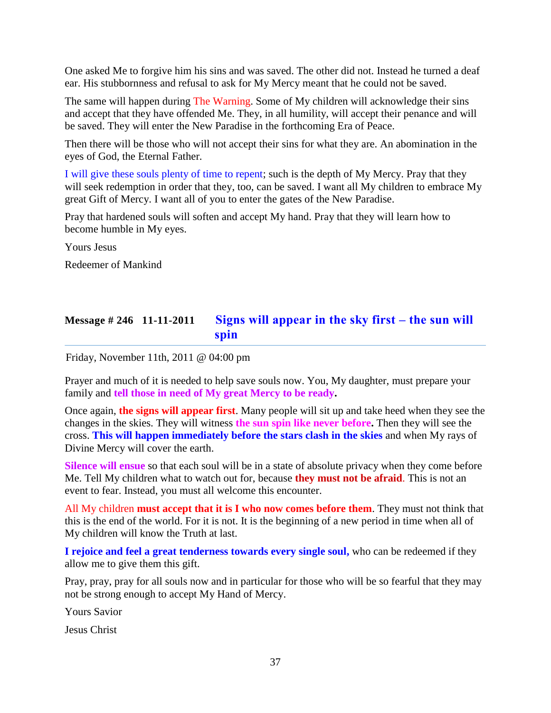One asked Me to forgive him his sins and was saved. The other did not. Instead he turned a deaf ear. His stubbornness and refusal to ask for My Mercy meant that he could not be saved.

The same will happen during The Warning. Some of My children will acknowledge their sins and accept that they have offended Me. They, in all humility, will accept their penance and will be saved. They will enter the New Paradise in the forthcoming Era of Peace.

Then there will be those who will not accept their sins for what they are. An abomination in the eyes of God, the Eternal Father.

I will give these souls plenty of time to repent; such is the depth of My Mercy. Pray that they will seek redemption in order that they, too, can be saved. I want all My children to embrace My great Gift of Mercy. I want all of you to enter the gates of the New Paradise.

Pray that hardened souls will soften and accept My hand. Pray that they will learn how to become humble in My eyes.

Yours Jesus

Redeemer of Mankind

## **Message # 246 11-11-2011 [Signs will appear in the sky first –](http://www.thewarningsecondcoming.com/signs-will-appear-in-the-sky-first-the-sun-will-spin/) the sun will [spin](http://www.thewarningsecondcoming.com/signs-will-appear-in-the-sky-first-the-sun-will-spin/)**

Friday, November 11th, 2011 @ 04:00 pm

Prayer and much of it is needed to help save souls now. You, My daughter, must prepare your family and **tell those in need of My great Mercy to be ready.**

Once again, **the signs will appear first**. Many people will sit up and take heed when they see the changes in the skies. They will witness **the sun spin like never before.** Then they will see the cross. **This will happen immediately before the stars clash in the skies** and when My rays of Divine Mercy will cover the earth.

**Silence will ensue** so that each soul will be in a state of absolute privacy when they come before Me. Tell My children what to watch out for, because **they must not be afraid**. This is not an event to fear. Instead, you must all welcome this encounter.

All My children **must accept that it is I who now comes before them**. They must not think that this is the end of the world. For it is not. It is the beginning of a new period in time when all of My children will know the Truth at last.

**I rejoice and feel a great tenderness towards every single soul,** who can be redeemed if they allow me to give them this gift.

Pray, pray, pray for all souls now and in particular for those who will be so fearful that they may not be strong enough to accept My Hand of Mercy.

Yours Savior

Jesus Christ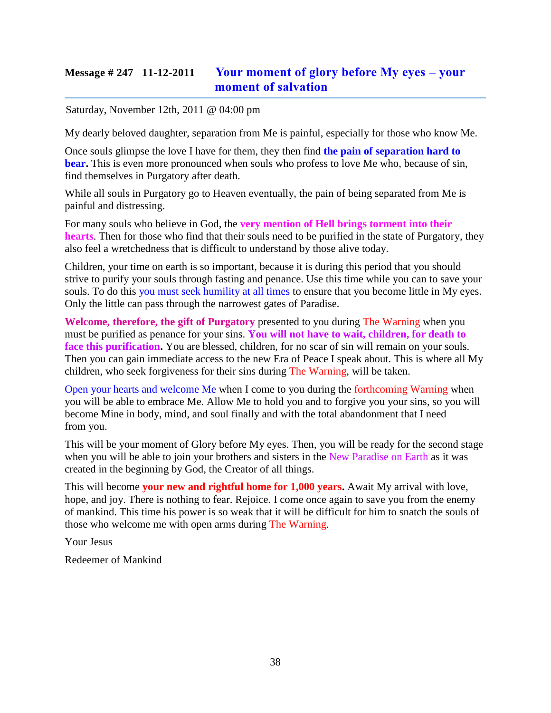# **Message # 247 11-12-2011 [Your moment of glory before My eyes –](http://www.thewarningsecondcoming.com/your-moment-of-glory-before-my-eyes-your-moment-of-salvation/) your [moment of salvation](http://www.thewarningsecondcoming.com/your-moment-of-glory-before-my-eyes-your-moment-of-salvation/)**

Saturday, November 12th, 2011 @ 04:00 pm

My dearly beloved daughter, separation from Me is painful, especially for those who know Me.

Once souls glimpse the love I have for them, they then find **the pain of separation hard to bear.** This is even more pronounced when souls who profess to love Me who, because of sin, find themselves in Purgatory after death.

While all souls in Purgatory go to Heaven eventually, the pain of being separated from Me is painful and distressing.

For many souls who believe in God, the **very mention of Hell brings torment into their hearts**. Then for those who find that their souls need to be purified in the state of Purgatory, they also feel a wretchedness that is difficult to understand by those alive today.

Children, your time on earth is so important, because it is during this period that you should strive to purify your souls through fasting and penance. Use this time while you can to save your souls. To do this you must seek humility at all times to ensure that you become little in My eyes. Only the little can pass through the narrowest gates of Paradise.

**Welcome, therefore, the gift of Purgatory** presented to you during The Warning when you must be purified as penance for your sins. **You will not have to wait, children, for death to**  face this purification. You are blessed, children, for no scar of sin will remain on your souls. Then you can gain immediate access to the new Era of Peace I speak about. This is where all My children, who seek forgiveness for their sins during The Warning, will be taken.

Open your hearts and welcome Me when I come to you during the forthcoming Warning when you will be able to embrace Me. Allow Me to hold you and to forgive you your sins, so you will become Mine in body, mind, and soul finally and with the total abandonment that I need from you.

This will be your moment of Glory before My eyes. Then, you will be ready for the second stage when you will be able to join your brothers and sisters in the New Paradise on Earth as it was created in the beginning by God, the Creator of all things.

This will become **your new and rightful home for 1,000 years.** Await My arrival with love, hope, and joy. There is nothing to fear. Rejoice. I come once again to save you from the enemy of mankind. This time his power is so weak that it will be difficult for him to snatch the souls of those who welcome me with open arms during The Warning.

Your Jesus

Redeemer of Mankind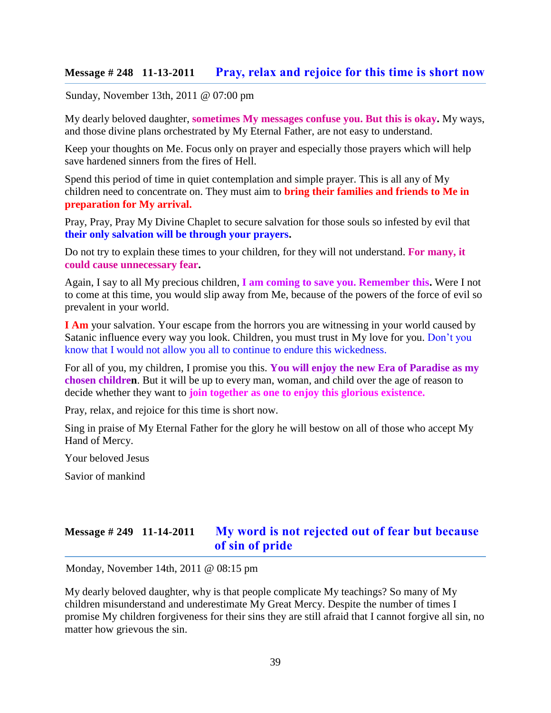### **Message # 248 11-13-2011 [Pray, relax and rejoice for this time is short now](http://www.thewarningsecondcoming.com/pray-relax-and-rejoice-for-this-time-is-short-now/)**

Sunday, November 13th, 2011 @ 07:00 pm

My dearly beloved daughter, **sometimes My messages confuse you. But this is okay.** My ways, and those divine plans orchestrated by My Eternal Father, are not easy to understand.

Keep your thoughts on Me. Focus only on prayer and especially those prayers which will help save hardened sinners from the fires of Hell.

Spend this period of time in quiet contemplation and simple prayer. This is all any of My children need to concentrate on. They must aim to **bring their families and friends to Me in preparation for My arrival.** 

Pray, Pray, Pray My Divine Chaplet to secure salvation for those souls so infested by evil that **their only salvation will be through your prayers.**

Do not try to explain these times to your children, for they will not understand. **For many, it could cause unnecessary fear.**

Again, I say to all My precious children, **I am coming to save you. Remember this.** Were I not to come at this time, you would slip away from Me, because of the powers of the force of evil so prevalent in your world.

**I Am** your salvation. Your escape from the horrors you are witnessing in your world caused by Satanic influence every way you look. Children, you must trust in My love for you. Don't you know that I would not allow you all to continue to endure this wickedness.

For all of you, my children, I promise you this. **You will enjoy the new Era of Paradise as my chosen children**. But it will be up to every man, woman, and child over the age of reason to decide whether they want to **join together as one to enjoy this glorious existence.**

Pray, relax, and rejoice for this time is short now.

Sing in praise of My Eternal Father for the glory he will bestow on all of those who accept My Hand of Mercy.

Your beloved Jesus

Savior of mankind

## **Message # 249 11-14-2011 [My word is not rejected out of fear but because](http://www.thewarningsecondcoming.com/my-word-is-not-rejected-out-of-fear-but-because-of-sin-of-pride/)  [of sin of pride](http://www.thewarningsecondcoming.com/my-word-is-not-rejected-out-of-fear-but-because-of-sin-of-pride/)**

Monday, November 14th, 2011 @ 08:15 pm

My dearly beloved daughter, why is that people complicate My teachings? So many of My children misunderstand and underestimate My Great Mercy. Despite the number of times I promise My children forgiveness for their sins they are still afraid that I cannot forgive all sin, no matter how grievous the sin.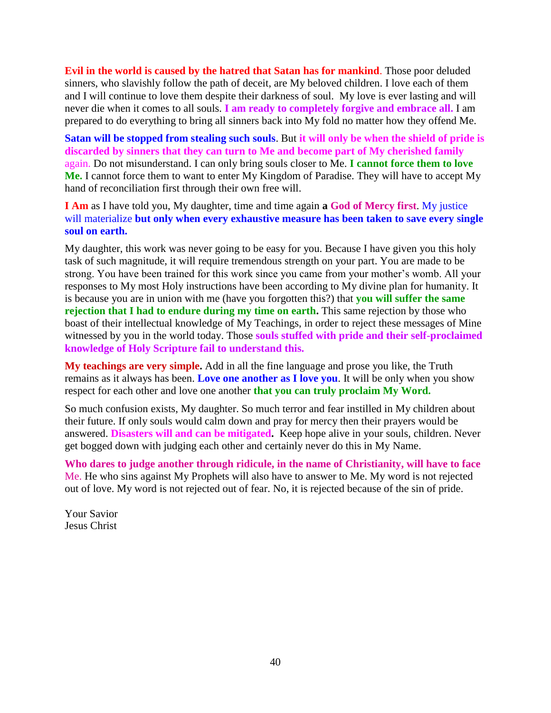**Evil in the world is caused by the hatred that Satan has for mankind**. Those poor deluded sinners, who slavishly follow the path of deceit, are My beloved children. I love each of them and I will continue to love them despite their darkness of soul. My love is ever lasting and will never die when it comes to all souls. **I am ready to completely forgive and embrace all.** I am prepared to do everything to bring all sinners back into My fold no matter how they offend Me.

**Satan will be stopped from stealing such souls**. But **it will only be when the shield of pride is discarded by sinners that they can turn to Me and become part of My cherished family**  again. Do not misunderstand. I can only bring souls closer to Me. **I cannot force them to love Me.** I cannot force them to want to enter My Kingdom of Paradise. They will have to accept My hand of reconciliation first through their own free will.

**I Am** as I have told you, My daughter, time and time again **a God of Mercy first**. My justice will materialize **but only when every exhaustive measure has been taken to save every single soul on earth.**

My daughter, this work was never going to be easy for you. Because I have given you this holy task of such magnitude, it will require tremendous strength on your part. You are made to be strong. You have been trained for this work since you came from your mother's womb. All your responses to My most Holy instructions have been according to My divine plan for humanity. It is because you are in union with me (have you forgotten this?) that **you will suffer the same rejection that I had to endure during my time on earth.** This same rejection by those who boast of their intellectual knowledge of My Teachings, in order to reject these messages of Mine witnessed by you in the world today. Those **souls stuffed with pride and their self-proclaimed knowledge of Holy Scripture fail to understand this.**

**My teachings are very simple.** Add in all the fine language and prose you like, the Truth remains as it always has been. **Love one another as I love you**. It will be only when you show respect for each other and love one another **that you can truly proclaim My Word.**

So much confusion exists, My daughter. So much terror and fear instilled in My children about their future. If only souls would calm down and pray for mercy then their prayers would be answered. **Disasters will and can be mitigated.** Keep hope alive in your souls, children. Never get bogged down with judging each other and certainly never do this in My Name.

**Who dares to judge another through ridicule, in the name of Christianity, will have to face** Me. He who sins against My Prophets will also have to answer to Me. My word is not rejected out of love. My word is not rejected out of fear. No, it is rejected because of the sin of pride.

Your Savior Jesus Christ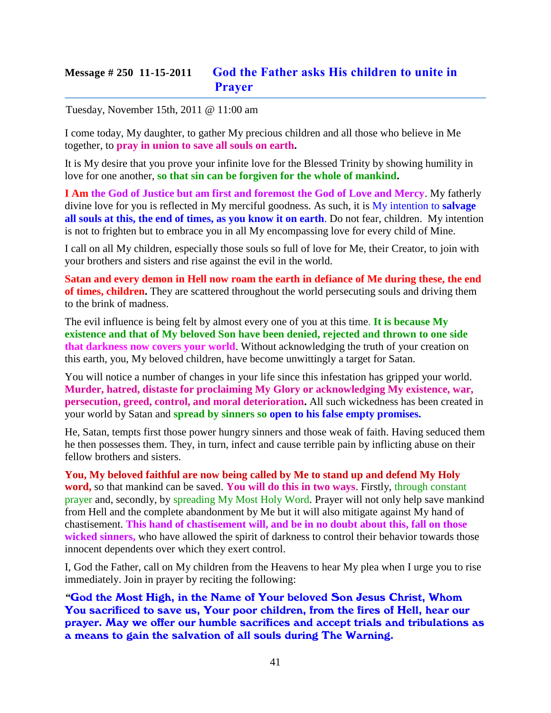# **Message # 250 11-15-2011 [God the Father asks His children to unite in](http://www.thewarningsecondcoming.com/god-the-father-asks-his-children-to-unite-in-prayer/)  [Prayer](http://www.thewarningsecondcoming.com/god-the-father-asks-his-children-to-unite-in-prayer/)**

Tuesday, November 15th, 2011 @ 11:00 am

I come today, My daughter, to gather My precious children and all those who believe in Me together, to **pray in union to save all souls on earth.**

It is My desire that you prove your infinite love for the Blessed Trinity by showing humility in love for one another, **so that sin can be forgiven for the whole of mankind.**

**I Am the God of Justice but am first and foremost the God of Love and Mercy**. My fatherly divine love for you is reflected in My merciful goodness. As such, it is My intention to **salvage all souls at this, the end of times, as you know it on earth**. Do not fear, children. My intention is not to frighten but to embrace you in all My encompassing love for every child of Mine.

I call on all My children, especially those souls so full of love for Me, their Creator, to join with your brothers and sisters and rise against the evil in the world.

**Satan and every demon in Hell now roam the earth in defiance of Me during these, the end of times, children.** They are scattered throughout the world persecuting souls and driving them to the brink of madness.

The evil influence is being felt by almost every one of you at this time. **It is because My existence and that of My beloved Son have been denied, rejected and thrown to one side that darkness now covers your world**. Without acknowledging the truth of your creation on this earth, you, My beloved children, have become unwittingly a target for Satan.

You will notice a number of changes in your life since this infestation has gripped your world. **Murder, hatred, distaste for proclaiming My Glory or acknowledging My existence, war, persecution, greed, control, and moral deterioration.** All such wickedness has been created in your world by Satan and **spread by sinners so open to his false empty promises.** 

He, Satan, tempts first those power hungry sinners and those weak of faith. Having seduced them he then possesses them. They, in turn, infect and cause terrible pain by inflicting abuse on their fellow brothers and sisters.

**You, My beloved faithful are now being called by Me to stand up and defend My Holy word,** so that mankind can be saved. **You will do this in two ways**. Firstly, through constant prayer and, secondly, by spreading My Most Holy Word. Prayer will not only help save mankind from Hell and the complete abandonment by Me but it will also mitigate against My hand of chastisement. **This hand of chastisement will, and be in no doubt about this, fall on those wicked sinners,** who have allowed the spirit of darkness to control their behavior towards those innocent dependents over which they exert control.

I, God the Father, call on My children from the Heavens to hear My plea when I urge you to rise immediately. Join in prayer by reciting the following:

*"*God the Most High, in the Name of Your beloved Son Jesus Christ, Whom You sacrificed to save us, Your poor children, from the fires of Hell, hear our prayer. May we offer our humble sacrifices and accept trials and tribulations as a means to gain the salvation of all souls during The Warning.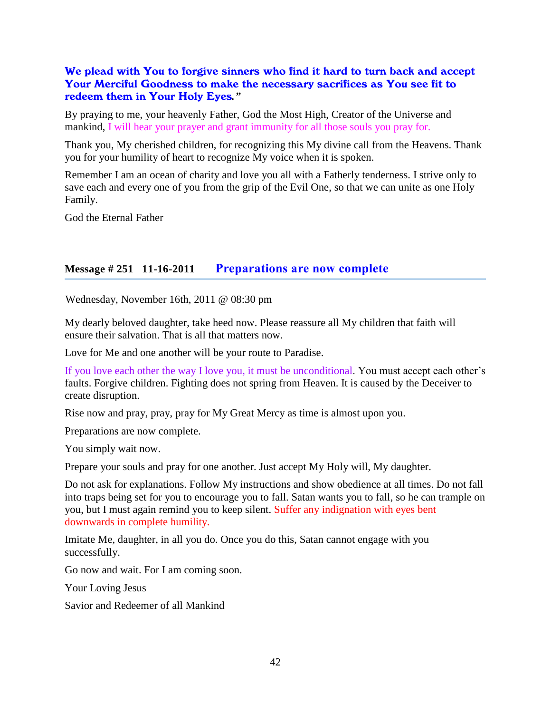### We plead with You to forgive sinners who find it hard to turn back and accept Your Merciful Goodness to make the necessary sacrifices as You see fit to redeem them in Your Holy Eyes*."*

By praying to me, your heavenly Father, God the Most High, Creator of the Universe and mankind, I will hear your prayer and grant immunity for all those souls you pray for.

Thank you, My cherished children, for recognizing this My divine call from the Heavens. Thank you for your humility of heart to recognize My voice when it is spoken.

Remember I am an ocean of charity and love you all with a Fatherly tenderness. I strive only to save each and every one of you from the grip of the Evil One, so that we can unite as one Holy Family.

God the Eternal Father

#### **Message # 251 11-16-2011 [Preparations are now complete](http://www.thewarningsecondcoming.com/preparations-are-now-complete/)**

Wednesday, November 16th, 2011 @ 08:30 pm

My dearly beloved daughter, take heed now. Please reassure all My children that faith will ensure their salvation. That is all that matters now.

Love for Me and one another will be your route to Paradise.

If you love each other the way I love you, it must be unconditional. You must accept each other's faults. Forgive children. Fighting does not spring from Heaven. It is caused by the Deceiver to create disruption.

Rise now and pray, pray, pray for My Great Mercy as time is almost upon you.

Preparations are now complete.

You simply wait now.

Prepare your souls and pray for one another. Just accept My Holy will, My daughter.

Do not ask for explanations. Follow My instructions and show obedience at all times. Do not fall into traps being set for you to encourage you to fall. Satan wants you to fall, so he can trample on you, but I must again remind you to keep silent. Suffer any indignation with eyes bent downwards in complete humility.

Imitate Me, daughter, in all you do. Once you do this, Satan cannot engage with you successfully.

Go now and wait. For I am coming soon.

Your Loving Jesus

Savior and Redeemer of all Mankind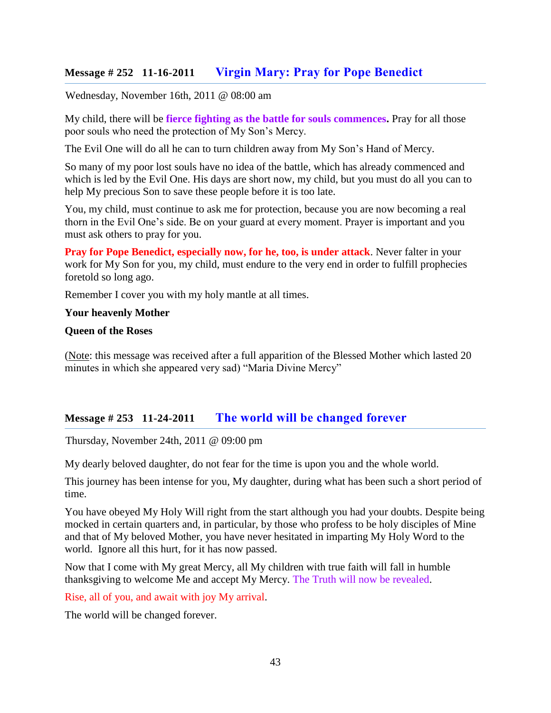## **Message # 252 11-16-2011 [Virgin Mary: Pray for Pope Benedict](http://www.thewarningsecondcoming.com/virgin-mary-pray-for-pope-benedict/)**

Wednesday, November 16th, 2011 @ 08:00 am

My child, there will be **fierce fighting as the battle for souls commences.** Pray for all those poor souls who need the protection of My Son's Mercy.

The Evil One will do all he can to turn children away from My Son's Hand of Mercy.

So many of my poor lost souls have no idea of the battle, which has already commenced and which is led by the Evil One. His days are short now, my child, but you must do all you can to help My precious Son to save these people before it is too late.

You, my child, must continue to ask me for protection, because you are now becoming a real thorn in the Evil One's side. Be on your guard at every moment. Prayer is important and you must ask others to pray for you.

**Pray for Pope Benedict, especially now, for he, too, is under attack**. Never falter in your work for My Son for you, my child, must endure to the very end in order to fulfill prophecies foretold so long ago.

Remember I cover you with my holy mantle at all times.

#### **Your heavenly Mother**

#### **Queen of the Roses**

(Note: this message was received after a full apparition of the Blessed Mother which lasted 20 minutes in which she appeared very sad) "Maria Divine Mercy"

## **Message # 253 11-24-2011 [The world will be changed forever](http://www.thewarningsecondcoming.com/the-world-will-be-changed-forever/)**

Thursday, November 24th, 2011 @ 09:00 pm

My dearly beloved daughter, do not fear for the time is upon you and the whole world.

This journey has been intense for you, My daughter, during what has been such a short period of time.

You have obeyed My Holy Will right from the start although you had your doubts. Despite being mocked in certain quarters and, in particular, by those who profess to be holy disciples of Mine and that of My beloved Mother, you have never hesitated in imparting My Holy Word to the world. Ignore all this hurt, for it has now passed.

Now that I come with My great Mercy, all My children with true faith will fall in humble thanksgiving to welcome Me and accept My Mercy. The Truth will now be revealed.

Rise, all of you, and await with joy My arrival.

The world will be changed forever.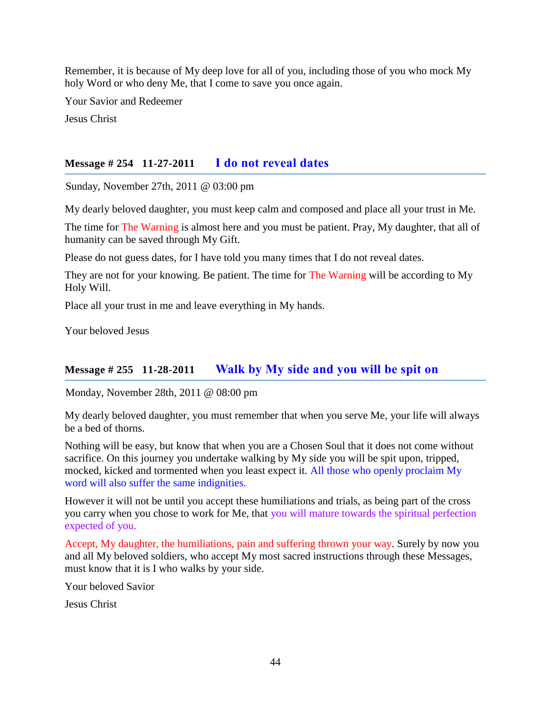Remember, it is because of My deep love for all of you, including those of you who mock My holy Word or who deny Me, that I come to save you once again.

Your Savior and Redeemer

Jesus Christ

## **Message # 254 11-27-2011 [I do not reveal dates](http://www.thewarningsecondcoming.com/i-do-not-reveal-dates/)**

Sunday, November 27th, 2011 @ 03:00 pm

My dearly beloved daughter, you must keep calm and composed and place all your trust in Me.

The time for The Warning is almost here and you must be patient. Pray, My daughter, that all of humanity can be saved through My Gift.

Please do not guess dates, for I have told you many times that I do not reveal dates.

They are not for your knowing. Be patient. The time for The Warning will be according to My Holy Will.

Place all your trust in me and leave everything in My hands.

Your beloved Jesus

## **Message # 255 11-28-2011 [Walk by My side and you will be spit on](http://www.thewarningsecondcoming.com/walk-by-my-side-and-you-will-be-spit-on/)**

Monday, November 28th, 2011 @ 08:00 pm

My dearly beloved daughter, you must remember that when you serve Me, your life will always be a bed of thorns.

Nothing will be easy, but know that when you are a Chosen Soul that it does not come without sacrifice. On this journey you undertake walking by My side you will be spit upon, tripped, mocked, kicked and tormented when you least expect it. All those who openly proclaim My word will also suffer the same indignities.

However it will not be until you accept these humiliations and trials, as being part of the cross you carry when you chose to work for Me, that you will mature towards the spiritual perfection expected of you.

Accept, My daughter, the humiliations, pain and suffering thrown your way. Surely by now you and all My beloved soldiers, who accept My most sacred instructions through these Messages, must know that it is I who walks by your side.

Your beloved Savior

Jesus Christ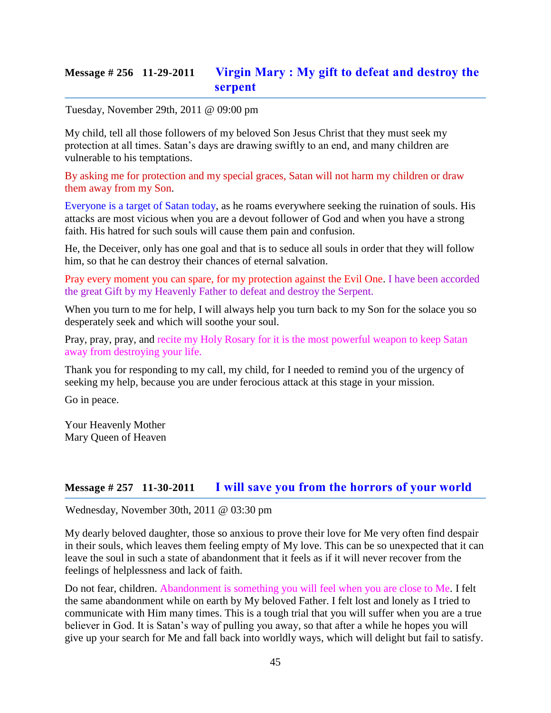# **Message # 256 11-29-2011 [Virgin Mary : My gift to defeat and destroy the](http://www.thewarningsecondcoming.com/virgin-mary-my-gift-to-defeat-and-destroy-the-serpent/)  [serpent](http://www.thewarningsecondcoming.com/virgin-mary-my-gift-to-defeat-and-destroy-the-serpent/)**

Tuesday, November 29th, 2011 @ 09:00 pm

My child, tell all those followers of my beloved Son Jesus Christ that they must seek my protection at all times. Satan's days are drawing swiftly to an end, and many children are vulnerable to his temptations.

By asking me for protection and my special graces, Satan will not harm my children or draw them away from my Son.

Everyone is a target of Satan today, as he roams everywhere seeking the ruination of souls. His attacks are most vicious when you are a devout follower of God and when you have a strong faith. His hatred for such souls will cause them pain and confusion.

He, the Deceiver, only has one goal and that is to seduce all souls in order that they will follow him, so that he can destroy their chances of eternal salvation.

Pray every moment you can spare, for my protection against the Evil One. I have been accorded the great Gift by my Heavenly Father to defeat and destroy the Serpent.

When you turn to me for help, I will always help you turn back to my Son for the solace you so desperately seek and which will soothe your soul.

Pray, pray, pray, and recite my Holy Rosary for it is the most powerful weapon to keep Satan away from destroying your life.

Thank you for responding to my call, my child, for I needed to remind you of the urgency of seeking my help, because you are under ferocious attack at this stage in your mission.

Go in peace.

Your Heavenly Mother Mary Queen of Heaven

### **Message # 257 11-30-2011 [I will save you from the horrors of your world](http://www.thewarningsecondcoming.com/i-will-save-you-from-the-horrors-of-your-world/)**

Wednesday, November 30th, 2011 @ 03:30 pm

My dearly beloved daughter, those so anxious to prove their love for Me very often find despair in their souls, which leaves them feeling empty of My love. This can be so unexpected that it can leave the soul in such a state of abandonment that it feels as if it will never recover from the feelings of helplessness and lack of faith.

Do not fear, children. Abandonment is something you will feel when you are close to Me. I felt the same abandonment while on earth by My beloved Father. I felt lost and lonely as I tried to communicate with Him many times. This is a tough trial that you will suffer when you are a true believer in God. It is Satan's way of pulling you away, so that after a while he hopes you will give up your search for Me and fall back into worldly ways, which will delight but fail to satisfy.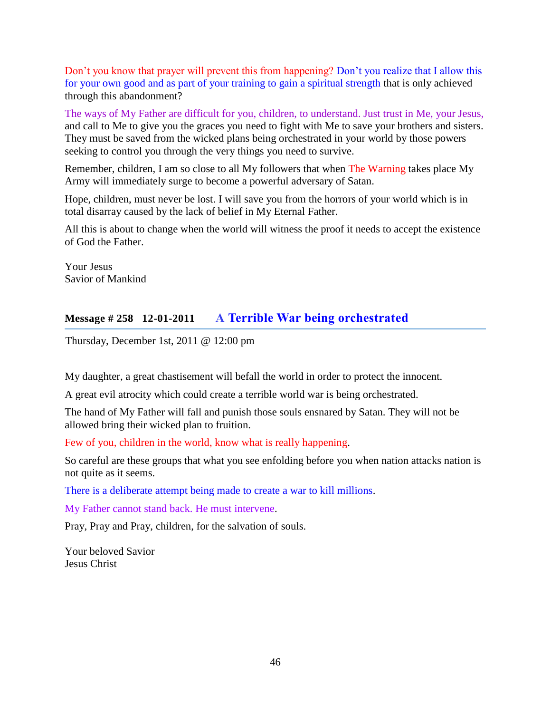Don't you know that prayer will prevent this from happening? Don't you realize that I allow this for your own good and as part of your training to gain a spiritual strength that is only achieved through this abandonment?

The ways of My Father are difficult for you, children, to understand. Just trust in Me, your Jesus, and call to Me to give you the graces you need to fight with Me to save your brothers and sisters. They must be saved from the wicked plans being orchestrated in your world by those powers seeking to control you through the very things you need to survive.

Remember, children, I am so close to all My followers that when The Warning takes place My Army will immediately surge to become a powerful adversary of Satan.

Hope, children, must never be lost. I will save you from the horrors of your world which is in total disarray caused by the lack of belief in My Eternal Father.

All this is about to change when the world will witness the proof it needs to accept the existence of God the Father.

Your Jesus Savior of Mankind

# **Message # 258 12-01-2011 A [Terrible War being orchestrated](http://www.thewarningsecondcoming.com/terrible-war-being-orchestrated/)**

Thursday, December 1st, 2011 @ 12:00 pm

My daughter, a great chastisement will befall the world in order to protect the innocent.

A great evil atrocity which could create a terrible world war is being orchestrated.

The hand of My Father will fall and punish those souls ensnared by Satan. They will not be allowed bring their wicked plan to fruition.

Few of you, children in the world, know what is really happening.

So careful are these groups that what you see enfolding before you when nation attacks nation is not quite as it seems.

There is a deliberate attempt being made to create a war to kill millions.

My Father cannot stand back. He must intervene.

Pray, Pray and Pray, children, for the salvation of souls.

Your beloved Savior Jesus Christ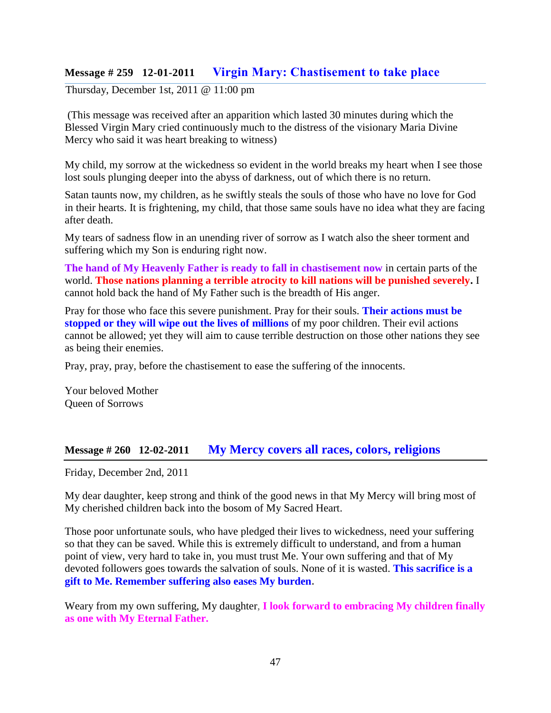## **Message # 259 12-01-2011 [Virgin Mary: Chastisement to take place](http://www.thewarningsecondcoming.com/virgin-mary-chastisement-to-take-place/)**

Thursday, December 1st, 2011 @ 11:00 pm

(This message was received after an apparition which lasted 30 minutes during which the Blessed Virgin Mary cried continuously much to the distress of the visionary Maria Divine Mercy who said it was heart breaking to witness)

My child, my sorrow at the wickedness so evident in the world breaks my heart when I see those lost souls plunging deeper into the abyss of darkness, out of which there is no return.

Satan taunts now, my children, as he swiftly steals the souls of those who have no love for God in their hearts. It is frightening, my child, that those same souls have no idea what they are facing after death.

My tears of sadness flow in an unending river of sorrow as I watch also the sheer torment and suffering which my Son is enduring right now.

**The hand of My Heavenly Father is ready to fall in chastisement now** in certain parts of the world. **Those nations planning a terrible atrocity to kill nations will be punished severely.** I cannot hold back the hand of My Father such is the breadth of His anger.

Pray for those who face this severe punishment. Pray for their souls. **Their actions must be stopped or they will wipe out the lives of millions** of my poor children. Their evil actions cannot be allowed; yet they will aim to cause terrible destruction on those other nations they see as being their enemies.

Pray, pray, pray, before the chastisement to ease the suffering of the innocents.

Your beloved Mother Queen of Sorrows

### **Message # 260 12-02-2011 [My Mercy covers all races, colors, religions](http://www.thewarningsecondcoming.com/my-mercy-covers-all-races-colours-religions/)**

Friday, December 2nd, 2011

My dear daughter, keep strong and think of the good news in that My Mercy will bring most of My cherished children back into the bosom of My Sacred Heart.

Those poor unfortunate souls, who have pledged their lives to wickedness, need your suffering so that they can be saved. While this is extremely difficult to understand, and from a human point of view, very hard to take in, you must trust Me. Your own suffering and that of My devoted followers goes towards the salvation of souls. None of it is wasted. **This sacrifice is a gift to Me. Remember suffering also eases My burden.**

Weary from my own suffering, My daughter, **I look forward to embracing My children finally as one with My Eternal Father.**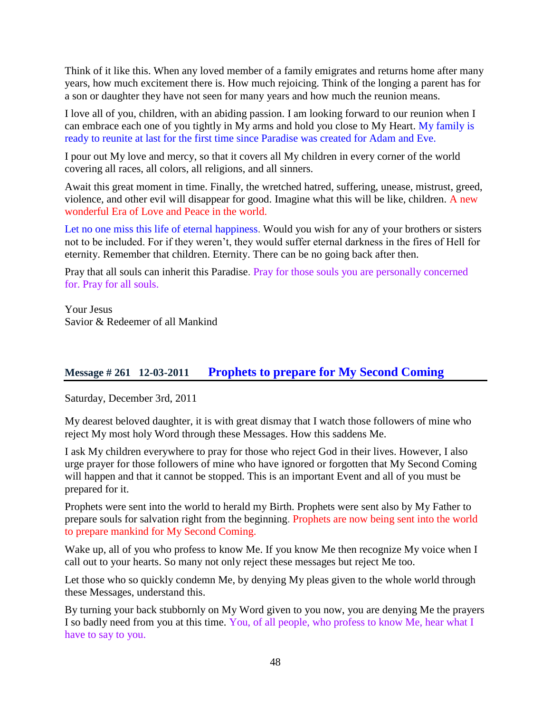Think of it like this. When any loved member of a family emigrates and returns home after many years, how much excitement there is. How much rejoicing. Think of the longing a parent has for a son or daughter they have not seen for many years and how much the reunion means.

I love all of you, children, with an abiding passion. I am looking forward to our reunion when I can embrace each one of you tightly in My arms and hold you close to My Heart. My family is ready to reunite at last for the first time since Paradise was created for Adam and Eve.

I pour out My love and mercy, so that it covers all My children in every corner of the world covering all races, all colors, all religions, and all sinners.

Await this great moment in time. Finally, the wretched hatred, suffering, unease, mistrust, greed, violence, and other evil will disappear for good. Imagine what this will be like, children. A new wonderful Era of Love and Peace in the world.

Let no one miss this life of eternal happiness. Would you wish for any of your brothers or sisters not to be included. For if they weren't, they would suffer eternal darkness in the fires of Hell for eternity. Remember that children. Eternity. There can be no going back after then.

Pray that all souls can inherit this Paradise. Pray for those souls you are personally concerned for. Pray for all souls.

Your Jesus Savior & Redeemer of all Mankind

## **Message # 261 12-03-2011 [Prophets to prepare for My Second Coming](http://www.thewarningsecondcoming.com/prophets-to-prepare-for-my-second-coming/)**

Saturday, December 3rd, 2011

My dearest beloved daughter, it is with great dismay that I watch those followers of mine who reject My most holy Word through these Messages. How this saddens Me.

I ask My children everywhere to pray for those who reject God in their lives. However, I also urge prayer for those followers of mine who have ignored or forgotten that My Second Coming will happen and that it cannot be stopped. This is an important Event and all of you must be prepared for it.

Prophets were sent into the world to herald my Birth. Prophets were sent also by My Father to prepare souls for salvation right from the beginning. Prophets are now being sent into the world to prepare mankind for My Second Coming.

Wake up, all of you who profess to know Me. If you know Me then recognize My voice when I call out to your hearts. So many not only reject these messages but reject Me too.

Let those who so quickly condemn Me, by denying My pleas given to the whole world through these Messages, understand this.

By turning your back stubbornly on My Word given to you now, you are denying Me the prayers I so badly need from you at this time. You, of all people, who profess to know Me, hear what I have to say to you.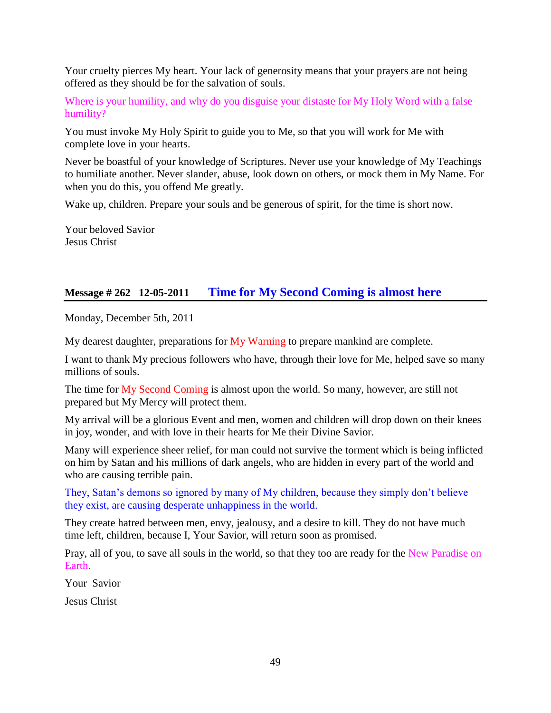Your cruelty pierces My heart. Your lack of generosity means that your prayers are not being offered as they should be for the salvation of souls.

Where is your humility, and why do you disguise your distaste for My Holy Word with a false humility?

You must invoke My Holy Spirit to guide you to Me, so that you will work for Me with complete love in your hearts.

Never be boastful of your knowledge of Scriptures. Never use your knowledge of My Teachings to humiliate another. Never slander, abuse, look down on others, or mock them in My Name. For when you do this, you offend Me greatly.

Wake up, children. Prepare your souls and be generous of spirit, for the time is short now.

Your beloved Savior Jesus Christ

## **Message # 262 12-05-2011 [Time for My Second Coming is almost here](http://www.thewarningsecondcoming.com/time-for-my-second-coming-is-almost-here/)**

Monday, December 5th, 2011

My dearest daughter, preparations for  $My$  Warning to prepare mankind are complete.

I want to thank My precious followers who have, through their love for Me, helped save so many millions of souls.

The time for My Second Coming is almost upon the world. So many, however, are still not prepared but My Mercy will protect them.

My arrival will be a glorious Event and men, women and children will drop down on their knees in joy, wonder, and with love in their hearts for Me their Divine Savior.

Many will experience sheer relief, for man could not survive the torment which is being inflicted on him by Satan and his millions of dark angels, who are hidden in every part of the world and who are causing terrible pain.

They, Satan's demons so ignored by many of My children, because they simply don't believe they exist, are causing desperate unhappiness in the world.

They create hatred between men, envy, jealousy, and a desire to kill. They do not have much time left, children, because I, Your Savior, will return soon as promised.

Pray, all of you, to save all souls in the world, so that they too are ready for the New Paradise on Earth.

Your Savior

Jesus Christ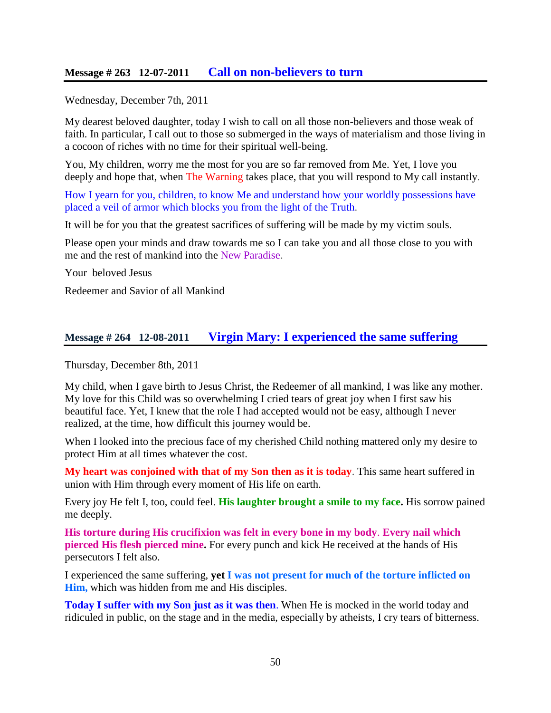### **Message # 263 12-07-2011 [Call on non-believers to turn](http://www.thewarningsecondcoming.com/call-on-non-believers-to-turn/)**

Wednesday, December 7th, 2011

My dearest beloved daughter, today I wish to call on all those non-believers and those weak of faith. In particular, I call out to those so submerged in the ways of materialism and those living in a cocoon of riches with no time for their spiritual well-being.

You, My children, worry me the most for you are so far removed from Me. Yet, I love you deeply and hope that, when The Warning takes place, that you will respond to My call instantly.

How I yearn for you, children, to know Me and understand how your worldly possessions have placed a veil of armor which blocks you from the light of the Truth.

It will be for you that the greatest sacrifices of suffering will be made by my victim souls.

Please open your minds and draw towards me so I can take you and all those close to you with me and the rest of mankind into the New Paradise.

Your beloved Jesus

Redeemer and Savior of all Mankind

### **Message # 264 12-08-2011 [Virgin Mary: I experienced the same suffering](http://www.thewarningsecondcoming.com/virgin-mary-i-experienced-the-same-suffering/)**

Thursday, December 8th, 2011

My child, when I gave birth to Jesus Christ, the Redeemer of all mankind, I was like any mother. My love for this Child was so overwhelming I cried tears of great joy when I first saw his beautiful face. Yet, I knew that the role I had accepted would not be easy, although I never realized, at the time, how difficult this journey would be.

When I looked into the precious face of my cherished Child nothing mattered only my desire to protect Him at all times whatever the cost.

**My heart was conjoined with that of my Son then as it is today**. This same heart suffered in union with Him through every moment of His life on earth.

Every joy He felt I, too, could feel. **His laughter brought a smile to my face.** His sorrow pained me deeply.

**His torture during His crucifixion was felt in every bone in my body**. **Every nail which pierced His flesh pierced mine.** For every punch and kick He received at the hands of His persecutors I felt also.

I experienced the same suffering, **yet I was not present for much of the torture inflicted on Him,** which was hidden from me and His disciples.

**Today I suffer with my Son just as it was then**. When He is mocked in the world today and ridiculed in public, on the stage and in the media, especially by atheists, I cry tears of bitterness.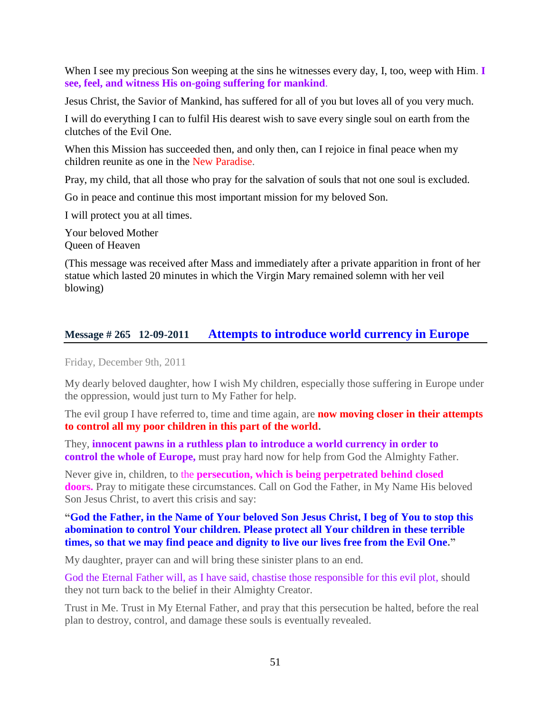When I see my precious Son weeping at the sins he witnesses every day, I, too, weep with Him. **I see, feel, and witness His on-going suffering for mankind**.

Jesus Christ, the Savior of Mankind, has suffered for all of you but loves all of you very much.

I will do everything I can to fulfil His dearest wish to save every single soul on earth from the clutches of the Evil One.

When this Mission has succeeded then, and only then, can I rejoice in final peace when my children reunite as one in the New Paradise.

Pray, my child, that all those who pray for the salvation of souls that not one soul is excluded.

Go in peace and continue this most important mission for my beloved Son.

I will protect you at all times.

Your beloved Mother Queen of Heaven

(This message was received after Mass and immediately after a private apparition in front of her statue which lasted 20 minutes in which the Virgin Mary remained solemn with her veil blowing)

### **Message # 265 12-09-2011 [Attempts to introduce world currency in Europe](http://www.thewarningsecondcoming.com/attempts-to-introduce-world-currency-in-europe/)**

Friday, December 9th, 2011

My dearly beloved daughter, how I wish My children, especially those suffering in Europe under the oppression, would just turn to My Father for help.

The evil group I have referred to, time and time again, are **now moving closer in their attempts to control all my poor children in this part of the world.**

They, **innocent pawns in a ruthless plan to introduce a world currency in order to control the whole of Europe,** must pray hard now for help from God the Almighty Father.

Never give in, children, to the **persecution, which is being perpetrated behind closed doors.** Pray to mitigate these circumstances. Call on God the Father, in My Name His beloved Son Jesus Christ, to avert this crisis and say:

#### **"God the Father, in the Name of Your beloved Son Jesus Christ, I beg of You to stop this abomination to control Your children. Please protect all Your children in these terrible times, so that we may find peace and dignity to live our lives free from the Evil One."**

My daughter, prayer can and will bring these sinister plans to an end.

God the Eternal Father will, as I have said, chastise those responsible for this evil plot, should they not turn back to the belief in their Almighty Creator.

Trust in Me. Trust in My Eternal Father, and pray that this persecution be halted, before the real plan to destroy, control, and damage these souls is eventually revealed.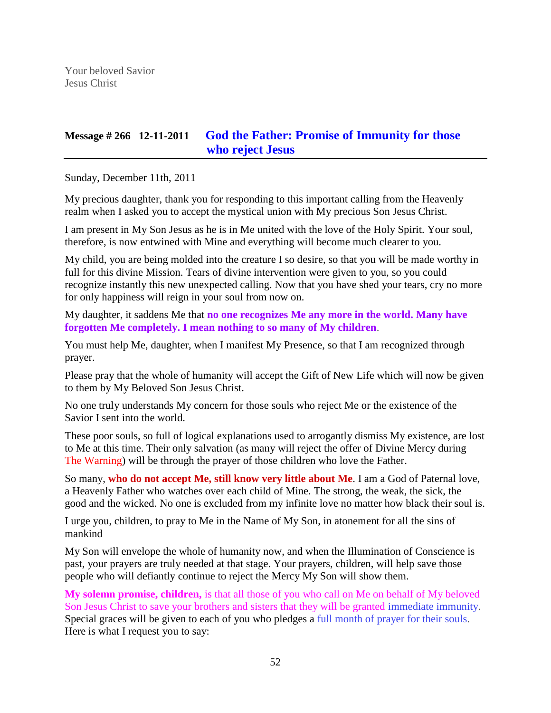# **Message # 266 12-11-2011 [God the Father: Promise of Immunity for those](http://www.thewarningsecondcoming.com/god-the-father-promise-of-immunity-for-those-who-reject-jesus/)  [who reject Jesus](http://www.thewarningsecondcoming.com/god-the-father-promise-of-immunity-for-those-who-reject-jesus/)**

Sunday, December 11th, 2011

My precious daughter, thank you for responding to this important calling from the Heavenly realm when I asked you to accept the mystical union with My precious Son Jesus Christ.

I am present in My Son Jesus as he is in Me united with the love of the Holy Spirit. Your soul, therefore, is now entwined with Mine and everything will become much clearer to you.

My child, you are being molded into the creature I so desire, so that you will be made worthy in full for this divine Mission. Tears of divine intervention were given to you, so you could recognize instantly this new unexpected calling. Now that you have shed your tears, cry no more for only happiness will reign in your soul from now on.

My daughter, it saddens Me that **no one recognizes Me any more in the world. Many have forgotten Me completely. I mean nothing to so many of My children**.

You must help Me, daughter, when I manifest My Presence, so that I am recognized through prayer.

Please pray that the whole of humanity will accept the Gift of New Life which will now be given to them by My Beloved Son Jesus Christ.

No one truly understands My concern for those souls who reject Me or the existence of the Savior I sent into the world.

These poor souls, so full of logical explanations used to arrogantly dismiss My existence, are lost to Me at this time. Their only salvation (as many will reject the offer of Divine Mercy during The Warning) will be through the prayer of those children who love the Father.

So many, **who do not accept Me, still know very little about Me**. I am a God of Paternal love, a Heavenly Father who watches over each child of Mine. The strong, the weak, the sick, the good and the wicked. No one is excluded from my infinite love no matter how black their soul is.

I urge you, children, to pray to Me in the Name of My Son, in atonement for all the sins of mankind

My Son will envelope the whole of humanity now, and when the Illumination of Conscience is past, your prayers are truly needed at that stage. Your prayers, children, will help save those people who will defiantly continue to reject the Mercy My Son will show them.

**My solemn promise, children,** is that all those of you who call on Me on behalf of My beloved Son Jesus Christ to save your brothers and sisters that they will be granted immediate immunity. Special graces will be given to each of you who pledges a full month of prayer for their souls. Here is what I request you to say: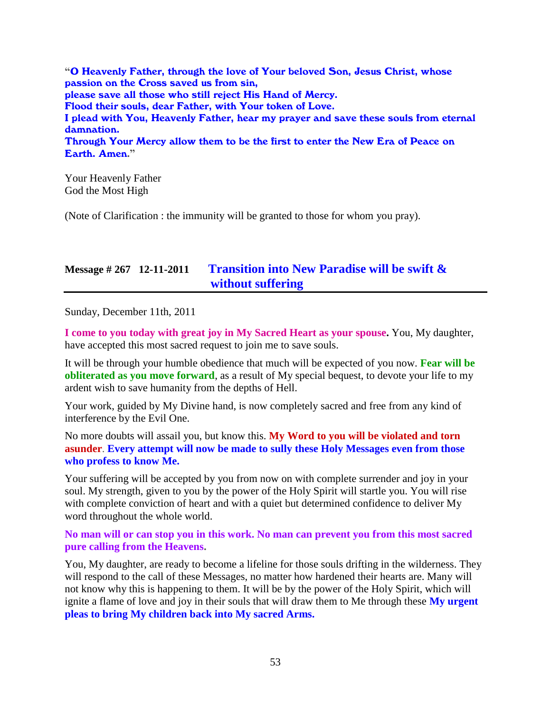**"**O Heavenly Father, through the love of Your beloved Son, Jesus Christ, whose passion on the Cross saved us from sin, please save all those who still reject His Hand of Mercy. Flood their souls, dear Father, with Your token of Love. I plead with You, Heavenly Father, hear my prayer and save these souls from eternal damnation. Through Your Mercy allow them to be the first to enter the New Era of Peace on Earth. Amen**."**

Your Heavenly Father God the Most High

(Note of Clarification : the immunity will be granted to those for whom you pray).

## **Message # 267 12-11-2011 [Transition into New Paradise will be swift &](http://www.thewarningsecondcoming.com/transition-into-new-paradise-will-be-swift-without-suffering/)  [without suffering](http://www.thewarningsecondcoming.com/transition-into-new-paradise-will-be-swift-without-suffering/)**

Sunday, December 11th, 2011

**I come to you today with great joy in My Sacred Heart as your spouse.** You, My daughter, have accepted this most sacred request to join me to save souls.

It will be through your humble obedience that much will be expected of you now. **Fear will be obliterated as you move forward**, as a result of My special bequest, to devote your life to my ardent wish to save humanity from the depths of Hell.

Your work, guided by My Divine hand, is now completely sacred and free from any kind of interference by the Evil One.

No more doubts will assail you, but know this. **My Word to you will be violated and torn asunder**. **Every attempt will now be made to sully these Holy Messages even from those who profess to know Me.**

Your suffering will be accepted by you from now on with complete surrender and joy in your soul. My strength, given to you by the power of the Holy Spirit will startle you. You will rise with complete conviction of heart and with a quiet but determined confidence to deliver My word throughout the whole world.

**No man will or can stop you in this work. No man can prevent you from this most sacred pure calling from the Heavens.**

You, My daughter, are ready to become a lifeline for those souls drifting in the wilderness. They will respond to the call of these Messages, no matter how hardened their hearts are. Many will not know why this is happening to them. It will be by the power of the Holy Spirit, which will ignite a flame of love and joy in their souls that will draw them to Me through these **My urgent pleas to bring My children back into My sacred Arms.**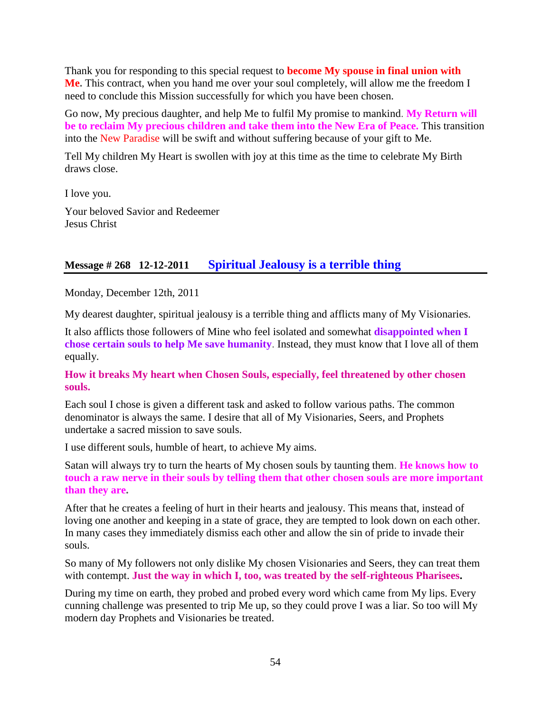Thank you for responding to this special request to **become My spouse in final union with Me.** This contract, when you hand me over your soul completely, will allow me the freedom I need to conclude this Mission successfully for which you have been chosen.

Go now, My precious daughter, and help Me to fulfil My promise to mankind. **My Return will be to reclaim My precious children and take them into the New Era of Peace.** This transition into the New Paradise will be swift and without suffering because of your gift to Me.

Tell My children My Heart is swollen with joy at this time as the time to celebrate My Birth draws close.

I love you.

Your beloved Savior and Redeemer Jesus Christ

## **Message # 268 12-12-2011 Spiritu[al Jealousy is a terrible thing](http://www.thewarningsecondcoming.com/spiritual-jealousy-is-a-terrible-thing/)**

Monday, December 12th, 2011

My dearest daughter, spiritual jealousy is a terrible thing and afflicts many of My Visionaries.

It also afflicts those followers of Mine who feel isolated and somewhat **disappointed when I chose certain souls to help Me save humanity**. Instead, they must know that I love all of them equally.

#### **How it breaks My heart when Chosen Souls, especially, feel threatened by other chosen souls.**

Each soul I chose is given a different task and asked to follow various paths. The common denominator is always the same. I desire that all of My Visionaries, Seers, and Prophets undertake a sacred mission to save souls.

I use different souls, humble of heart, to achieve My aims.

Satan will always try to turn the hearts of My chosen souls by taunting them. **He knows how to touch a raw nerve in their souls by telling them that other chosen souls are more important than they are.**

After that he creates a feeling of hurt in their hearts and jealousy. This means that, instead of loving one another and keeping in a state of grace, they are tempted to look down on each other. In many cases they immediately dismiss each other and allow the sin of pride to invade their souls.

So many of My followers not only dislike My chosen Visionaries and Seers, they can treat them with contempt. **Just the way in which I, too, was treated by the self-righteous Pharisees.**

During my time on earth, they probed and probed every word which came from My lips. Every cunning challenge was presented to trip Me up, so they could prove I was a liar. So too will My modern day Prophets and Visionaries be treated.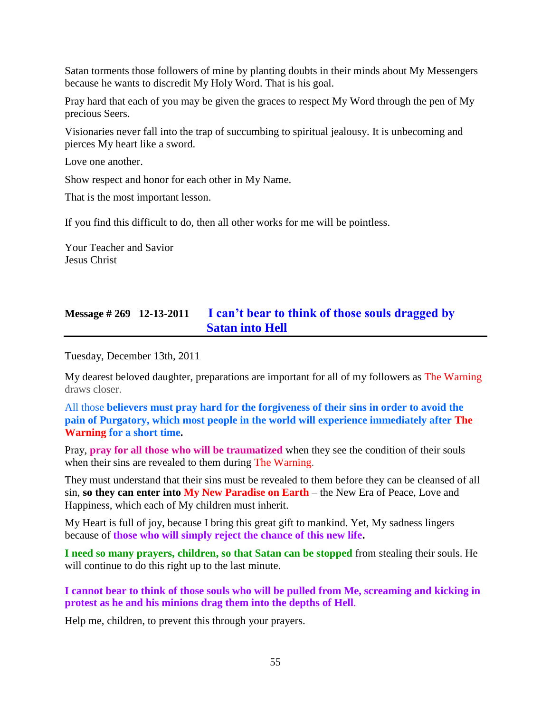Satan torments those followers of mine by planting doubts in their minds about My Messengers because he wants to discredit My Holy Word. That is his goal.

Pray hard that each of you may be given the graces to respect My Word through the pen of My precious Seers.

Visionaries never fall into the trap of succumbing to spiritual jealousy. It is unbecoming and pierces My heart like a sword.

Love one another.

Show respect and honor for each other in My Name.

That is the most important lesson.

If you find this difficult to do, then all other works for me will be pointless.

Your Teacher and Savior Jesus Christ

# **Message # 269 12-13-2011 [I can't bear to think of those souls dragged by](http://www.thewarningsecondcoming.com/i-cant-bear-to-think-of-those-souls-dragged-by-satan-into-hell/)  [Satan into Hell](http://www.thewarningsecondcoming.com/i-cant-bear-to-think-of-those-souls-dragged-by-satan-into-hell/)**

Tuesday, December 13th, 2011

My dearest beloved daughter, preparations are important for all of my followers as The Warning draws closer.

All those **believers must pray hard for the forgiveness of their sins in order to avoid the pain of Purgatory, which most people in the world will experience immediately after The Warning for a short time.**

Pray, **pray for all those who will be traumatized** when they see the condition of their souls when their sins are revealed to them during The Warning.

They must understand that their sins must be revealed to them before they can be cleansed of all sin, **so they can enter into My New Paradise on Earth** – the New Era of Peace, Love and Happiness, which each of My children must inherit.

My Heart is full of joy, because I bring this great gift to mankind. Yet, My sadness lingers because of **those who will simply reject the chance of this new life.**

**I need so many prayers, children, so that Satan can be stopped** from stealing their souls. He will continue to do this right up to the last minute.

**I cannot bear to think of those souls who will be pulled from Me, screaming and kicking in protest as he and his minions drag them into the depths of Hell**.

Help me, children, to prevent this through your prayers.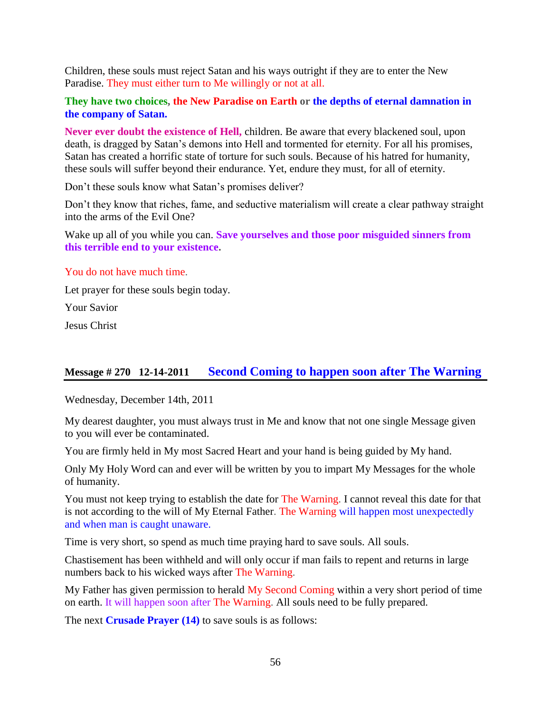Children, these souls must reject Satan and his ways outright if they are to enter the New Paradise. They must either turn to Me willingly or not at all.

#### **They have two choices, the New Paradise on Earth or the depths of eternal damnation in the company of Satan.**

**Never ever doubt the existence of Hell,** children. Be aware that every blackened soul, upon death, is dragged by Satan's demons into Hell and tormented for eternity. For all his promises, Satan has created a horrific state of torture for such souls. Because of his hatred for humanity, these souls will suffer beyond their endurance. Yet, endure they must, for all of eternity.

Don't these souls know what Satan's promises deliver?

Don't they know that riches, fame, and seductive materialism will create a clear pathway straight into the arms of the Evil One?

Wake up all of you while you can. **Save yourselves and those poor misguided sinners from this terrible end to your existence.**

#### You do not have much time.

Let prayer for these souls begin today.

Your Savior

Jesus Christ

## **Message # 270 12-14-2011 [Second Coming to happen soon after The Warning](http://www.thewarningsecondcoming.com/second-coming-to-happen-soon-after-the-warning/)**

Wednesday, December 14th, 2011

My dearest daughter, you must always trust in Me and know that not one single Message given to you will ever be contaminated.

You are firmly held in My most Sacred Heart and your hand is being guided by My hand.

Only My Holy Word can and ever will be written by you to impart My Messages for the whole of humanity.

You must not keep trying to establish the date for The Warning. I cannot reveal this date for that is not according to the will of My Eternal Father. The Warning will happen most unexpectedly and when man is caught unaware.

Time is very short, so spend as much time praying hard to save souls. All souls.

Chastisement has been withheld and will only occur if man fails to repent and returns in large numbers back to his wicked ways after The Warning.

My Father has given permission to herald My Second Coming within a very short period of time on earth. It will happen soon after The Warning. All souls need to be fully prepared.

The next **Crusade Prayer (14)** to save souls is as follows: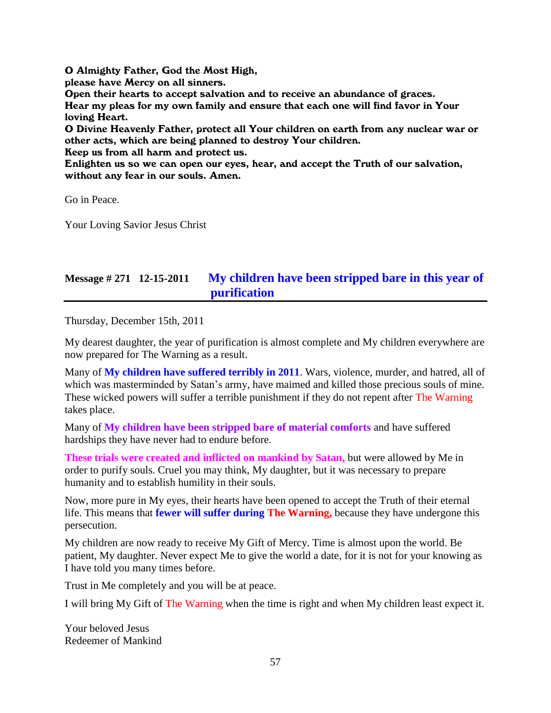O Almighty Father, God the Most High,

please have Mercy on all sinners.

Open their hearts to accept salvation and to receive an abundance of graces. Hear my pleas for my own family and ensure that each one will find favor in Your loving Heart.

O Divine Heavenly Father, protect all Your children on earth from any nuclear war or other acts, which are being planned to destroy Your children.

Keep us from all harm and protect us.

Enlighten us so we can open our eyes, hear, and accept the Truth of our salvation, without any fear in our souls. Amen.

Go in Peace.

Your Loving Savior Jesus Christ

# **Message # 271 12-15-2011 [My children have been stripped bare in this year of](http://www.thewarningsecondcoming.com/my-children-have-been-stripped-bare-in-this-year-of-purification/)  [purification](http://www.thewarningsecondcoming.com/my-children-have-been-stripped-bare-in-this-year-of-purification/)**

Thursday, December 15th, 2011

My dearest daughter, the year of purification is almost complete and My children everywhere are now prepared for The Warning as a result.

Many of **My children have suffered terribly in 2011**. Wars, violence, murder, and hatred, all of which was masterminded by Satan's army, have maimed and killed those precious souls of mine. These wicked powers will suffer a terrible punishment if they do not repent after The Warning takes place.

Many of **My children have been stripped bare of material comforts** and have suffered hardships they have never had to endure before.

**These trials were created and inflicted on mankind by Satan,** but were allowed by Me in order to purify souls. Cruel you may think, My daughter, but it was necessary to prepare humanity and to establish humility in their souls.

Now, more pure in My eyes, their hearts have been opened to accept the Truth of their eternal life. This means that **fewer will suffer during The Warning,** because they have undergone this persecution.

My children are now ready to receive My Gift of Mercy. Time is almost upon the world. Be patient, My daughter. Never expect Me to give the world a date, for it is not for your knowing as I have told you many times before.

Trust in Me completely and you will be at peace.

I will bring My Gift of The Warning when the time is right and when My children least expect it.

Your beloved Jesus Redeemer of Mankind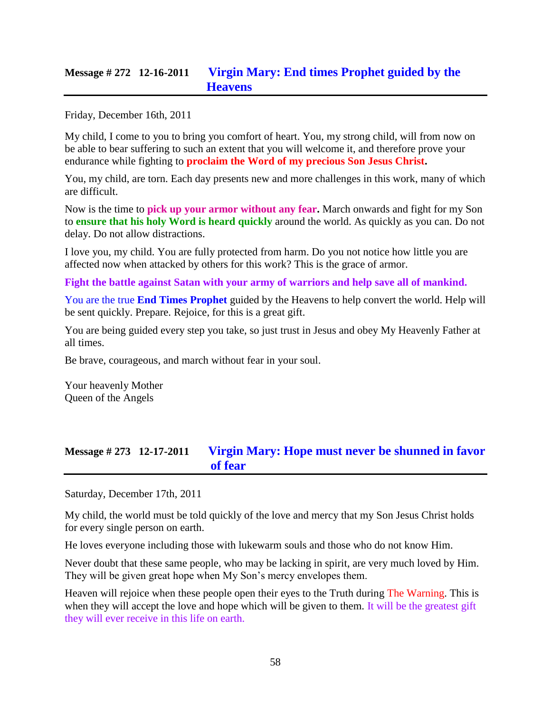## **Message # 272 12-16-2011 [Virgin Mary: End times Prophet guided by the](http://www.thewarningsecondcoming.com/virgin-mary-end-times-prophet-guided-by-the-heavens-2/)  [Heavens](http://www.thewarningsecondcoming.com/virgin-mary-end-times-prophet-guided-by-the-heavens-2/)**

Friday, December 16th, 2011

My child, I come to you to bring you comfort of heart. You, my strong child, will from now on be able to bear suffering to such an extent that you will welcome it, and therefore prove your endurance while fighting to **proclaim the Word of my precious Son Jesus Christ.**

You, my child, are torn. Each day presents new and more challenges in this work, many of which are difficult.

Now is the time to **pick up your armor without any fear.** March onwards and fight for my Son to **ensure that his holy Word is heard quickly** around the world. As quickly as you can. Do not delay. Do not allow distractions.

I love you, my child. You are fully protected from harm. Do you not notice how little you are affected now when attacked by others for this work? This is the grace of armor.

**Fight the battle against Satan with your army of warriors and help save all of mankind.**

You are the true **End Times Prophet** guided by the Heavens to help convert the world. Help will be sent quickly. Prepare. Rejoice, for this is a great gift.

You are being guided every step you take, so just trust in Jesus and obey My Heavenly Father at all times.

Be brave, courageous, and march without fear in your soul.

Your heavenly Mother Queen of the Angels

# **Message # 273 12-17-2011 [Virgin Mary: Hope must never be shunned in favor](http://www.thewarningsecondcoming.com/hope-must-never-be-shunned-in-favour-of-fear/)  [of fear](http://www.thewarningsecondcoming.com/hope-must-never-be-shunned-in-favour-of-fear/)**

Saturday, December 17th, 2011

My child, the world must be told quickly of the love and mercy that my Son Jesus Christ holds for every single person on earth.

He loves everyone including those with lukewarm souls and those who do not know Him.

Never doubt that these same people, who may be lacking in spirit, are very much loved by Him. They will be given great hope when My Son's mercy envelopes them.

Heaven will rejoice when these people open their eyes to the Truth during The Warning. This is when they will accept the love and hope which will be given to them. It will be the greatest gift they will ever receive in this life on earth.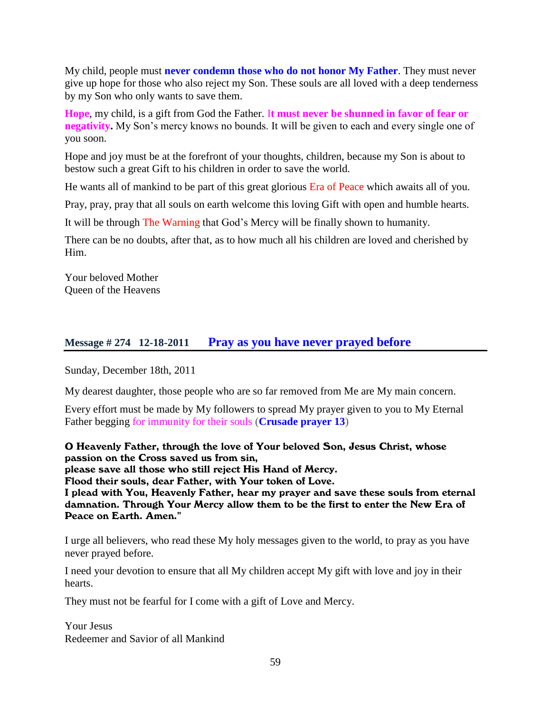My child, people must **never condemn those who do not honor My Father**. They must never give up hope for those who also reject my Son. These souls are all loved with a deep tenderness by my Son who only wants to save them.

**Hope**, my child, is a gift from God the Father. I**t must never be shunned in favor of fear or negativity.** My Son's mercy knows no bounds. It will be given to each and every single one of you soon.

Hope and joy must be at the forefront of your thoughts, children, because my Son is about to bestow such a great Gift to his children in order to save the world.

He wants all of mankind to be part of this great glorious Era of Peace which awaits all of you.

Pray, pray, pray that all souls on earth welcome this loving Gift with open and humble hearts.

It will be through The Warning that God's Mercy will be finally shown to humanity.

There can be no doubts, after that, as to how much all his children are loved and cherished by Him.

Your beloved Mother Queen of the Heavens

## **Message # 274 12-18-2011 [Pray as you have never prayed before](http://www.thewarningsecondcoming.com/pray-as-you-have-never-prayed-before/)**

Sunday, December 18th, 2011

My dearest daughter, those people who are so far removed from Me are My main concern.

Every effort must be made by My followers to spread My prayer given to you to My Eternal Father begging for immunity for their souls (**Crusade prayer 13**)

O Heavenly Father, through the love of Your beloved Son, Jesus Christ, whose passion on the Cross saved us from sin, please save all those who still reject His Hand of Mercy. Flood their souls, dear Father, with Your token of Love. I plead with You, Heavenly Father, hear my prayer and save these souls from eternal damnation. Through Your Mercy allow them to be the first to enter the New Era of Peace on Earth. Amen."

I urge all believers, who read these My holy messages given to the world, to pray as you have never prayed before.

I need your devotion to ensure that all My children accept My gift with love and joy in their hearts.

They must not be fearful for I come with a gift of Love and Mercy.

Your Jesus Redeemer and Savior of all Mankind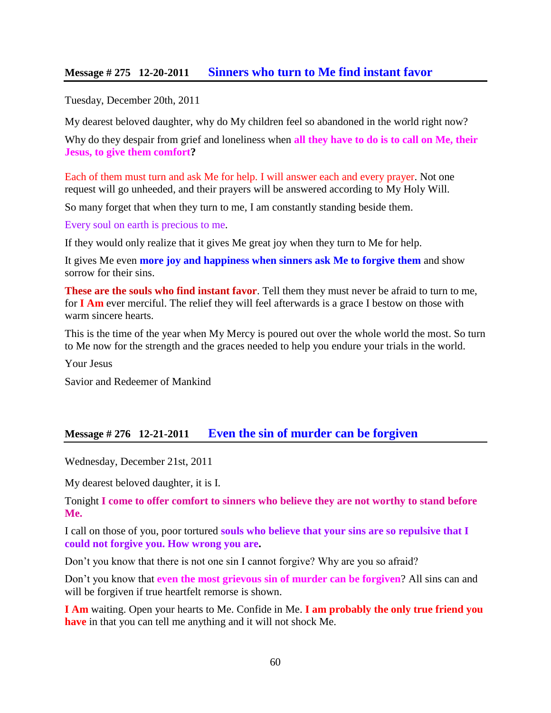### **Message # 275 12-20-2011 [Sinners who turn to Me find instant favor](http://www.thewarningsecondcoming.com/sinners-who-turn-to-me-find-instant-favour/)**

Tuesday, December 20th, 2011

My dearest beloved daughter, why do My children feel so abandoned in the world right now?

Why do they despair from grief and loneliness when **all they have to do is to call on Me, their Jesus, to give them comfort?**

Each of them must turn and ask Me for help. I will answer each and every prayer. Not one request will go unheeded, and their prayers will be answered according to My Holy Will.

So many forget that when they turn to me, I am constantly standing beside them.

Every soul on earth is precious to me.

If they would only realize that it gives Me great joy when they turn to Me for help.

It gives Me even **more joy and happiness when sinners ask Me to forgive them** and show sorrow for their sins.

**These are the souls who find instant favor**. Tell them they must never be afraid to turn to me, for **I Am** ever merciful. The relief they will feel afterwards is a grace I bestow on those with warm sincere hearts.

This is the time of the year when My Mercy is poured out over the whole world the most. So turn to Me now for the strength and the graces needed to help you endure your trials in the world.

Your Jesus

Savior and Redeemer of Mankind

### **Message # 276 12-21-2011 [Even the sin of murder can be forgiven](http://www.thewarningsecondcoming.com/even-the-sin-of-murder-can-be-forgiven/)**

Wednesday, December 21st, 2011

My dearest beloved daughter, it is I.

Tonight **I come to offer comfort to sinners who believe they are not worthy to stand before Me.**

I call on those of you, poor tortured **souls who believe that your sins are so repulsive that I could not forgive you. How wrong you are.**

Don't you know that there is not one sin I cannot forgive? Why are you so afraid?

Don't you know that **even the most grievous sin of murder can be forgiven**? All sins can and will be forgiven if true heartfelt remorse is shown.

**I Am** waiting. Open your hearts to Me. Confide in Me. **I am probably the only true friend you have** in that you can tell me anything and it will not shock Me.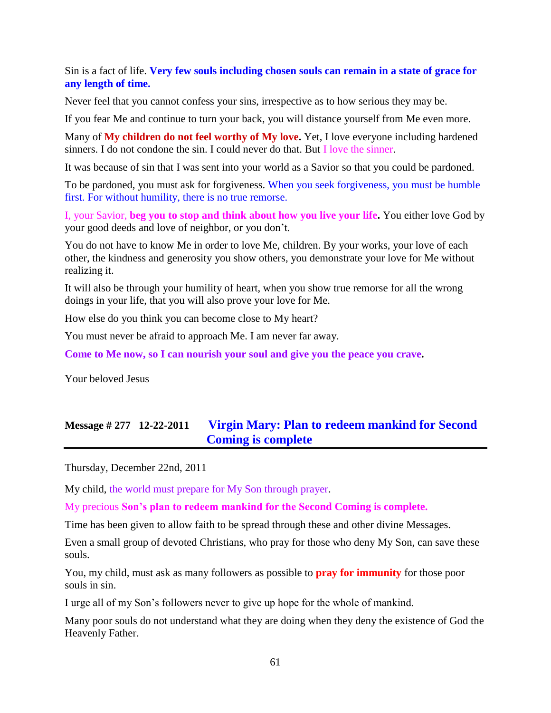Sin is a fact of life. **Very few souls including chosen souls can remain in a state of grace for any length of time.**

Never feel that you cannot confess your sins, irrespective as to how serious they may be.

If you fear Me and continue to turn your back, you will distance yourself from Me even more.

Many of **My children do not feel worthy of My love.** Yet, I love everyone including hardened sinners. I do not condone the sin. I could never do that. But I love the sinner.

It was because of sin that I was sent into your world as a Savior so that you could be pardoned.

To be pardoned, you must ask for forgiveness. When you seek forgiveness, you must be humble first. For without humility, there is no true remorse.

I, your Savior, **beg you to stop and think about how you live your life.** You either love God by your good deeds and love of neighbor, or you don't.

You do not have to know Me in order to love Me, children. By your works, your love of each other, the kindness and generosity you show others, you demonstrate your love for Me without realizing it.

It will also be through your humility of heart, when you show true remorse for all the wrong doings in your life, that you will also prove your love for Me.

How else do you think you can become close to My heart?

You must never be afraid to approach Me. I am never far away.

**Come to Me now, so I can nourish your soul and give you the peace you crave.**

Your beloved Jesus

## **Message # 277 12-22-2011 [Virgin Mary: Plan to redeem mankind for Second](http://www.thewarningsecondcoming.com/virgin-mary-plan-to-redeem-mankind-for-second-coming-is-complete/)  [Coming is complete](http://www.thewarningsecondcoming.com/virgin-mary-plan-to-redeem-mankind-for-second-coming-is-complete/)**

Thursday, December 22nd, 2011

My child, the world must prepare for My Son through prayer.

My precious **Son's plan to redeem mankind for the Second Coming is complete.**

Time has been given to allow faith to be spread through these and other divine Messages.

Even a small group of devoted Christians, who pray for those who deny My Son, can save these souls.

You, my child, must ask as many followers as possible to **pray for immunity** for those poor souls in sin.

I urge all of my Son's followers never to give up hope for the whole of mankind.

Many poor souls do not understand what they are doing when they deny the existence of God the Heavenly Father.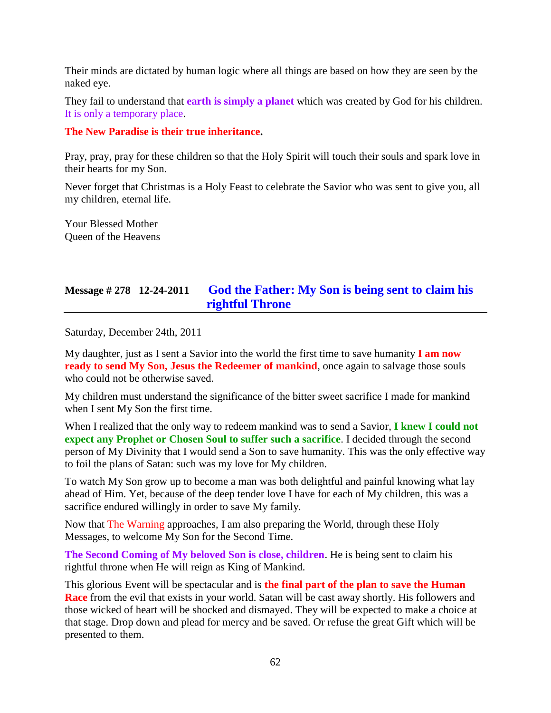Their minds are dictated by human logic where all things are based on how they are seen by the naked eye.

They fail to understand that **earth is simply a planet** which was created by God for his children. It is only a temporary place.

#### **The New Paradise is their true inheritance.**

Pray, pray, pray for these children so that the Holy Spirit will touch their souls and spark love in their hearts for my Son.

Never forget that Christmas is a Holy Feast to celebrate the Savior who was sent to give you, all my children, eternal life.

Your Blessed Mother Queen of the Heavens

# **Message # 278 12-24-2011 [God the Father: My Son is being sent to claim his](http://www.thewarningsecondcoming.com/god-the-father-my-son-is-being-sent-to-claim-his-rightful-throne-2/)  [rightful Throne](http://www.thewarningsecondcoming.com/god-the-father-my-son-is-being-sent-to-claim-his-rightful-throne-2/)**

Saturday, December 24th, 2011

My daughter, just as I sent a Savior into the world the first time to save humanity **I am now ready to send My Son, Jesus the Redeemer of mankind**, once again to salvage those souls who could not be otherwise saved.

My children must understand the significance of the bitter sweet sacrifice I made for mankind when I sent My Son the first time.

When I realized that the only way to redeem mankind was to send a Savior, **I knew I could not expect any Prophet or Chosen Soul to suffer such a sacrifice**. I decided through the second person of My Divinity that I would send a Son to save humanity. This was the only effective way to foil the plans of Satan: such was my love for My children.

To watch My Son grow up to become a man was both delightful and painful knowing what lay ahead of Him. Yet, because of the deep tender love I have for each of My children, this was a sacrifice endured willingly in order to save My family.

Now that The Warning approaches, I am also preparing the World, through these Holy Messages, to welcome My Son for the Second Time.

**The Second Coming of My beloved Son is close, children**. He is being sent to claim his rightful throne when He will reign as King of Mankind.

This glorious Event will be spectacular and is **the final part of the plan to save the Human Race** from the evil that exists in your world. Satan will be cast away shortly. His followers and those wicked of heart will be shocked and dismayed. They will be expected to make a choice at that stage. Drop down and plead for mercy and be saved. Or refuse the great Gift which will be presented to them.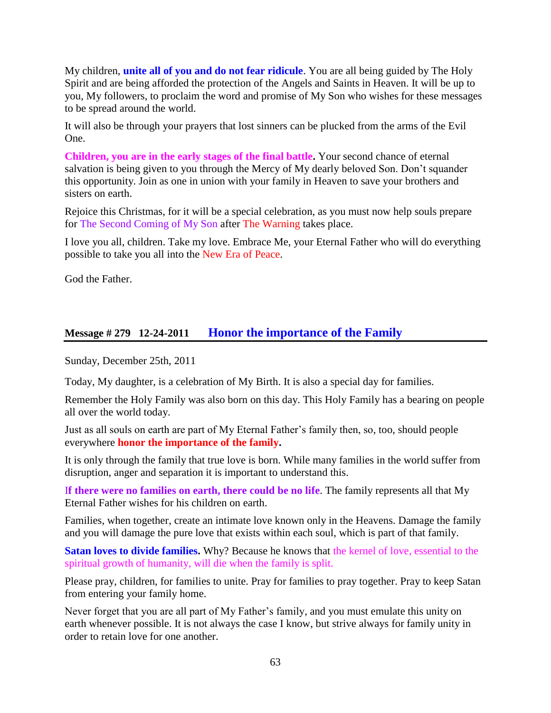My children, **unite all of you and do not fear ridicule**. You are all being guided by The Holy Spirit and are being afforded the protection of the Angels and Saints in Heaven. It will be up to you, My followers, to proclaim the word and promise of My Son who wishes for these messages to be spread around the world.

It will also be through your prayers that lost sinners can be plucked from the arms of the Evil One.

**Children, you are in the early stages of the final battle.** Your second chance of eternal salvation is being given to you through the Mercy of My dearly beloved Son. Don't squander this opportunity. Join as one in union with your family in Heaven to save your brothers and sisters on earth.

Rejoice this Christmas, for it will be a special celebration, as you must now help souls prepare for The Second Coming of My Son after The Warning takes place.

I love you all, children. Take my love. Embrace Me, your Eternal Father who will do everything possible to take you all into the New Era of Peace.

God the Father.

## **Message # 279 12-24-2011 [Honor the importance of the Family](http://www.thewarningsecondcoming.com/honour-the-importance-of-the-family/)**

Sunday, December 25th, 2011

Today, My daughter, is a celebration of My Birth. It is also a special day for families.

Remember the Holy Family was also born on this day. This Holy Family has a bearing on people all over the world today.

Just as all souls on earth are part of My Eternal Father's family then, so, too, should people everywhere **honor the importance of the family.**

It is only through the family that true love is born. While many families in the world suffer from disruption, anger and separation it is important to understand this.

I**f there were no families on earth, there could be no life**. The family represents all that My Eternal Father wishes for his children on earth.

Families, when together, create an intimate love known only in the Heavens. Damage the family and you will damage the pure love that exists within each soul, which is part of that family.

**Satan loves to divide families.** Why? Because he knows that the kernel of love, essential to the spiritual growth of humanity, will die when the family is split.

Please pray, children, for families to unite. Pray for families to pray together. Pray to keep Satan from entering your family home.

Never forget that you are all part of My Father's family, and you must emulate this unity on earth whenever possible. It is not always the case I know, but strive always for family unity in order to retain love for one another.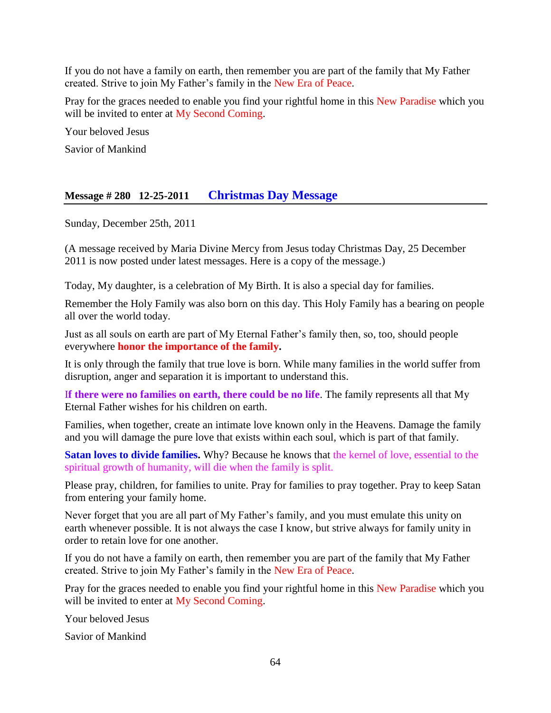If you do not have a family on earth, then remember you are part of the family that My Father created. Strive to join My Father's family in the New Era of Peace.

Pray for the graces needed to enable you find your rightful home in this New Paradise which you will be invited to enter at My Second Coming.

Your beloved Jesus

Savior of Mankind

## **Message # 280 12-25-2011 [Christmas Day Message](http://www.thewarningsecondcoming.com/christmas-day-message/)**

Sunday, December 25th, 2011

(A message received by Maria Divine Mercy from Jesus today Christmas Day, 25 December 2011 is now posted under latest messages. Here is a copy of the message.)

Today, My daughter, is a celebration of My Birth. It is also a special day for families.

Remember the Holy Family was also born on this day. This Holy Family has a bearing on people all over the world today.

Just as all souls on earth are part of My Eternal Father's family then, so, too, should people everywhere **honor the importance of the family.**

It is only through the family that true love is born. While many families in the world suffer from disruption, anger and separation it is important to understand this.

I**f there were no families on earth, there could be no life**. The family represents all that My Eternal Father wishes for his children on earth.

Families, when together, create an intimate love known only in the Heavens. Damage the family and you will damage the pure love that exists within each soul, which is part of that family.

**Satan loves to divide families.** Why? Because he knows that the kernel of love, essential to the spiritual growth of humanity, will die when the family is split.

Please pray, children, for families to unite. Pray for families to pray together. Pray to keep Satan from entering your family home.

Never forget that you are all part of My Father's family, and you must emulate this unity on earth whenever possible. It is not always the case I know, but strive always for family unity in order to retain love for one another.

If you do not have a family on earth, then remember you are part of the family that My Father created. Strive to join My Father's family in the New Era of Peace.

Pray for the graces needed to enable you find your rightful home in this New Paradise which you will be invited to enter at My Second Coming.

Your beloved Jesus

Savior of Mankind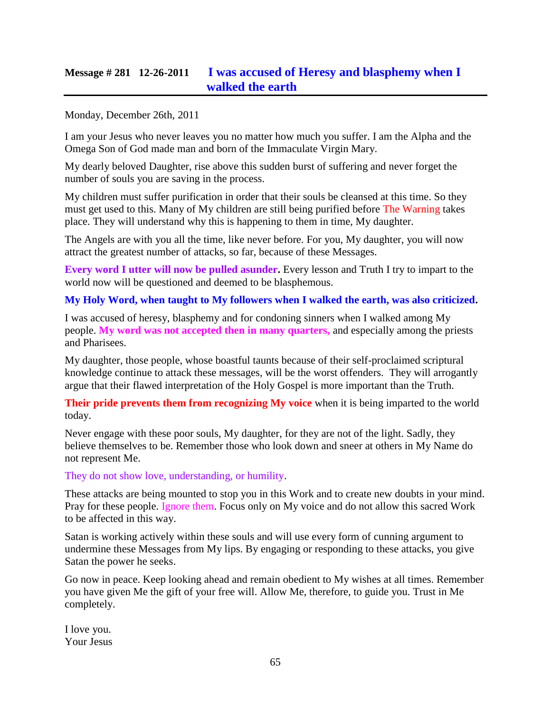# **Message # 281 12-26-2011 [I was accused of Heresy and blasphemy when I](http://www.thewarningsecondcoming.com/i-was-accused-of-heresy-and-blasphemy-when-i-walked-the-earth/)  [walked the earth](http://www.thewarningsecondcoming.com/i-was-accused-of-heresy-and-blasphemy-when-i-walked-the-earth/)**

Monday, December 26th, 2011

I am your Jesus who never leaves you no matter how much you suffer. I am the Alpha and the Omega Son of God made man and born of the Immaculate Virgin Mary.

My dearly beloved Daughter, rise above this sudden burst of suffering and never forget the number of souls you are saving in the process.

My children must suffer purification in order that their souls be cleansed at this time. So they must get used to this. Many of My children are still being purified before The Warning takes place. They will understand why this is happening to them in time, My daughter.

The Angels are with you all the time, like never before. For you, My daughter, you will now attract the greatest number of attacks, so far, because of these Messages.

**Every word I utter will now be pulled asunder.** Every lesson and Truth I try to impart to the world now will be questioned and deemed to be blasphemous.

#### **My Holy Word, when taught to My followers when I walked the earth, was also criticized.**

I was accused of heresy, blasphemy and for condoning sinners when I walked among My people. **My word was not accepted then in many quarters,** and especially among the priests and Pharisees.

My daughter, those people, whose boastful taunts because of their self-proclaimed scriptural knowledge continue to attack these messages, will be the worst offenders. They will arrogantly argue that their flawed interpretation of the Holy Gospel is more important than the Truth.

**Their pride prevents them from recognizing My voice** when it is being imparted to the world today.

Never engage with these poor souls, My daughter, for they are not of the light. Sadly, they believe themselves to be. Remember those who look down and sneer at others in My Name do not represent Me.

They do not show love, understanding, or humility.

These attacks are being mounted to stop you in this Work and to create new doubts in your mind. Pray for these people. Ignore them. Focus only on My voice and do not allow this sacred Work to be affected in this way.

Satan is working actively within these souls and will use every form of cunning argument to undermine these Messages from My lips. By engaging or responding to these attacks, you give Satan the power he seeks.

Go now in peace. Keep looking ahead and remain obedient to My wishes at all times. Remember you have given Me the gift of your free will. Allow Me, therefore, to guide you. Trust in Me completely.

I love you. Your Jesus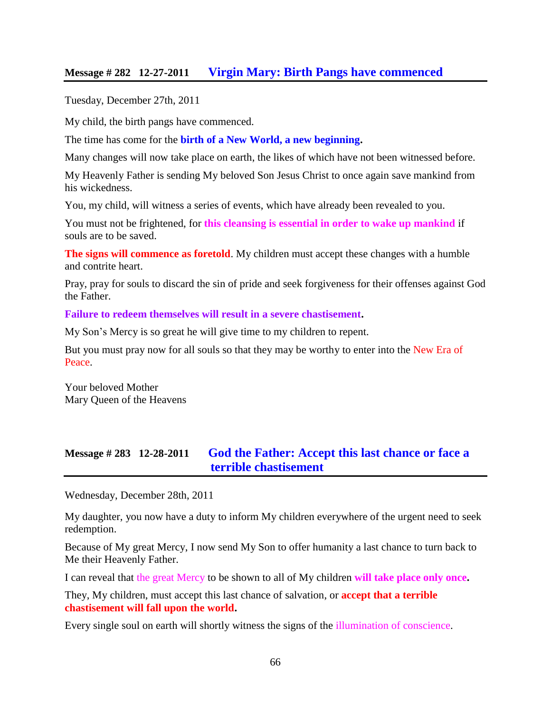### **Message # 282 12-27-2011 [Virgin Mary: Birth Pangs have commenced](http://www.thewarningsecondcoming.com/virgin-mary-birth-pangs-have-commenced/)**

Tuesday, December 27th, 2011

My child, the birth pangs have commenced.

The time has come for the **birth of a New World, a new beginning.**

Many changes will now take place on earth, the likes of which have not been witnessed before.

My Heavenly Father is sending My beloved Son Jesus Christ to once again save mankind from his wickedness.

You, my child, will witness a series of events, which have already been revealed to you.

You must not be frightened, for **this cleansing is essential in order to wake up mankind** if souls are to be saved.

**The signs will commence as foretold**. My children must accept these changes with a humble and contrite heart.

Pray, pray for souls to discard the sin of pride and seek forgiveness for their offenses against God the Father.

**Failure to redeem themselves will result in a severe chastisement.**

My Son's Mercy is so great he will give time to my children to repent.

But you must pray now for all souls so that they may be worthy to enter into the New Era of Peace.

Your beloved Mother Mary Queen of the Heavens

## **Message # 283 12-28-2011 God the Father: [Accept this last chance or face a](http://www.thewarningsecondcoming.com/god-the-father-accept-this-last-chance-or-face-a-terrible-chastisement/)  [terrible chastisement](http://www.thewarningsecondcoming.com/god-the-father-accept-this-last-chance-or-face-a-terrible-chastisement/)**

Wednesday, December 28th, 2011

My daughter, you now have a duty to inform My children everywhere of the urgent need to seek redemption.

Because of My great Mercy, I now send My Son to offer humanity a last chance to turn back to Me their Heavenly Father.

I can reveal that the great Mercy to be shown to all of My children **will take place only once.**

They, My children, must accept this last chance of salvation, or **accept that a terrible chastisement will fall upon the world.**

Every single soul on earth will shortly witness the signs of the illumination of conscience.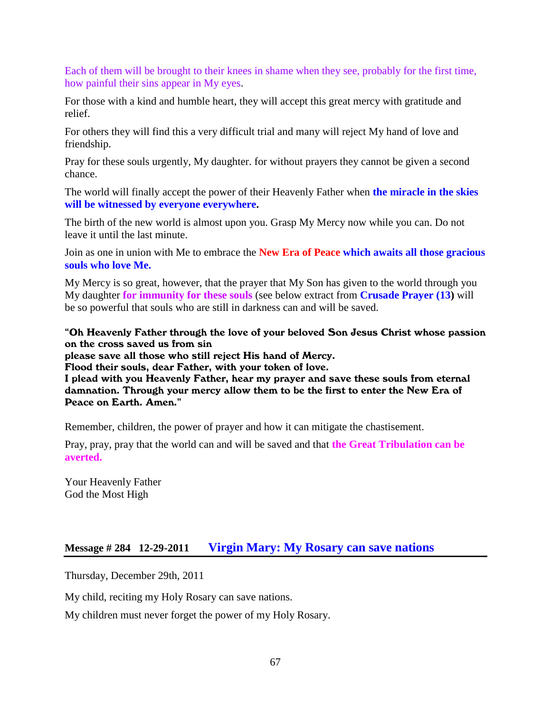Each of them will be brought to their knees in shame when they see, probably for the first time, how painful their sins appear in My eyes.

For those with a kind and humble heart, they will accept this great mercy with gratitude and relief.

For others they will find this a very difficult trial and many will reject My hand of love and friendship.

Pray for these souls urgently, My daughter. for without prayers they cannot be given a second chance.

The world will finally accept the power of their Heavenly Father when **the miracle in the skies will be witnessed by everyone everywhere.**

The birth of the new world is almost upon you. Grasp My Mercy now while you can. Do not leave it until the last minute.

Join as one in union with Me to embrace the **New Era of Peace which awaits all those gracious souls who love Me.**

My Mercy is so great, however, that the prayer that My Son has given to the world through you My daughter **for immunity for these souls** (see below extract from **Crusade Prayer (13)** will be so powerful that souls who are still in darkness can and will be saved.

"Oh Heavenly Father through the love of your beloved Son Jesus Christ whose passion on the cross saved us from sin

please save all those who still reject His hand of Mercy.

Flood their souls, dear Father, with your token of love.

I plead with you Heavenly Father, hear my prayer and save these souls from eternal damnation. Through your mercy allow them to be the first to enter the New Era of Peace on Earth. Amen."

Remember, children, the power of prayer and how it can mitigate the chastisement.

Pray, pray, pray that the world can and will be saved and that **the Great Tribulation can be averted.**

Your Heavenly Father God the Most High

### **Message # 284 12-29-2011 [Virgin Mary: My Rosary can save nations](http://www.thewarningsecondcoming.com/virgin-mary-my-rosary-can-save-nations/)**

Thursday, December 29th, 2011

My child, reciting my Holy Rosary can save nations.

My children must never forget the power of my Holy Rosary.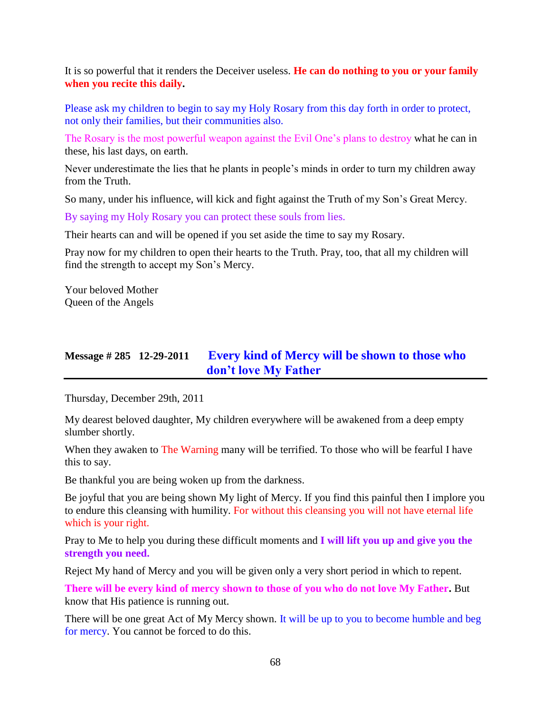It is so powerful that it renders the Deceiver useless. **He can do nothing to you or your family when you recite this daily.**

Please ask my children to begin to say my Holy Rosary from this day forth in order to protect, not only their families, but their communities also.

The Rosary is the most powerful weapon against the Evil One's plans to destroy what he can in these, his last days, on earth.

Never underestimate the lies that he plants in people's minds in order to turn my children away from the Truth.

So many, under his influence, will kick and fight against the Truth of my Son's Great Mercy.

By saying my Holy Rosary you can protect these souls from lies.

Their hearts can and will be opened if you set aside the time to say my Rosary.

Pray now for my children to open their hearts to the Truth. Pray, too, that all my children will find the strength to accept my Son's Mercy.

Your beloved Mother Queen of the Angels

# **Message # 285 12-29-2011 [Every kind of Mercy will be shown to those who](http://www.thewarningsecondcoming.com/every-kind-of-mercy-shown-to-those-who-dont-love-my-father/)  [don't love My Father](http://www.thewarningsecondcoming.com/every-kind-of-mercy-shown-to-those-who-dont-love-my-father/)**

Thursday, December 29th, 2011

My dearest beloved daughter, My children everywhere will be awakened from a deep empty slumber shortly.

When they awaken to The Warning many will be terrified. To those who will be fearful I have this to say.

Be thankful you are being woken up from the darkness.

Be joyful that you are being shown My light of Mercy. If you find this painful then I implore you to endure this cleansing with humility. For without this cleansing you will not have eternal life which is your right.

Pray to Me to help you during these difficult moments and **I will lift you up and give you the strength you need.**

Reject My hand of Mercy and you will be given only a very short period in which to repent.

**There will be every kind of mercy shown to those of you who do not love My Father.** But know that His patience is running out.

There will be one great Act of My Mercy shown. It will be up to you to become humble and beg for mercy. You cannot be forced to do this.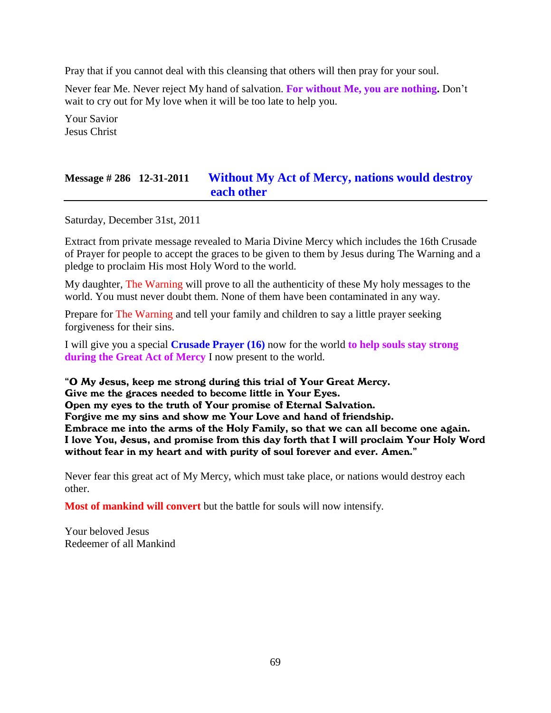Pray that if you cannot deal with this cleansing that others will then pray for your soul.

Never fear Me. Never reject My hand of salvation. **For without Me, you are nothing.** Don't wait to cry out for My love when it will be too late to help you.

Your Savior Jesus Christ

# **Message # 286 12-31-2011 [Without My Act of Mercy,](http://www.thewarningsecondcoming.com/without-my-act-of-mercy-nations-would-destroy-each-other/) nations would destroy [each other](http://www.thewarningsecondcoming.com/without-my-act-of-mercy-nations-would-destroy-each-other/)**

Saturday, December 31st, 2011

Extract from private message revealed to Maria Divine Mercy which includes the 16th Crusade of Prayer for people to accept the graces to be given to them by Jesus during The Warning and a pledge to proclaim His most Holy Word to the world.

My daughter, The Warning will prove to all the authenticity of these My holy messages to the world. You must never doubt them. None of them have been contaminated in any way.

Prepare for The Warning and tell your family and children to say a little prayer seeking forgiveness for their sins.

I will give you a special **Crusade Prayer (16)** now for the world **to help souls stay strong during the Great Act of Mercy** I now present to the world.

"O My Jesus, keep me strong during this trial of Your Great Mercy. Give me the graces needed to become little in Your Eyes. Open my eyes to the truth of Your promise of Eternal Salvation. Forgive me my sins and show me Your Love and hand of friendship. Embrace me into the arms of the Holy Family, so that we can all become one again. I love You, Jesus, and promise from this day forth that I will proclaim Your Holy Word without fear in my heart and with purity of soul forever and ever. Amen."

Never fear this great act of My Mercy, which must take place, or nations would destroy each other.

**Most of mankind will convert** but the battle for souls will now intensify.

Your beloved Jesus Redeemer of all Mankind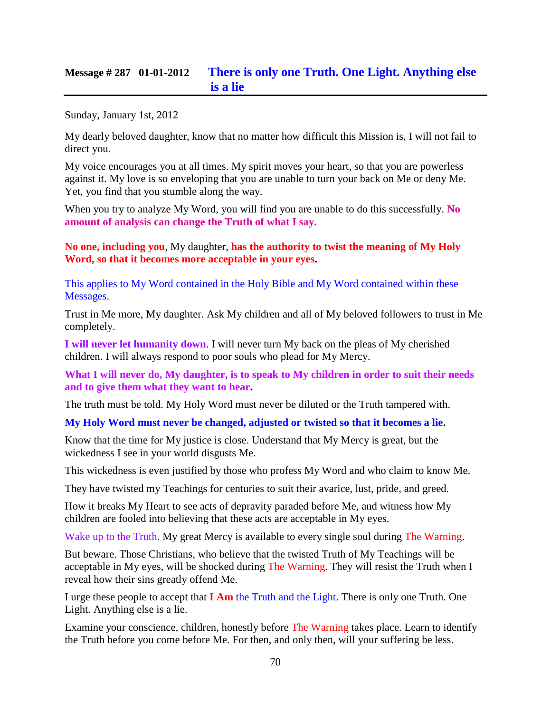## **Message # 287 01-01-2012 [There is only one Truth. One Light. Anything else](http://www.thewarningsecondcoming.com/there-is-only-one-truth-one-light-anything-else-is-a-lie/)  [is a lie](http://www.thewarningsecondcoming.com/there-is-only-one-truth-one-light-anything-else-is-a-lie/)**

Sunday, January 1st, 2012

My dearly beloved daughter, know that no matter how difficult this Mission is, I will not fail to direct you.

My voice encourages you at all times. My spirit moves your heart, so that you are powerless against it. My love is so enveloping that you are unable to turn your back on Me or deny Me. Yet, you find that you stumble along the way.

When you try to analyze My Word, you will find you are unable to do this successfully. **No amount of analysis can change the Truth of what I say.**

**No one, including you**, My daughter, **has the authority to twist the meaning of My Holy Word, so that it becomes more acceptable in your eyes.**

This applies to My Word contained in the Holy Bible and My Word contained within these Messages.

Trust in Me more, My daughter. Ask My children and all of My beloved followers to trust in Me completely.

**I will never let humanity down**. I will never turn My back on the pleas of My cherished children. I will always respond to poor souls who plead for My Mercy.

**What I will never do, My daughter, is to speak to My children in order to suit their needs and to give them what they want to hear.**

The truth must be told. My Holy Word must never be diluted or the Truth tampered with.

**My Holy Word must never be changed, adjusted or twisted so that it becomes a lie.**

Know that the time for My justice is close. Understand that My Mercy is great, but the wickedness I see in your world disgusts Me.

This wickedness is even justified by those who profess My Word and who claim to know Me.

They have twisted my Teachings for centuries to suit their avarice, lust, pride, and greed.

How it breaks My Heart to see acts of depravity paraded before Me, and witness how My children are fooled into believing that these acts are acceptable in My eyes.

Wake up to the Truth. My great Mercy is available to every single soul during The Warning.

But beware. Those Christians, who believe that the twisted Truth of My Teachings will be acceptable in My eyes, will be shocked during The Warning. They will resist the Truth when I reveal how their sins greatly offend Me.

I urge these people to accept that **I Am** the Truth and the Light. There is only one Truth. One Light. Anything else is a lie.

Examine your conscience, children, honestly before The Warning takes place. Learn to identify the Truth before you come before Me. For then, and only then, will your suffering be less.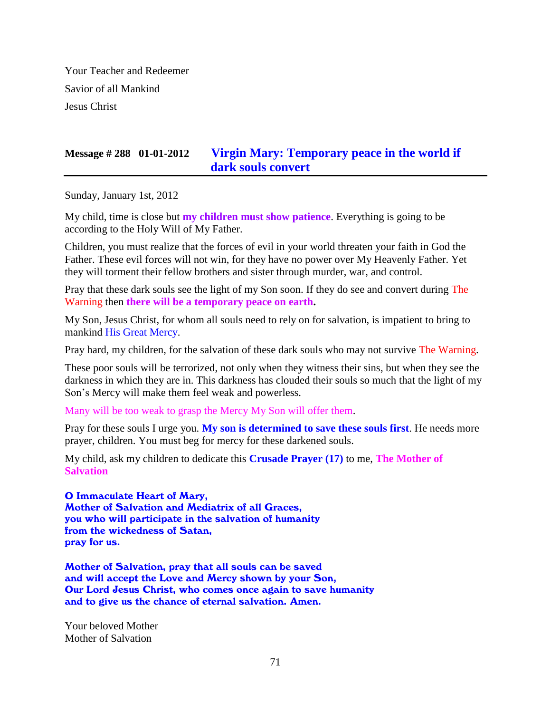Your Teacher and Redeemer Savior of all Mankind Jesus Christ

# **Message # 288 01-01-2012 [Virgin Mary: Temporary peace in the world if](http://www.thewarningsecondcoming.com/virgin-mary-temporary-peace-in-the-world-if-dark-souls-convert/)  [dark souls convert](http://www.thewarningsecondcoming.com/virgin-mary-temporary-peace-in-the-world-if-dark-souls-convert/)**

Sunday, January 1st, 2012

My child, time is close but **my children must show patience**. Everything is going to be according to the Holy Will of My Father.

Children, you must realize that the forces of evil in your world threaten your faith in God the Father. These evil forces will not win, for they have no power over My Heavenly Father. Yet they will torment their fellow brothers and sister through murder, war, and control.

Pray that these dark souls see the light of my Son soon. If they do see and convert during The Warning then **there will be a temporary peace on earth.**

My Son, Jesus Christ, for whom all souls need to rely on for salvation, is impatient to bring to mankind His Great Mercy.

Pray hard, my children, for the salvation of these dark souls who may not survive The Warning.

These poor souls will be terrorized, not only when they witness their sins, but when they see the darkness in which they are in. This darkness has clouded their souls so much that the light of my Son's Mercy will make them feel weak and powerless.

Many will be too weak to grasp the Mercy My Son will offer them.

Pray for these souls I urge you. **My son is determined to save these souls first**. He needs more prayer, children. You must beg for mercy for these darkened souls.

My child, ask my children to dedicate this **Crusade Prayer (17)** to me, **The Mother of Salvation**

O Immaculate Heart of Mary, Mother of Salvation and Mediatrix of all Graces, you who will participate in the salvation of humanity from the wickedness of Satan, pray for us.

Mother of Salvation, pray that all souls can be saved and will accept the Love and Mercy shown by your Son, Our Lord Jesus Christ, who comes once again to save humanity and to give us the chance of eternal salvation. Amen.

Your beloved Mother Mother of Salvation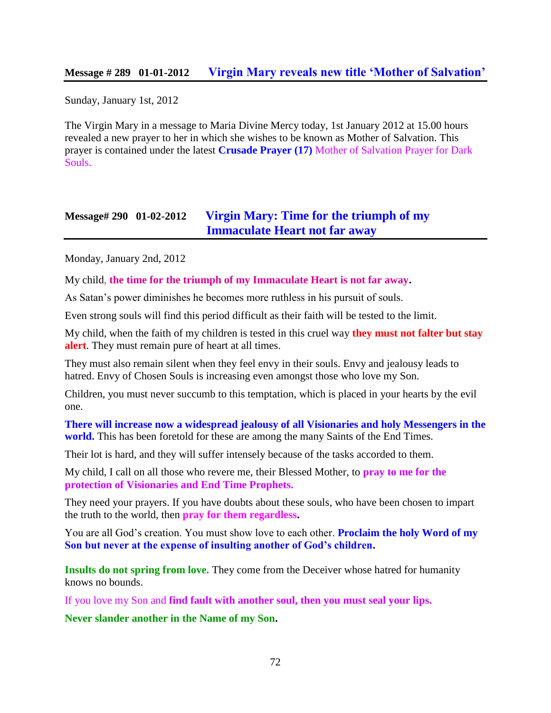### **Message # 289 01-01-2012 [Virgin Mary reveals new title 'Mother of Salvation'](http://www.thewarningsecondcoming.com/virgin-mary-reveals-new-title-mother-of-salvation/)**

Sunday, January 1st, 2012

The Virgin Mary in a message to Maria Divine Mercy today, 1st January 2012 at 15.00 hours revealed a new prayer to her in which she wishes to be known as Mother of Salvation. This prayer is contained under the latest **Crusade Prayer (17)** Mother of Salvation Prayer for Dark Souls.

## **Message# 290 01-02-2012 [Virgin Mary: Time for the triumph of my](http://www.thewarningsecondcoming.com/virgin-mary-time-for-the-triumph-of-my-immaculate-heart-not-far-away/)  [Immaculate Heart not far away](http://www.thewarningsecondcoming.com/virgin-mary-time-for-the-triumph-of-my-immaculate-heart-not-far-away/)**

Monday, January 2nd, 2012

My child, **the time for the triumph of my Immaculate Heart is not far away.**

As Satan's power diminishes he becomes more ruthless in his pursuit of souls.

Even strong souls will find this period difficult as their faith will be tested to the limit.

My child, when the faith of my children is tested in this cruel way **they must not falter but stay alert**. They must remain pure of heart at all times.

They must also remain silent when they feel envy in their souls. Envy and jealousy leads to hatred. Envy of Chosen Souls is increasing even amongst those who love my Son.

Children, you must never succumb to this temptation, which is placed in your hearts by the evil one.

**There will increase now a widespread jealousy of all Visionaries and holy Messengers in the world.** This has been foretold for these are among the many Saints of the End Times.

Their lot is hard, and they will suffer intensely because of the tasks accorded to them.

My child, I call on all those who revere me, their Blessed Mother, to **pray to me for the protection of Visionaries and End Time Prophets.**

They need your prayers. If you have doubts about these souls, who have been chosen to impart the truth to the world, then **pray for them regardless.**

You are all God's creation. You must show love to each other. **Proclaim the holy Word of my Son but never at the expense of insulting another of God's children.**

**Insults do not spring from love.** They come from the Deceiver whose hatred for humanity knows no bounds.

If you love my Son and **find fault with another soul, then you must seal your lips.**

**Never slander another in the Name of my Son.**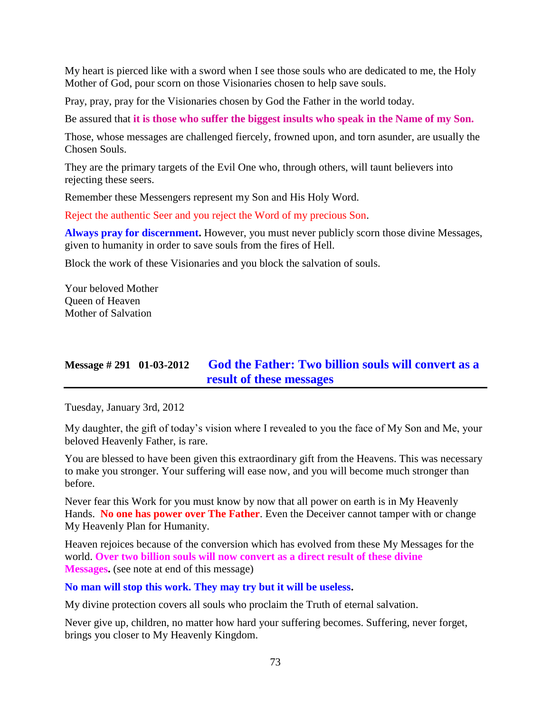My heart is pierced like with a sword when I see those souls who are dedicated to me, the Holy Mother of God, pour scorn on those Visionaries chosen to help save souls.

Pray, pray, pray for the Visionaries chosen by God the Father in the world today.

Be assured that **it is those who suffer the biggest insults who speak in the Name of my Son.**

Those, whose messages are challenged fiercely, frowned upon, and torn asunder, are usually the Chosen Souls.

They are the primary targets of the Evil One who, through others, will taunt believers into rejecting these seers.

Remember these Messengers represent my Son and His Holy Word.

Reject the authentic Seer and you reject the Word of my precious Son.

**Always pray for discernment.** However, you must never publicly scorn those divine Messages, given to humanity in order to save souls from the fires of Hell.

Block the work of these Visionaries and you block the salvation of souls.

Your beloved Mother Queen of Heaven Mother of Salvation

# **Message # 291 01-03-2012 [God the Father: Two billion souls will convert as a](http://www.thewarningsecondcoming.com/god-the-father-my-army-will-bring-about-the-peace-you-desire/)  [result of these messages](http://www.thewarningsecondcoming.com/god-the-father-my-army-will-bring-about-the-peace-you-desire/)**

Tuesday, January 3rd, 2012

My daughter, the gift of today's vision where I revealed to you the face of My Son and Me, your beloved Heavenly Father, is rare.

You are blessed to have been given this extraordinary gift from the Heavens. This was necessary to make you stronger. Your suffering will ease now, and you will become much stronger than before.

Never fear this Work for you must know by now that all power on earth is in My Heavenly Hands. **No one has power over The Father**. Even the Deceiver cannot tamper with or change My Heavenly Plan for Humanity.

Heaven rejoices because of the conversion which has evolved from these My Messages for the world. **Over two billion souls will now convert as a direct result of these divine Messages.** (see note at end of this message)

#### **No man will stop this work. They may try but it will be useless.**

My divine protection covers all souls who proclaim the Truth of eternal salvation.

Never give up, children, no matter how hard your suffering becomes. Suffering, never forget, brings you closer to My Heavenly Kingdom.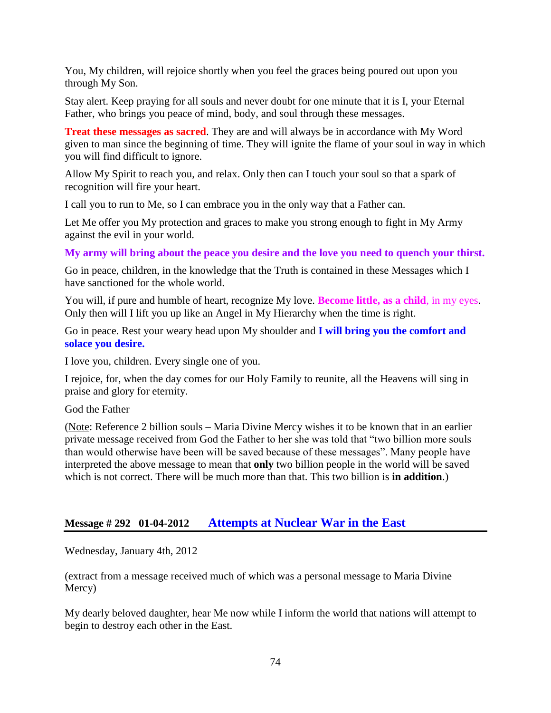You, My children, will rejoice shortly when you feel the graces being poured out upon you through My Son.

Stay alert. Keep praying for all souls and never doubt for one minute that it is I, your Eternal Father, who brings you peace of mind, body, and soul through these messages.

**Treat these messages as sacred**. They are and will always be in accordance with My Word given to man since the beginning of time. They will ignite the flame of your soul in way in which you will find difficult to ignore.

Allow My Spirit to reach you, and relax. Only then can I touch your soul so that a spark of recognition will fire your heart.

I call you to run to Me, so I can embrace you in the only way that a Father can.

Let Me offer you My protection and graces to make you strong enough to fight in My Army against the evil in your world.

**My army will bring about the peace you desire and the love you need to quench your thirst.**

Go in peace, children, in the knowledge that the Truth is contained in these Messages which I have sanctioned for the whole world.

You will, if pure and humble of heart, recognize My love. **Become little, as a child**, in my eyes. Only then will I lift you up like an Angel in My Hierarchy when the time is right.

Go in peace. Rest your weary head upon My shoulder and **I will bring you the comfort and solace you desire.**

I love you, children. Every single one of you.

I rejoice, for, when the day comes for our Holy Family to reunite, all the Heavens will sing in praise and glory for eternity.

God the Father

(Note: Reference 2 billion souls – Maria Divine Mercy wishes it to be known that in an earlier private message received from God the Father to her she was told that "two billion more souls than would otherwise have been will be saved because of these messages". Many people have interpreted the above message to mean that **only** two billion people in the world will be saved which is not correct. There will be much more than that. This two billion is **in addition**.)

## **Message # 292 01-04-2012 At[tempts at Nuclear War in the East](http://www.thewarningsecondcoming.com/attempts-at-nuclear-war-in-the-east/)**

Wednesday, January 4th, 2012

(extract from a message received much of which was a personal message to Maria Divine Mercy)

My dearly beloved daughter, hear Me now while I inform the world that nations will attempt to begin to destroy each other in the East.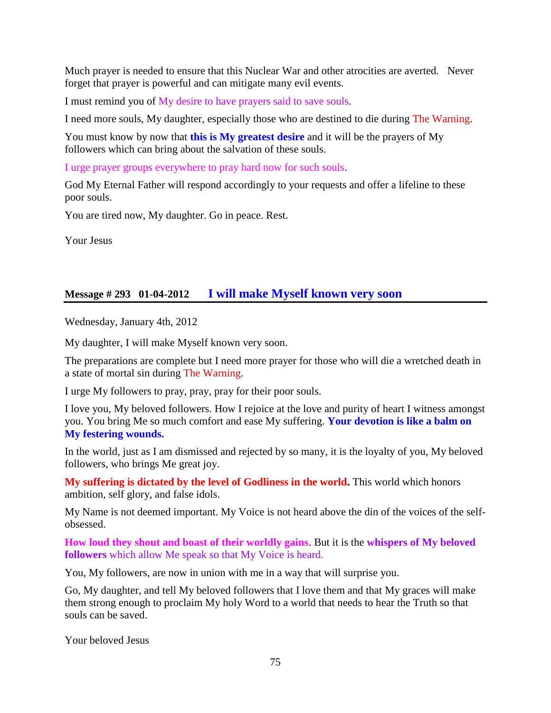Much prayer is needed to ensure that this Nuclear War and other atrocities are averted. Never forget that prayer is powerful and can mitigate many evil events.

I must remind you of My desire to have prayers said to save souls.

I need more souls, My daughter, especially those who are destined to die during The Warning.

You must know by now that **this is My greatest desire** and it will be the prayers of My followers which can bring about the salvation of these souls.

I urge prayer groups everywhere to pray hard now for such souls.

God My Eternal Father will respond accordingly to your requests and offer a lifeline to these poor souls.

You are tired now, My daughter. Go in peace. Rest.

Your Jesus

## **Message # 293 01-04-2012 [I will make Myself known very soon](http://www.thewarningsecondcoming.com/i-will-make-myself-known-very-soon/)**

Wednesday, January 4th, 2012

My daughter, I will make Myself known very soon.

The preparations are complete but I need more prayer for those who will die a wretched death in a state of mortal sin during The Warning.

I urge My followers to pray, pray, pray for their poor souls.

I love you, My beloved followers. How I rejoice at the love and purity of heart I witness amongst you. You bring Me so much comfort and ease My suffering. **Your devotion is like a balm on My festering wounds.**

In the world, just as I am dismissed and rejected by so many, it is the loyalty of you, My beloved followers, who brings Me great joy.

**My suffering is dictated by the level of Godliness in the world.** This world which honors ambition, self glory, and false idols.

My Name is not deemed important. My Voice is not heard above the din of the voices of the selfobsessed.

**How loud they shout and boast of their worldly gains**. But it is the **whispers of My beloved followers** which allow Me speak so that My Voice is heard.

You, My followers, are now in union with me in a way that will surprise you.

Go, My daughter, and tell My beloved followers that I love them and that My graces will make them strong enough to proclaim My holy Word to a world that needs to hear the Truth so that souls can be saved.

Your beloved Jesus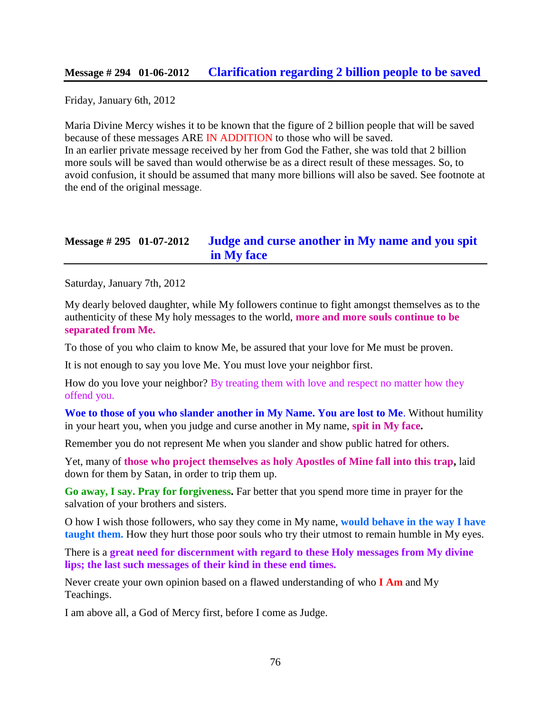#### **Message # 294 01-06-2012 [Clarification regarding 2 billion people to be saved](http://www.thewarningsecondcoming.com/clarification-regarding-2-billion-people-to-be-saved/)**

Friday, January 6th, 2012

Maria Divine Mercy wishes it to be known that the figure of 2 billion people that will be saved because of these messages ARE IN ADDITION to those who will be saved. In an earlier private message received by her from God the Father, she was told that 2 billion more souls will be saved than would otherwise be as a direct result of these messages. So, to avoid confusion, it should be assumed that many more billions will also be saved. See footnote at the end of the original message.

## **Message # 295 01-07-2012 [Judge and curse another in My name and you spit](http://www.thewarningsecondcoming.com/judge-and-curse-another-in-my-name-and-you-spit-in-my-face/)  [in My face](http://www.thewarningsecondcoming.com/judge-and-curse-another-in-my-name-and-you-spit-in-my-face/)**

Saturday, January 7th, 2012

My dearly beloved daughter, while My followers continue to fight amongst themselves as to the authenticity of these My holy messages to the world, **more and more souls continue to be separated from Me.**

To those of you who claim to know Me, be assured that your love for Me must be proven.

It is not enough to say you love Me. You must love your neighbor first.

How do you love your neighbor? By treating them with love and respect no matter how they offend you.

**Woe to those of you who slander another in My Name. You are lost to Me**. Without humility in your heart you, when you judge and curse another in My name, **spit in My face.**

Remember you do not represent Me when you slander and show public hatred for others.

Yet, many of **those who project themselves as holy Apostles of Mine fall into this trap,** laid down for them by Satan, in order to trip them up.

**Go away, I say. Pray for forgiveness.** Far better that you spend more time in prayer for the salvation of your brothers and sisters.

O how I wish those followers, who say they come in My name, **would behave in the way I have taught them.** How they hurt those poor souls who try their utmost to remain humble in My eyes.

There is a **great need for discernment with regard to these Holy messages from My divine lips; the last such messages of their kind in these end times.**

Never create your own opinion based on a flawed understanding of who **I Am** and My Teachings.

I am above all, a God of Mercy first, before I come as Judge.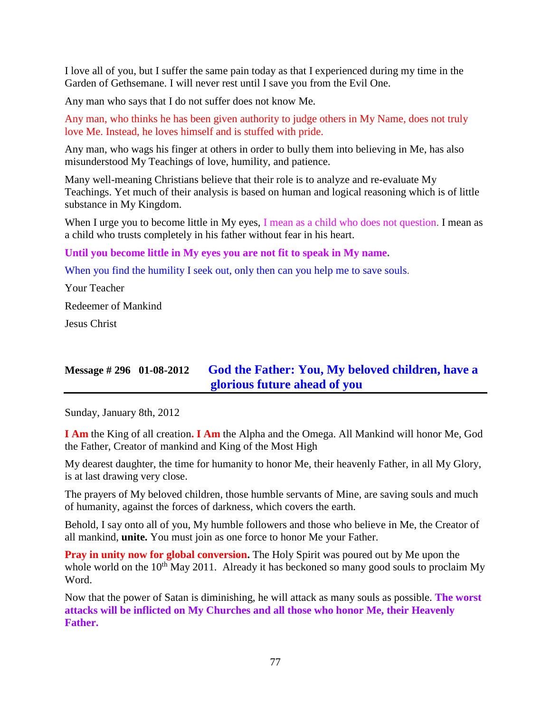I love all of you, but I suffer the same pain today as that I experienced during my time in the Garden of Gethsemane. I will never rest until I save you from the Evil One.

Any man who says that I do not suffer does not know Me.

Any man, who thinks he has been given authority to judge others in My Name, does not truly love Me. Instead, he loves himself and is stuffed with pride.

Any man, who wags his finger at others in order to bully them into believing in Me, has also misunderstood My Teachings of love, humility, and patience.

Many well-meaning Christians believe that their role is to analyze and re-evaluate My Teachings. Yet much of their analysis is based on human and logical reasoning which is of little substance in My Kingdom.

When I urge you to become little in My eyes, I mean as a child who does not question. I mean as a child who trusts completely in his father without fear in his heart.

#### **Until you become little in My eyes you are not fit to speak in My name.**

When you find the humility I seek out, only then can you help me to save souls.

Your Teacher Redeemer of Mankind

Jesus Christ

# **Message # 296 01-08-2012 [God the Father: You, My beloved children, have a](http://www.thewarningsecondcoming.com/god-the-father-you-my-beloved-children-have-a-glorious-future-ahead-of-you/)  [glorious future ahead of you](http://www.thewarningsecondcoming.com/god-the-father-you-my-beloved-children-have-a-glorious-future-ahead-of-you/)**

Sunday, January 8th, 2012

**I Am** the King of all creation**. I Am** the Alpha and the Omega. All Mankind will honor Me, God the Father, Creator of mankind and King of the Most High

My dearest daughter, the time for humanity to honor Me, their heavenly Father, in all My Glory, is at last drawing very close.

The prayers of My beloved children, those humble servants of Mine, are saving souls and much of humanity, against the forces of darkness, which covers the earth.

Behold, I say onto all of you, My humble followers and those who believe in Me, the Creator of all mankind, **unite.** You must join as one force to honor Me your Father.

**Pray in unity now for global conversion.** The Holy Spirit was poured out by Me upon the whole world on the 10<sup>th</sup> May 2011. Already it has beckoned so many good souls to proclaim My Word.

Now that the power of Satan is diminishing, he will attack as many souls as possible. **The worst attacks will be inflicted on My Churches and all those who honor Me, their Heavenly Father.**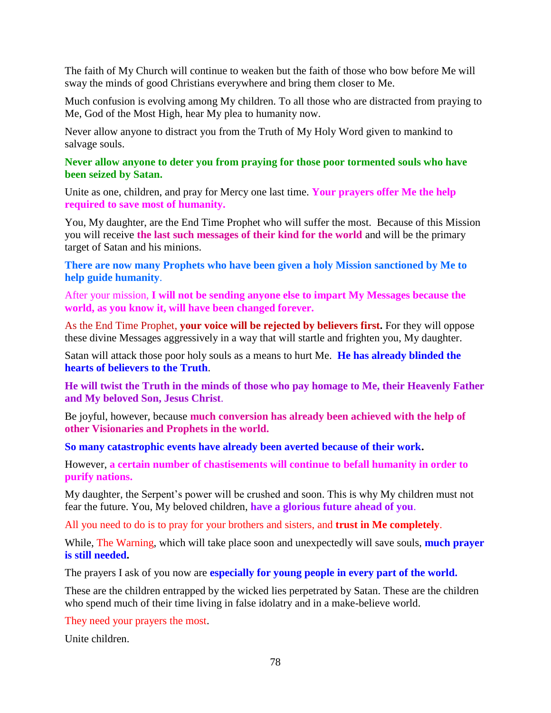The faith of My Church will continue to weaken but the faith of those who bow before Me will sway the minds of good Christians everywhere and bring them closer to Me.

Much confusion is evolving among My children. To all those who are distracted from praying to Me, God of the Most High, hear My plea to humanity now.

Never allow anyone to distract you from the Truth of My Holy Word given to mankind to salvage souls.

**Never allow anyone to deter you from praying for those poor tormented souls who have been seized by Satan.**

Unite as one, children, and pray for Mercy one last time. **Your prayers offer Me the help required to save most of humanity.**

You, My daughter, are the End Time Prophet who will suffer the most. Because of this Mission you will receive **the last such messages of their kind for the world** and will be the primary target of Satan and his minions.

**There are now many Prophets who have been given a holy Mission sanctioned by Me to help guide humanity**.

After your mission, **I will not be sending anyone else to impart My Messages because the world, as you know it, will have been changed forever.**

As the End Time Prophet, **your voice will be rejected by believers first.** For they will oppose these divine Messages aggressively in a way that will startle and frighten you, My daughter.

Satan will attack those poor holy souls as a means to hurt Me. **He has already blinded the hearts of believers to the Truth**.

**He will twist the Truth in the minds of those who pay homage to Me, their Heavenly Father and My beloved Son, Jesus Christ**.

Be joyful, however, because **much conversion has already been achieved with the help of other Visionaries and Prophets in the world.**

**So many catastrophic events have already been averted because of their work.**

However, **a certain number of chastisements will continue to befall humanity in order to purify nations.**

My daughter, the Serpent's power will be crushed and soon. This is why My children must not fear the future. You, My beloved children, **have a glorious future ahead of you**.

All you need to do is to pray for your brothers and sisters, and **trust in Me completely**.

While, The Warning, which will take place soon and unexpectedly will save souls, **much prayer is still needed.**

The prayers I ask of you now are **especially for young people in every part of the world.**

These are the children entrapped by the wicked lies perpetrated by Satan. These are the children who spend much of their time living in false idolatry and in a make-believe world.

They need your prayers the most.

Unite children.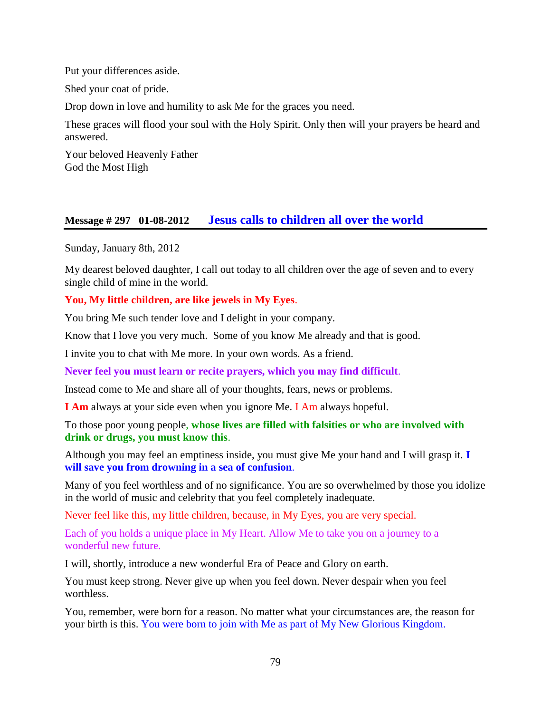Put your differences aside.

Shed your coat of pride.

Drop down in love and humility to ask Me for the graces you need.

These graces will flood your soul with the Holy Spirit. Only then will your prayers be heard and answered.

Your beloved Heavenly Father God the Most High

## **Message # 297 01-08-2012 [Jesus calls to children all over the world](http://www.thewarningsecondcoming.com/jesus-calls-to-children-all-over-the-world/)**

Sunday, January 8th, 2012

My dearest beloved daughter, I call out today to all children over the age of seven and to every single child of mine in the world.

### **You, My little children, are like jewels in My Eyes**.

You bring Me such tender love and I delight in your company.

Know that I love you very much. Some of you know Me already and that is good.

I invite you to chat with Me more. In your own words. As a friend.

**Never feel you must learn or recite prayers, which you may find difficult**.

Instead come to Me and share all of your thoughts, fears, news or problems.

**I Am** always at your side even when you ignore Me. I Am always hopeful.

To those poor young people, **whose lives are filled with falsities or who are involved with drink or drugs, you must know this**.

Although you may feel an emptiness inside, you must give Me your hand and I will grasp it. **I will save you from drowning in a sea of confusion**.

Many of you feel worthless and of no significance. You are so overwhelmed by those you idolize in the world of music and celebrity that you feel completely inadequate.

Never feel like this, my little children, because, in My Eyes, you are very special.

Each of you holds a unique place in My Heart. Allow Me to take you on a journey to a wonderful new future.

I will, shortly, introduce a new wonderful Era of Peace and Glory on earth.

You must keep strong. Never give up when you feel down. Never despair when you feel worthless.

You, remember, were born for a reason. No matter what your circumstances are, the reason for your birth is this. You were born to join with Me as part of My New Glorious Kingdom.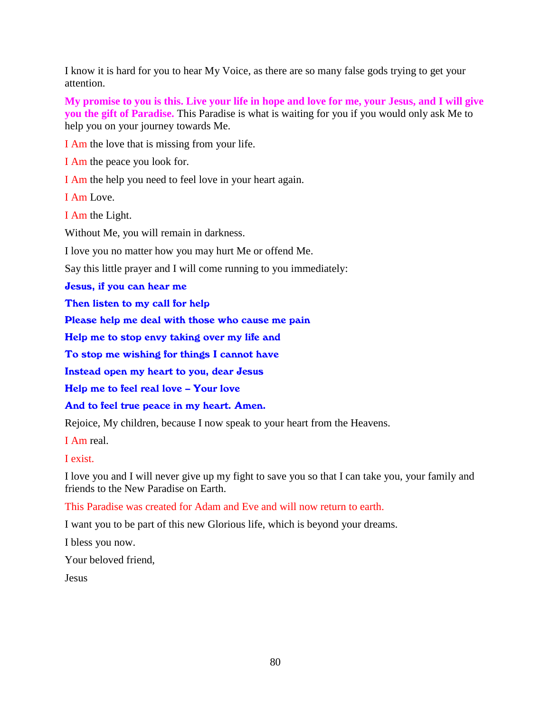I know it is hard for you to hear My Voice, as there are so many false gods trying to get your attention.

**My promise to you is this. Live your life in hope and love for me, your Jesus, and I will give you the gift of Paradise.** This Paradise is what is waiting for you if you would only ask Me to help you on your journey towards Me.

I Am the love that is missing from your life.

I Am the peace you look for.

I Am the help you need to feel love in your heart again.

I Am Love.

I Am the Light.

Without Me, you will remain in darkness.

I love you no matter how you may hurt Me or offend Me.

Say this little prayer and I will come running to you immediately:

Jesus, if you can hear me

Then listen to my call for help

Please help me deal with those who cause me pain

Help me to stop envy taking over my life and

To stop me wishing for things I cannot have

Instead open my heart to you, dear Jesus

Help me to feel real love – Your love

And to feel true peace in my heart. Amen.

Rejoice, My children, because I now speak to your heart from the Heavens.

I Am real.

I exist.

I love you and I will never give up my fight to save you so that I can take you, your family and friends to the New Paradise on Earth.

This Paradise was created for Adam and Eve and will now return to earth.

I want you to be part of this new Glorious life, which is beyond your dreams.

I bless you now.

Your beloved friend,

Jesus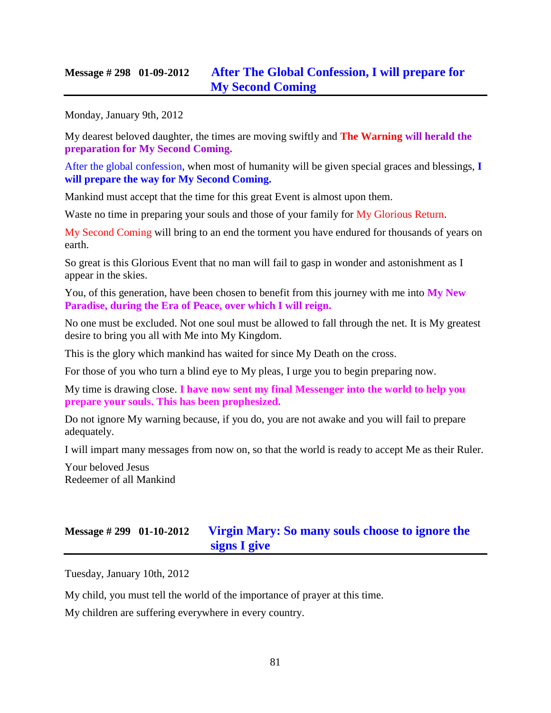## **Message # 298 01-09-2012 [After The Global Confession,](http://www.thewarningsecondcoming.com/after-the-global-confession-i-will-prepare-for-my-second-coming/) I will prepare for [My Second Coming](http://www.thewarningsecondcoming.com/after-the-global-confession-i-will-prepare-for-my-second-coming/)**

Monday, January 9th, 2012

My dearest beloved daughter, the times are moving swiftly and **The Warning will herald the preparation for My Second Coming.**

After the global confession, when most of humanity will be given special graces and blessings, **I will prepare the way for My Second Coming.**

Mankind must accept that the time for this great Event is almost upon them.

Waste no time in preparing your souls and those of your family for My Glorious Return.

My Second Coming will bring to an end the torment you have endured for thousands of years on earth.

So great is this Glorious Event that no man will fail to gasp in wonder and astonishment as I appear in the skies.

You, of this generation, have been chosen to benefit from this journey with me into **My New Paradise, during the Era of Peace, over which I will reign.**

No one must be excluded. Not one soul must be allowed to fall through the net. It is My greatest desire to bring you all with Me into My Kingdom.

This is the glory which mankind has waited for since My Death on the cross.

For those of you who turn a blind eye to My pleas, I urge you to begin preparing now.

My time is drawing close. **I have now sent my final Messenger into the world to help you prepare your souls. This has been prophesized.**

Do not ignore My warning because, if you do, you are not awake and you will fail to prepare adequately.

I will impart many messages from now on, so that the world is ready to accept Me as their Ruler.

Your beloved Jesus Redeemer of all Mankind

# **Message # 299 01-10-2012 V[irgin Mary: So many souls choose to ignore the](http://www.thewarningsecondcoming.com/virgin-mary-so-many-souls-choose-to-ignore-the-signs-i-give/)  [signs I give](http://www.thewarningsecondcoming.com/virgin-mary-so-many-souls-choose-to-ignore-the-signs-i-give/)**

Tuesday, January 10th, 2012

My child, you must tell the world of the importance of prayer at this time.

My children are suffering everywhere in every country.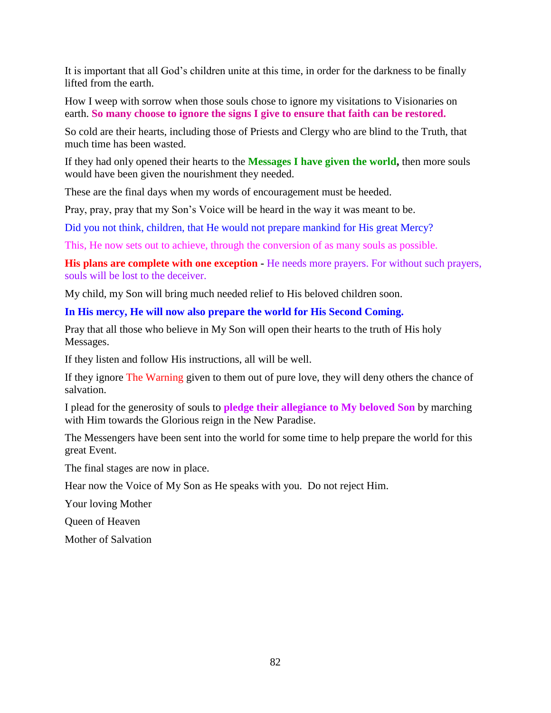It is important that all God's children unite at this time, in order for the darkness to be finally lifted from the earth.

How I weep with sorrow when those souls chose to ignore my visitations to Visionaries on earth. **So many choose to ignore the signs I give to ensure that faith can be restored.**

So cold are their hearts, including those of Priests and Clergy who are blind to the Truth, that much time has been wasted.

If they had only opened their hearts to the **Messages I have given the world,** then more souls would have been given the nourishment they needed.

These are the final days when my words of encouragement must be heeded.

Pray, pray, pray that my Son's Voice will be heard in the way it was meant to be.

Did you not think, children, that He would not prepare mankind for His great Mercy?

This, He now sets out to achieve, through the conversion of as many souls as possible.

**His plans are complete with one exception -** He needs more prayers. For without such prayers, souls will be lost to the deceiver.

My child, my Son will bring much needed relief to His beloved children soon.

**In His mercy, He will now also prepare the world for His Second Coming.**

Pray that all those who believe in My Son will open their hearts to the truth of His holy Messages.

If they listen and follow His instructions, all will be well.

If they ignore The Warning given to them out of pure love, they will deny others the chance of salvation.

I plead for the generosity of souls to **pledge their allegiance to My beloved Son** by marching with Him towards the Glorious reign in the New Paradise.

The Messengers have been sent into the world for some time to help prepare the world for this great Event.

The final stages are now in place.

Hear now the Voice of My Son as He speaks with you. Do not reject Him.

Your loving Mother

Queen of Heaven

Mother of Salvation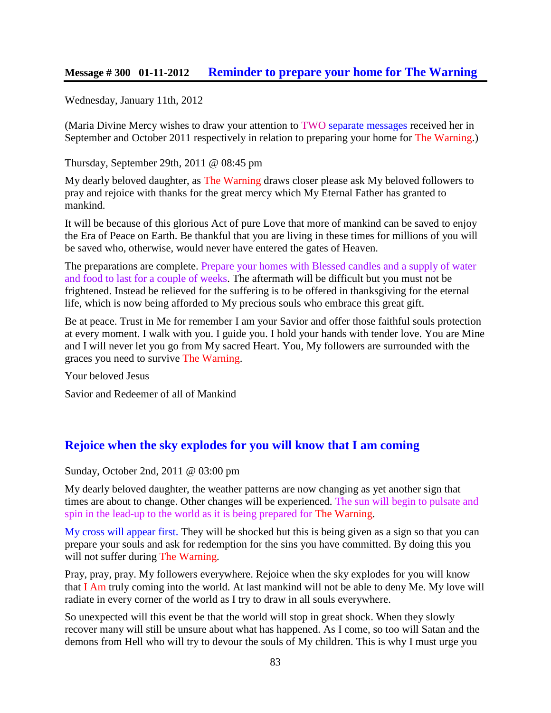### **Message # 300 01-11-2012 [Reminder to prepare your home for The Warning](http://www.thewarningsecondcoming.com/reminder-to-prepare-your-home-for-the-warning/)**

Wednesday, January 11th, 2012

(Maria Divine Mercy wishes to draw your attention to TWO separate messages received her in September and October 2011 respectively in relation to preparing your home for The Warning.)

Thursday, September 29th, 2011 @ 08:45 pm

My dearly beloved daughter, as The Warning draws closer please ask My beloved followers to pray and rejoice with thanks for the great mercy which My Eternal Father has granted to mankind.

It will be because of this glorious Act of pure Love that more of mankind can be saved to enjoy the Era of Peace on Earth. Be thankful that you are living in these times for millions of you will be saved who, otherwise, would never have entered the gates of Heaven.

The preparations are complete. Prepare your homes with Blessed candles and a supply of water and food to last for a couple of weeks. The aftermath will be difficult but you must not be frightened. Instead be relieved for the suffering is to be offered in thanksgiving for the eternal life, which is now being afforded to My precious souls who embrace this great gift.

Be at peace. Trust in Me for remember I am your Savior and offer those faithful souls protection at every moment. I walk with you. I guide you. I hold your hands with tender love. You are Mine and I will never let you go from My sacred Heart. You, My followers are surrounded with the graces you need to survive The Warning.

Your beloved Jesus

Savior and Redeemer of all of Mankind

## **Rejoice when the sky explodes [for you will know that I am coming](http://www.thewarningsecondcoming.com/rejoice-when-the-sky-explodes-for-you-will-know-that-i-am-coming/)**

Sunday, October 2nd, 2011 @ 03:00 pm

My dearly beloved daughter, the weather patterns are now changing as yet another sign that times are about to change. Other changes will be experienced. The sun will begin to pulsate and spin in the lead-up to the world as it is being prepared for The Warning.

My cross will appear first. They will be shocked but this is being given as a sign so that you can prepare your souls and ask for redemption for the sins you have committed. By doing this you will not suffer during The Warning.

Pray, pray, pray. My followers everywhere. Rejoice when the sky explodes for you will know that I Am truly coming into the world. At last mankind will not be able to deny Me. My love will radiate in every corner of the world as I try to draw in all souls everywhere.

So unexpected will this event be that the world will stop in great shock. When they slowly recover many will still be unsure about what has happened. As I come, so too will Satan and the demons from Hell who will try to devour the souls of My children. This is why I must urge you